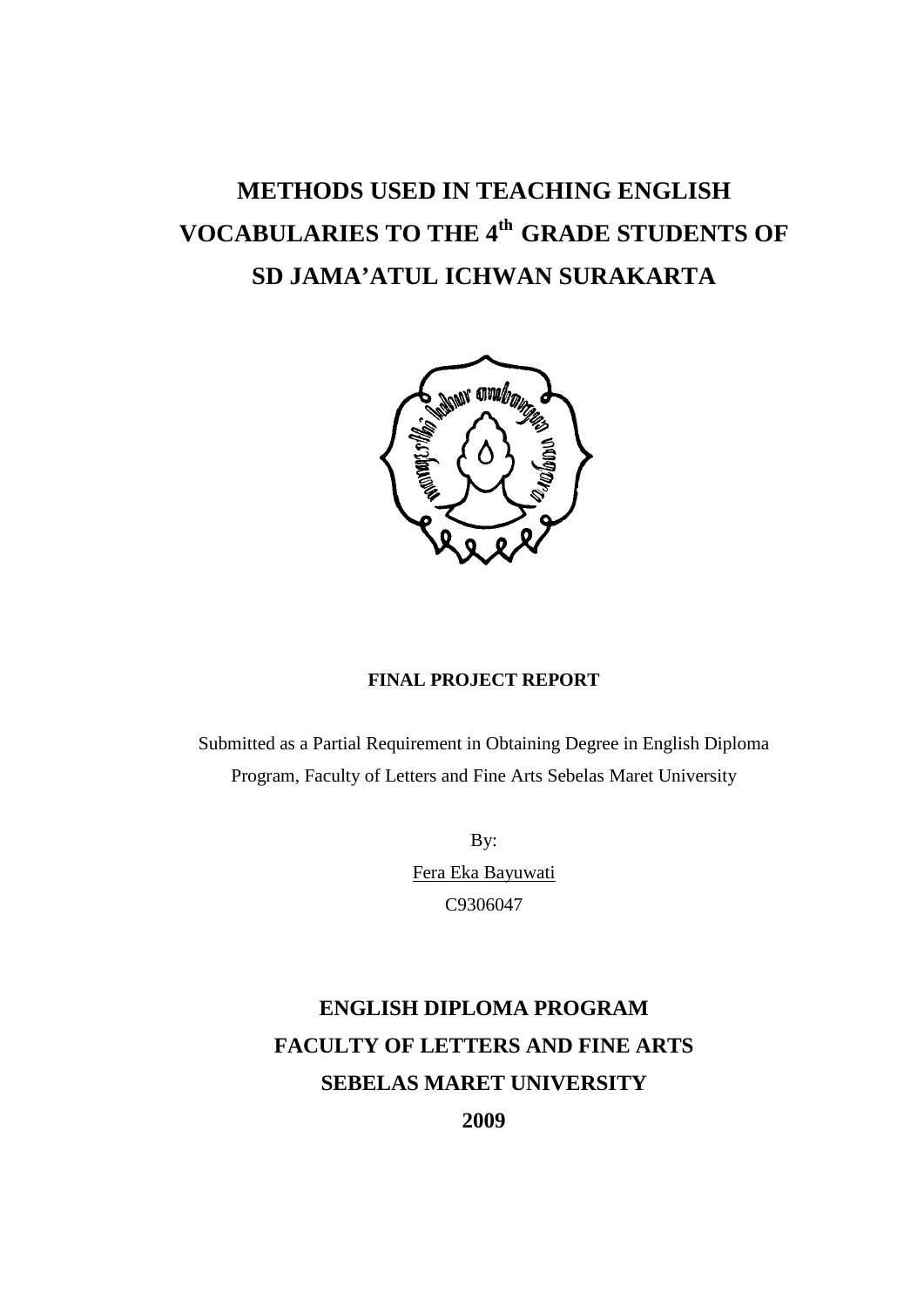# **METHODS USED IN TEACHING ENGLISH VOCABULARIES TO THE 4th GRADE STUDENTS OF SD JAMA'ATUL ICHWAN SURAKARTA**



## **FINAL PROJECT REPORT**

Submitted as a Partial Requirement in Obtaining Degree in English Diploma Program, Faculty of Letters and Fine Arts Sebelas Maret University

> By: Fera Eka Bayuwati C9306047

## **ENGLISH DIPLOMA PROGRAM FACULTY OF LETTERS AND FINE ARTS SEBELAS MARET UNIVERSITY 2009**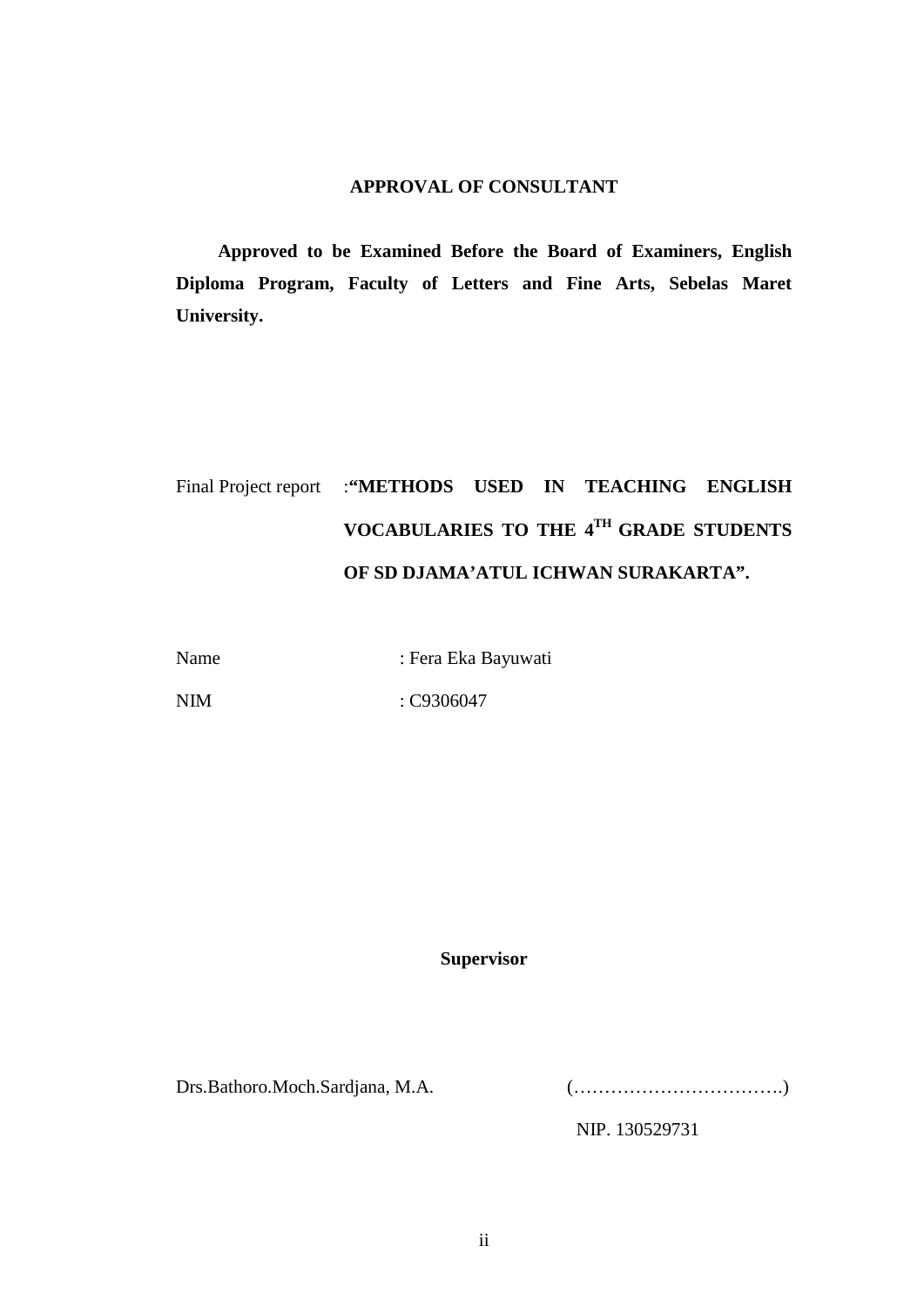## **APPROVAL OF CONSULTANT**

**Approved to be Examined Before the Board of Examiners, English Diploma Program, Faculty of Letters and Fine Arts, Sebelas Maret University.**

## Final Project report :**"METHODS USED IN TEACHING ENGLISH VOCABULARIES TO THE 4TH GRADE STUDENTS OF SD DJAMA'ATUL ICHWAN SURAKARTA".**

Name : Fera Eka Bayuwati

NIM : C9306047

## **Supervisor**

Drs.Bathoro.Moch.Sardjana, M.A. (…………………………….)

NIP. 130529731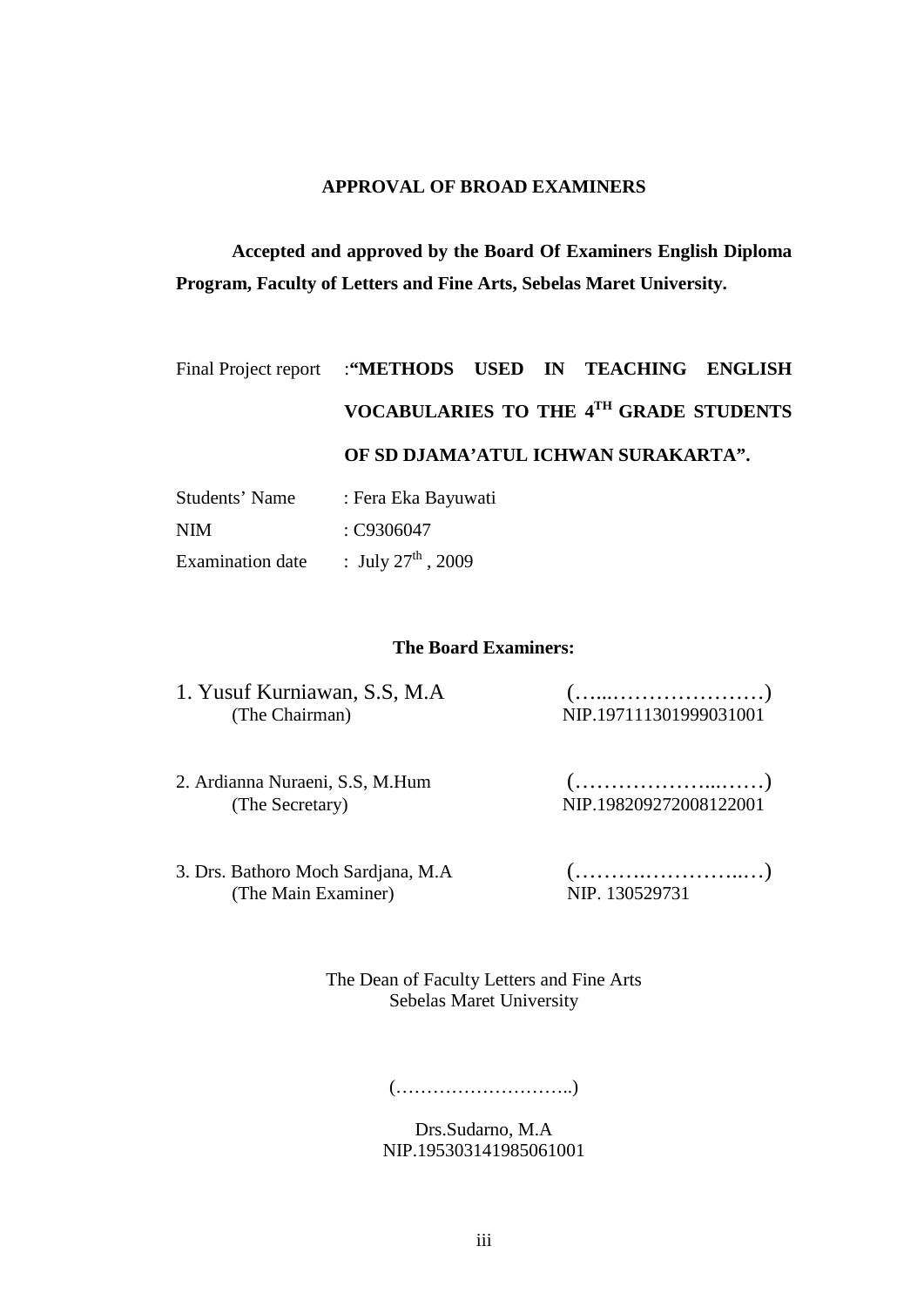## **APPROVAL OF BROAD EXAMINERS**

**Accepted and approved by the Board Of Examiners English Diploma Program, Faculty of Letters and Fine Arts, Sebelas Maret University.**

# Final Project report :**"METHODS USED IN TEACHING ENGLISH VOCABULARIES TO THE 4TH GRADE STUDENTS OF SD DJAMA'ATUL ICHWAN SURAKARTA".**

| Students' Name          | : Fera Eka Bayuwati            |  |
|-------------------------|--------------------------------|--|
| NIM                     | : C9306047                     |  |
| <b>Examination</b> date | : July $27^{\text{th}}$ , 2009 |  |

## **The Board Examiners:**

| 1. Yusuf Kurniawan, S.S, M.A. |                        |
|-------------------------------|------------------------|
| (The Chairman)                | NIP.197111301999031001 |

- 2. Ardianna Nuraeni, S.S, M.Hum (………………...……) (The Secretary) NIP.198209272008122001
- 3. Drs. Bathoro Moch Sardjana, M.A (……….…………..…) (The Main Examiner) NIP. 130529731

The Dean of Faculty Letters and Fine Arts Sebelas Maret University

(………………………..)

Drs.Sudarno, M.A NIP.195303141985061001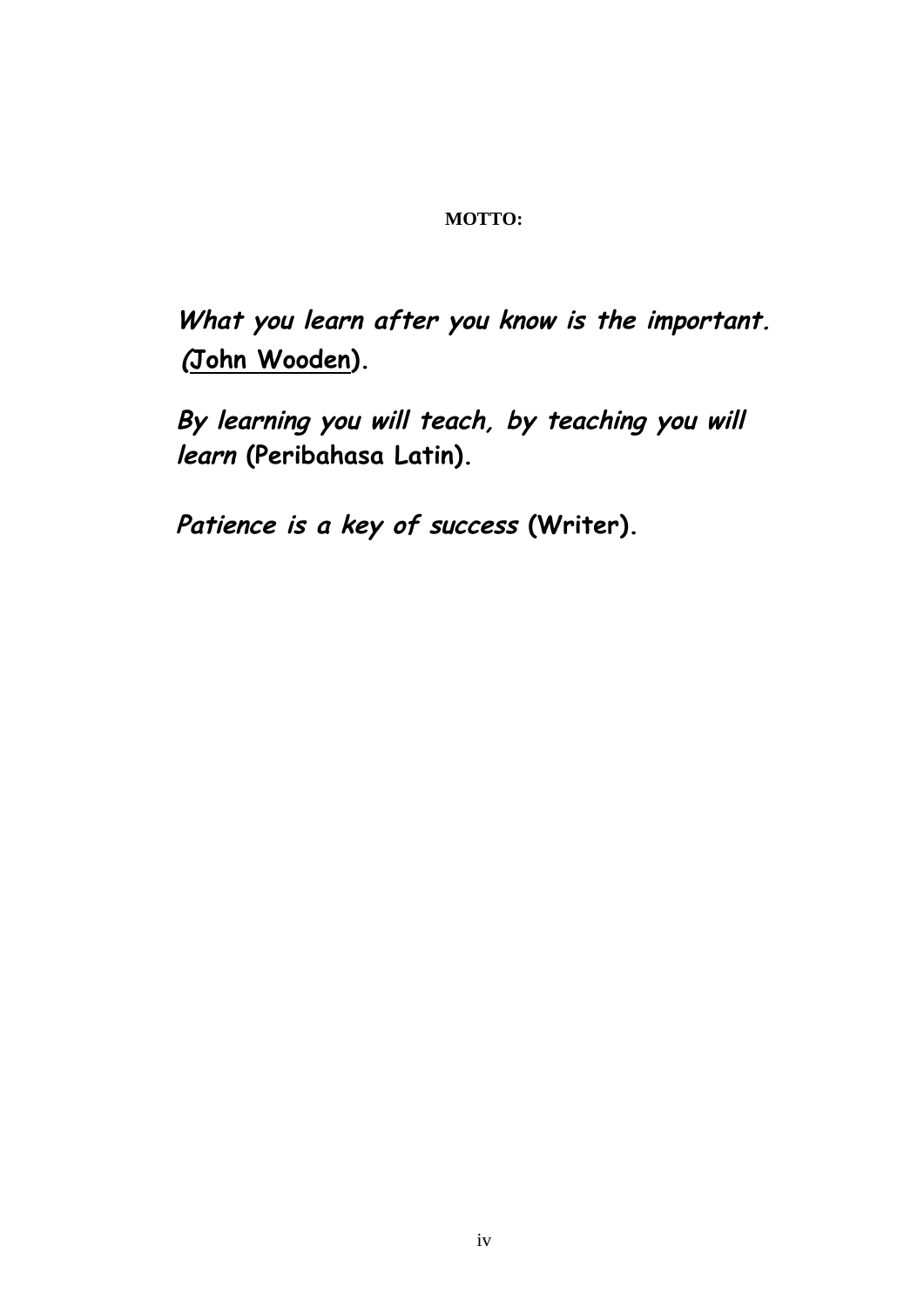## **MOTTO:**

**What you learn after you know is the important. (John Wooden).**

**By learning you will teach, by teaching you will learn (Peribahasa Latin).**

**Patience is a key of success (Writer).**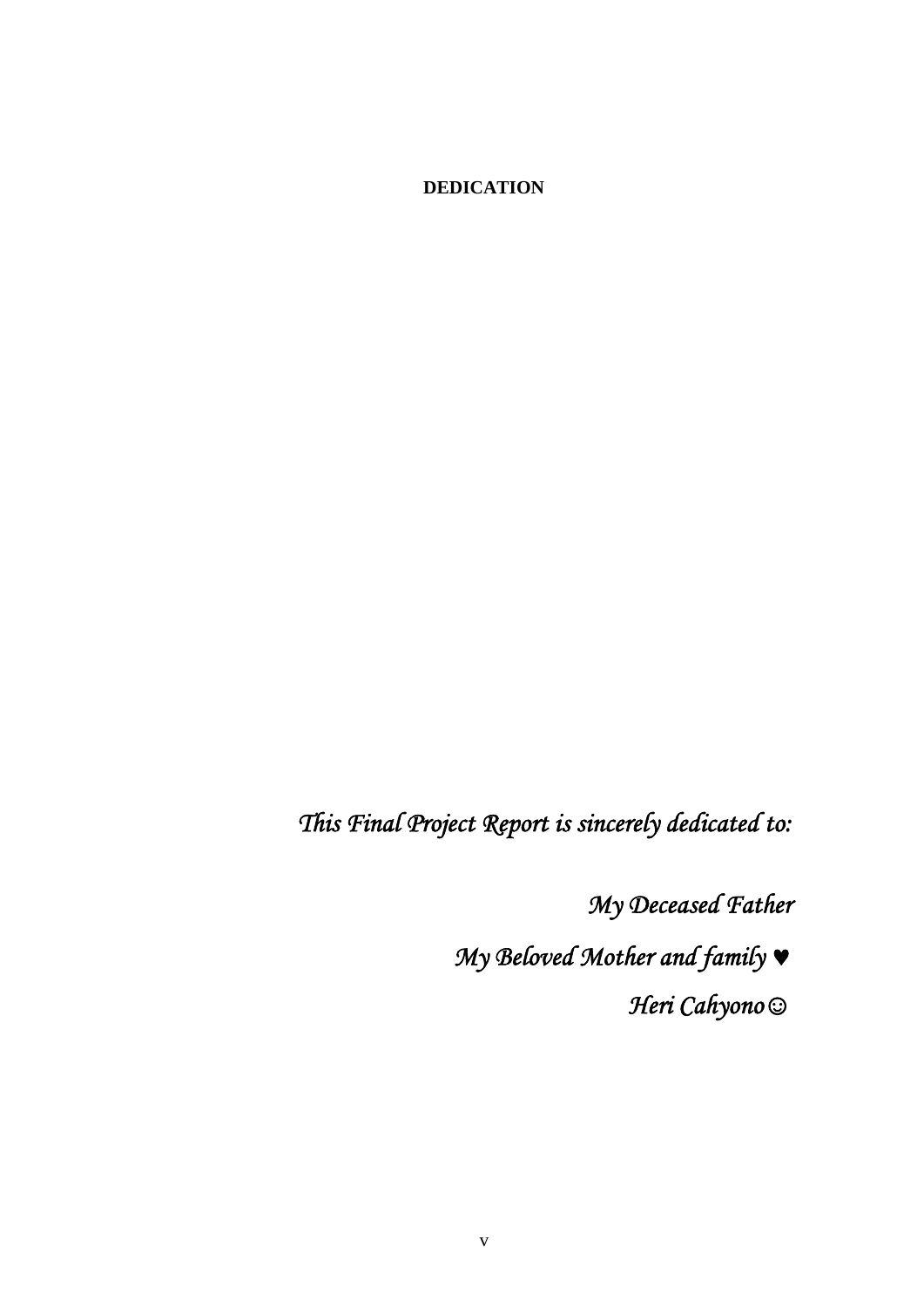**DEDICATION**

*This Final Project Report is sincerely dedicated to:* 

*My Deceased Father* 

*My Beloved Mother and family* © *Heri Cahyono☺*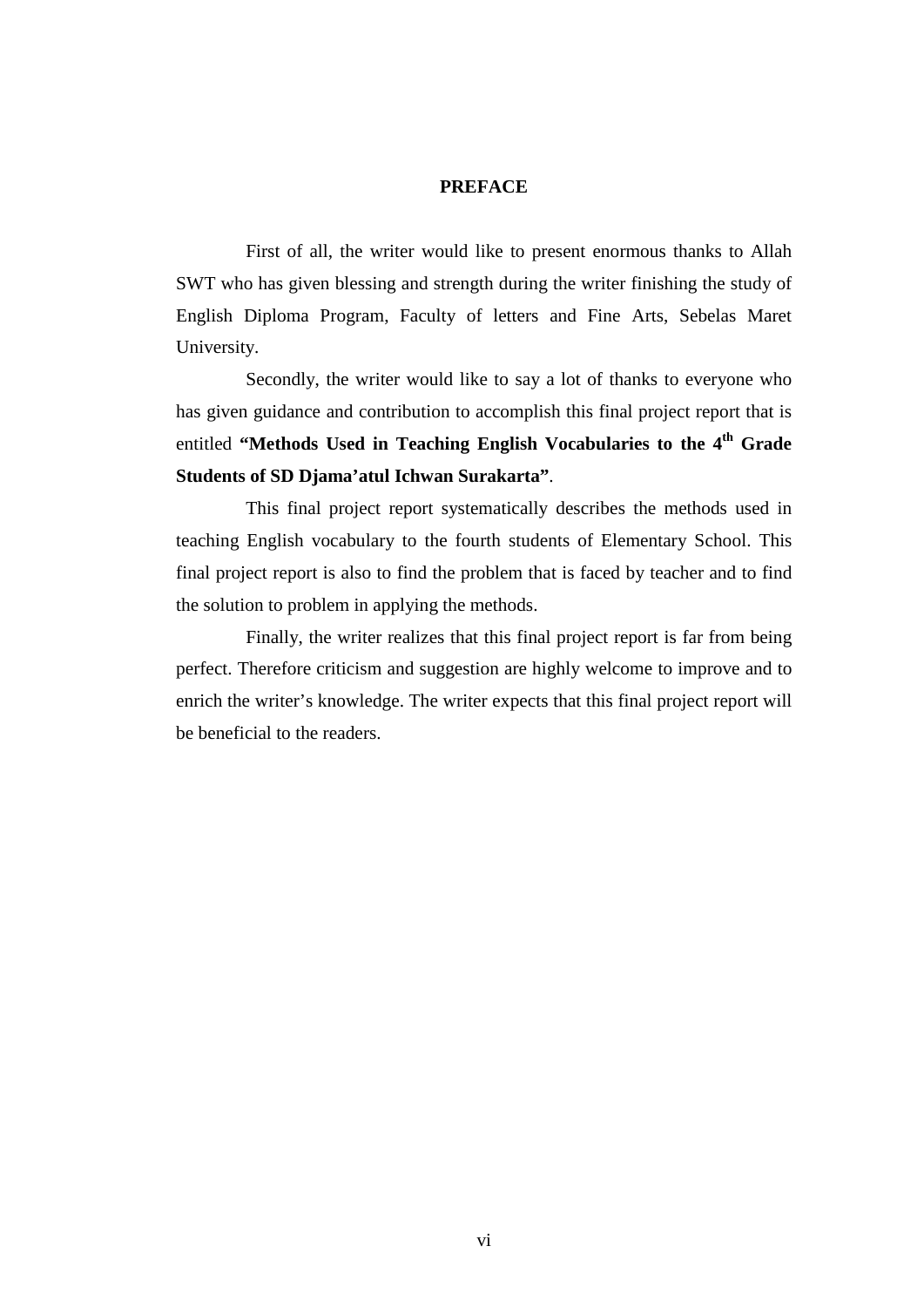### **PREFACE**

First of all, the writer would like to present enormous thanks to Allah SWT who has given blessing and strength during the writer finishing the study of English Diploma Program, Faculty of letters and Fine Arts, Sebelas Maret University.

Secondly, the writer would like to say a lot of thanks to everyone who has given guidance and contribution to accomplish this final project report that is entitled "Methods Used in Teaching English Vocabularies to the 4<sup>th</sup> Grade **Students of SD Djama'atul Ichwan Surakarta"**.

This final project report systematically describes the methods used in teaching English vocabulary to the fourth students of Elementary School. This final project report is also to find the problem that is faced by teacher and to find the solution to problem in applying the methods.

Finally, the writer realizes that this final project report is far from being perfect. Therefore criticism and suggestion are highly welcome to improve and to enrich the writer's knowledge. The writer expects that this final project report will be beneficial to the readers.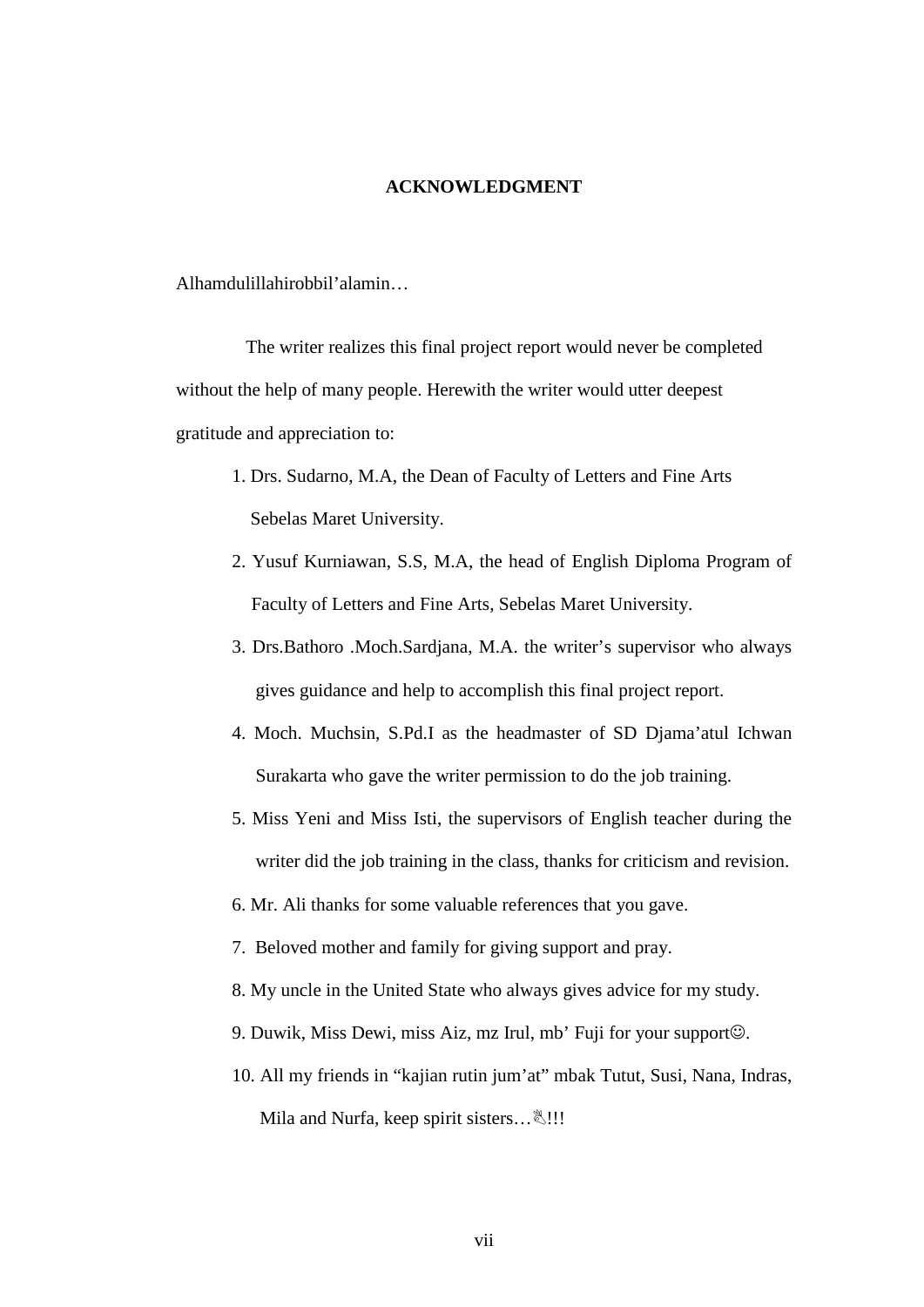## **ACKNOWLEDGMENT**

Alhamdulillahirobbil'alamin…

The writer realizes this final project report would never be completed without the help of many people. Herewith the writer would utter deepest gratitude and appreciation to:

- 1. Drs. Sudarno, M.A, the Dean of Faculty of Letters and Fine Arts Sebelas Maret University.
- 2. Yusuf Kurniawan, S.S, M.A, the head of English Diploma Program of Faculty of Letters and Fine Arts, Sebelas Maret University.
- 3. Drs.Bathoro .Moch.Sardjana, M.A. the writer's supervisor who always gives guidance and help to accomplish this final project report.
- 4. Moch. Muchsin, S.Pd.I as the headmaster of SD Djama'atul Ichwan Surakarta who gave the writer permission to do the job training.
- 5. Miss Yeni and Miss Isti, the supervisors of English teacher during the writer did the job training in the class, thanks for criticism and revision.
- 6. Mr. Ali thanks for some valuable references that you gave.
- 7. Beloved mother and family for giving support and pray.
- 8. My uncle in the United State who always gives advice for my study.
- 9. Duwik, Miss Dewi, miss Aiz, mz Irul, mb' Fuji for your support $\odot$ .
- 10. All my friends in "kajian rutin jum'at" mbak Tutut, Susi, Nana, Indras, Mila and Nurfa, keep spirit sisters…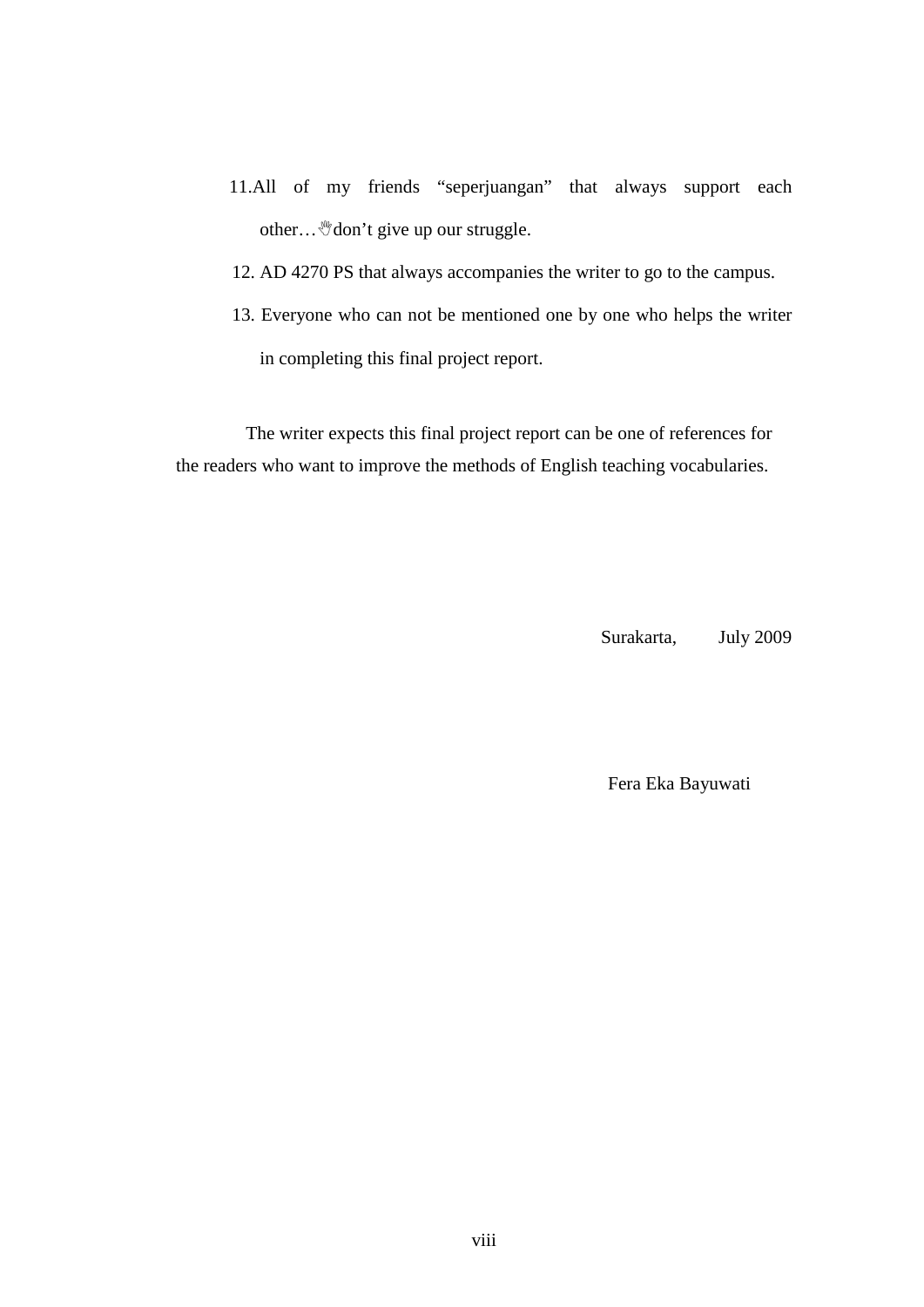- 11.All of my friends "seperjuangan" that always support each other... We don't give up our struggle.
- 12. AD 4270 PS that always accompanies the writer to go to the campus.
- 13. Everyone who can not be mentioned one by one who helps the writer in completing this final project report.

The writer expects this final project report can be one of references for the readers who want to improve the methods of English teaching vocabularies.

Surakarta, July 2009

Fera Eka Bayuwati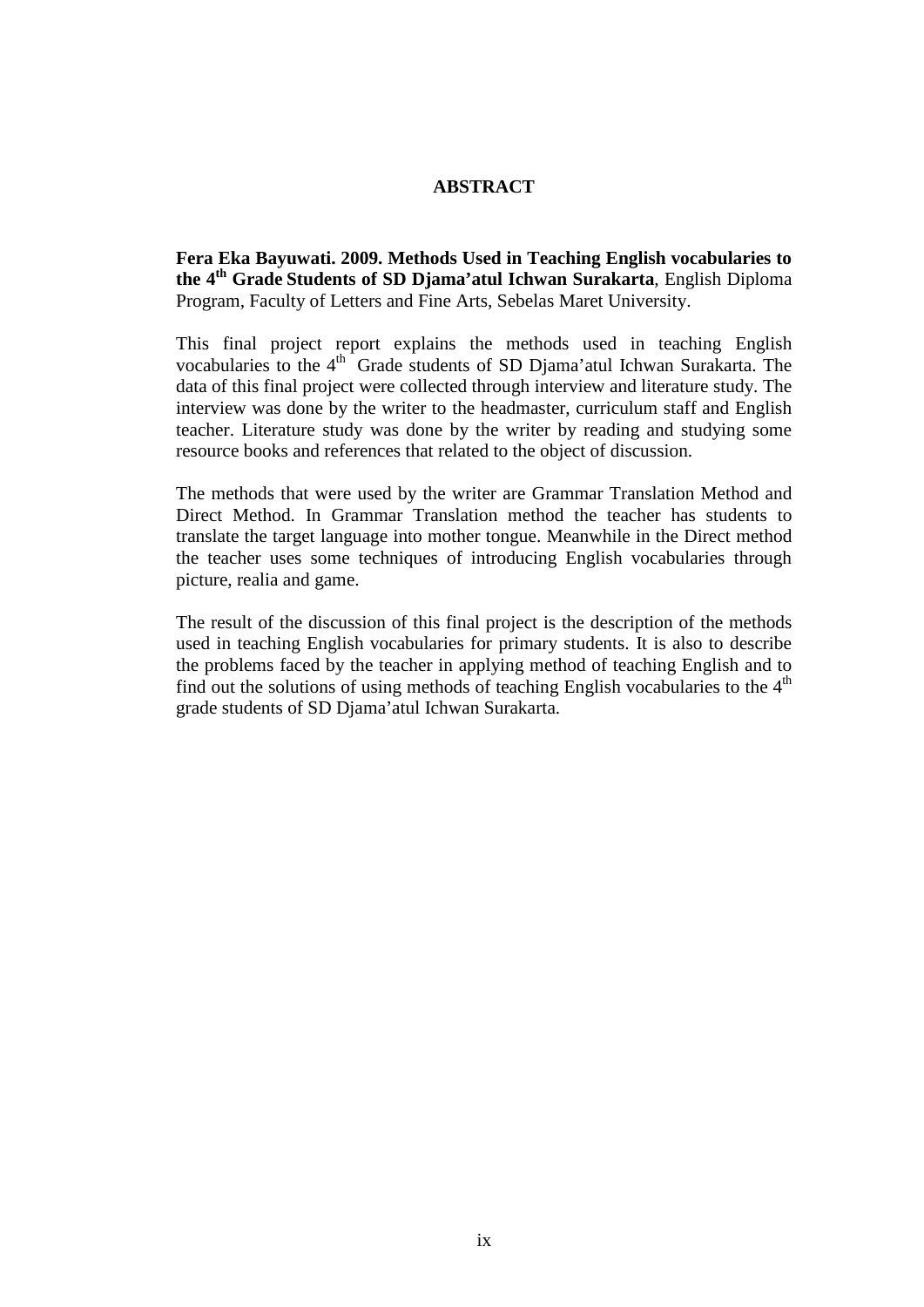## **ABSTRACT**

**Fera Eka Bayuwati. 2009. Methods Used in Teaching English vocabularies to the 4th Grade Students of SD Djama'atul Ichwan Surakarta**, English Diploma Program, Faculty of Letters and Fine Arts, Sebelas Maret University.

This final project report explains the methods used in teaching English vocabularies to the 4<sup>th</sup> Grade students of SD Djama'atul Ichwan Surakarta. The data of this final project were collected through interview and literature study. The interview was done by the writer to the headmaster, curriculum staff and English teacher. Literature study was done by the writer by reading and studying some resource books and references that related to the object of discussion.

The methods that were used by the writer are Grammar Translation Method and Direct Method. In Grammar Translation method the teacher has students to translate the target language into mother tongue. Meanwhile in the Direct method the teacher uses some techniques of introducing English vocabularies through picture, realia and game.

The result of the discussion of this final project is the description of the methods used in teaching English vocabularies for primary students. It is also to describe the problems faced by the teacher in applying method of teaching English and to find out the solutions of using methods of teaching English vocabularies to the  $4<sup>th</sup>$ grade students of SD Djama'atul Ichwan Surakarta.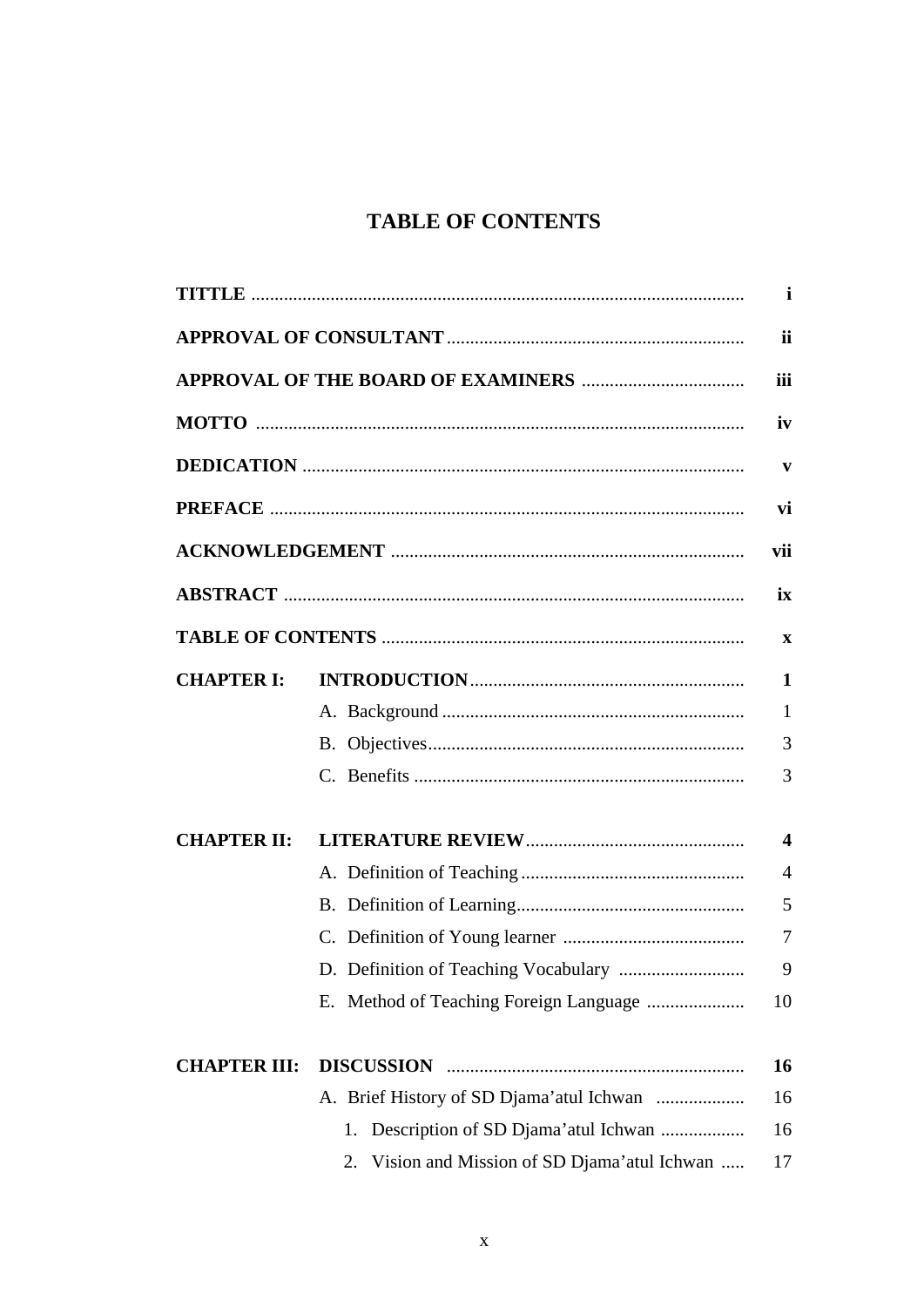## **TABLE OF CONTENTS**

|                     |                                                   | $\mathbf{i}$            |
|---------------------|---------------------------------------------------|-------------------------|
|                     |                                                   | ii                      |
|                     |                                                   | iii                     |
|                     |                                                   | iv                      |
|                     |                                                   | V                       |
|                     |                                                   | vi                      |
|                     |                                                   | vii                     |
|                     |                                                   | ix                      |
|                     |                                                   | $\mathbf{x}$            |
| <b>CHAPTER I:</b>   |                                                   | $\mathbf{1}$            |
|                     |                                                   | $\mathbf{1}$            |
|                     |                                                   | 3                       |
|                     |                                                   | 3                       |
| <b>CHAPTER II:</b>  |                                                   | $\overline{\mathbf{4}}$ |
|                     |                                                   | $\overline{4}$          |
|                     |                                                   | 5                       |
|                     |                                                   |                         |
|                     |                                                   | 9                       |
|                     |                                                   | 10                      |
| <b>CHAPTER III:</b> |                                                   | 16                      |
|                     | A. Brief History of SD Djama'atul Ichwan          | 16                      |
|                     | Description of SD Djama'atul Ichwan<br>1.         | 16                      |
|                     | Vision and Mission of SD Djama' atul Ichwan<br>2. | 17                      |
|                     |                                                   |                         |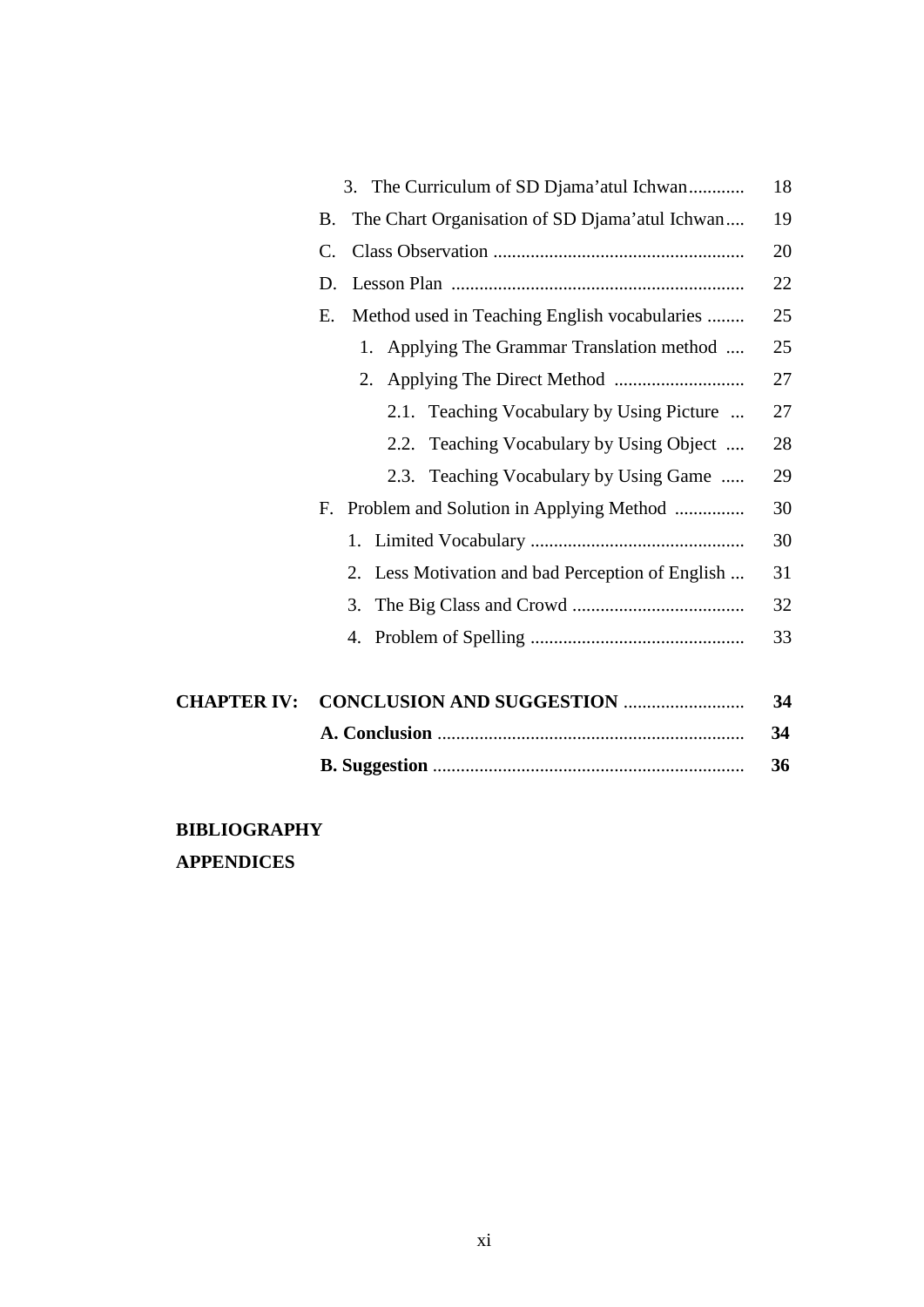|                    | 3. The Curriculum of SD Djama'atul Ichwan                   | 18 |
|--------------------|-------------------------------------------------------------|----|
|                    | The Chart Organisation of SD Djama'atul Ichwan<br><b>B.</b> | 19 |
|                    | $\mathcal{C}$ .                                             | 20 |
|                    | D.                                                          | 22 |
|                    | Method used in Teaching English vocabularies<br>E.          | 25 |
|                    | Applying The Grammar Translation method<br>1.               | 25 |
|                    |                                                             | 27 |
|                    | 2.1. Teaching Vocabulary by Using Picture                   | 27 |
|                    | 2.2. Teaching Vocabulary by Using Object                    | 28 |
|                    | 2.3. Teaching Vocabulary by Using Game                      | 29 |
|                    | Problem and Solution in Applying Method<br>F.               | 30 |
|                    |                                                             | 30 |
|                    | 2. Less Motivation and bad Perception of English            | 31 |
|                    | 3.                                                          | 32 |
|                    |                                                             | 33 |
| <b>CHAPTER IV:</b> | <b>CONCLUSION AND SUGGESTION </b>                           | 34 |
|                    |                                                             | 34 |
|                    |                                                             | 36 |
|                    |                                                             |    |

## **BIBLIOGRAPHY APPENDICES**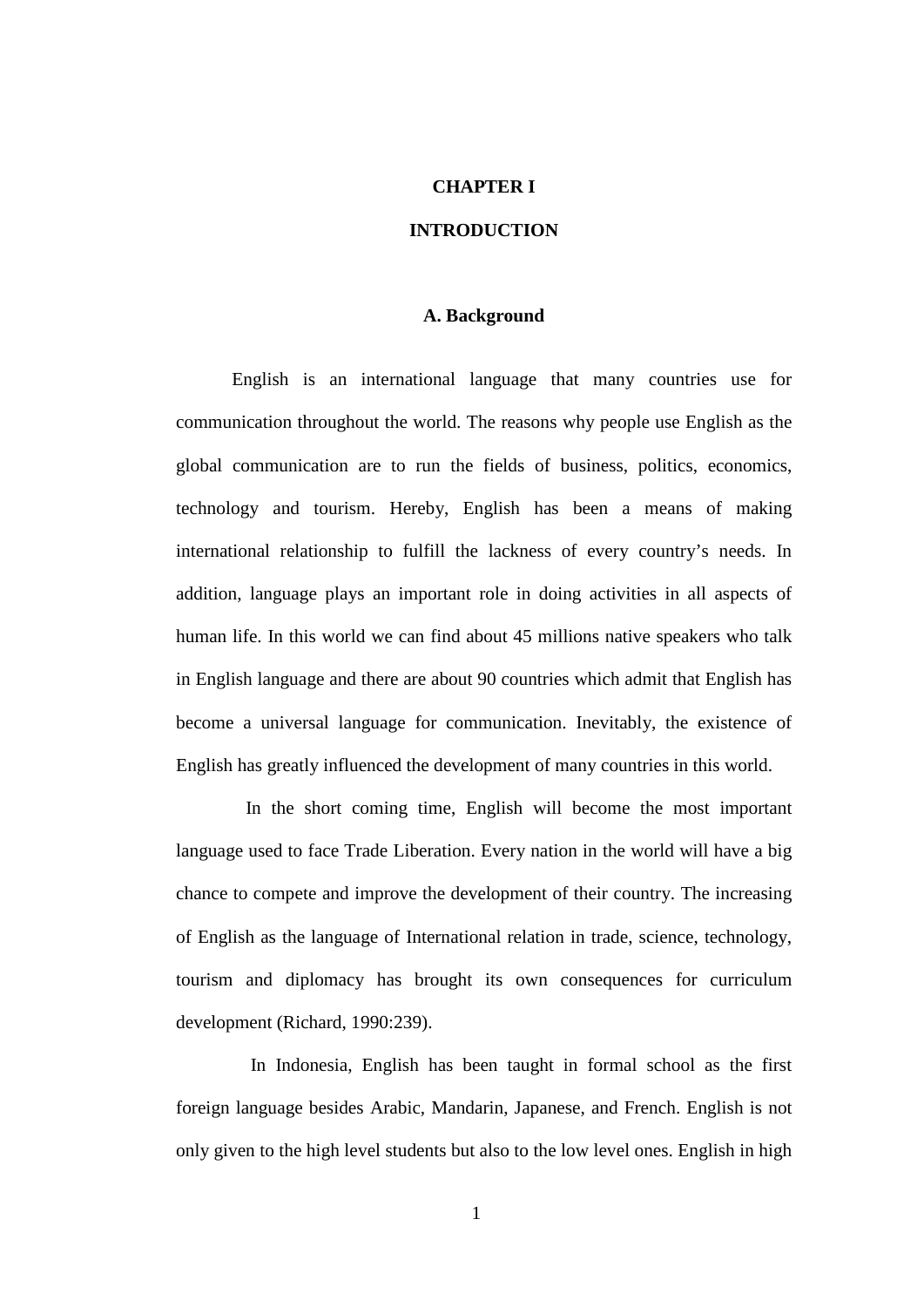### **CHAPTER I**

## **INTRODUCTION**

## **A. Background**

English is an international language that many countries use for communication throughout the world. The reasons why people use English as the global communication are to run the fields of business, politics, economics, technology and tourism. Hereby, English has been a means of making international relationship to fulfill the lackness of every country's needs. In addition, language plays an important role in doing activities in all aspects of human life. In this world we can find about 45 millions native speakers who talk in English language and there are about 90 countries which admit that English has become a universal language for communication. Inevitably, the existence of English has greatly influenced the development of many countries in this world.

In the short coming time, English will become the most important language used to face Trade Liberation. Every nation in the world will have a big chance to compete and improve the development of their country. The increasing of English as the language of International relation in trade, science, technology, tourism and diplomacy has brought its own consequences for curriculum development (Richard, 1990:239).

 In Indonesia, English has been taught in formal school as the first foreign language besides Arabic, Mandarin, Japanese, and French. English is not only given to the high level students but also to the low level ones. English in high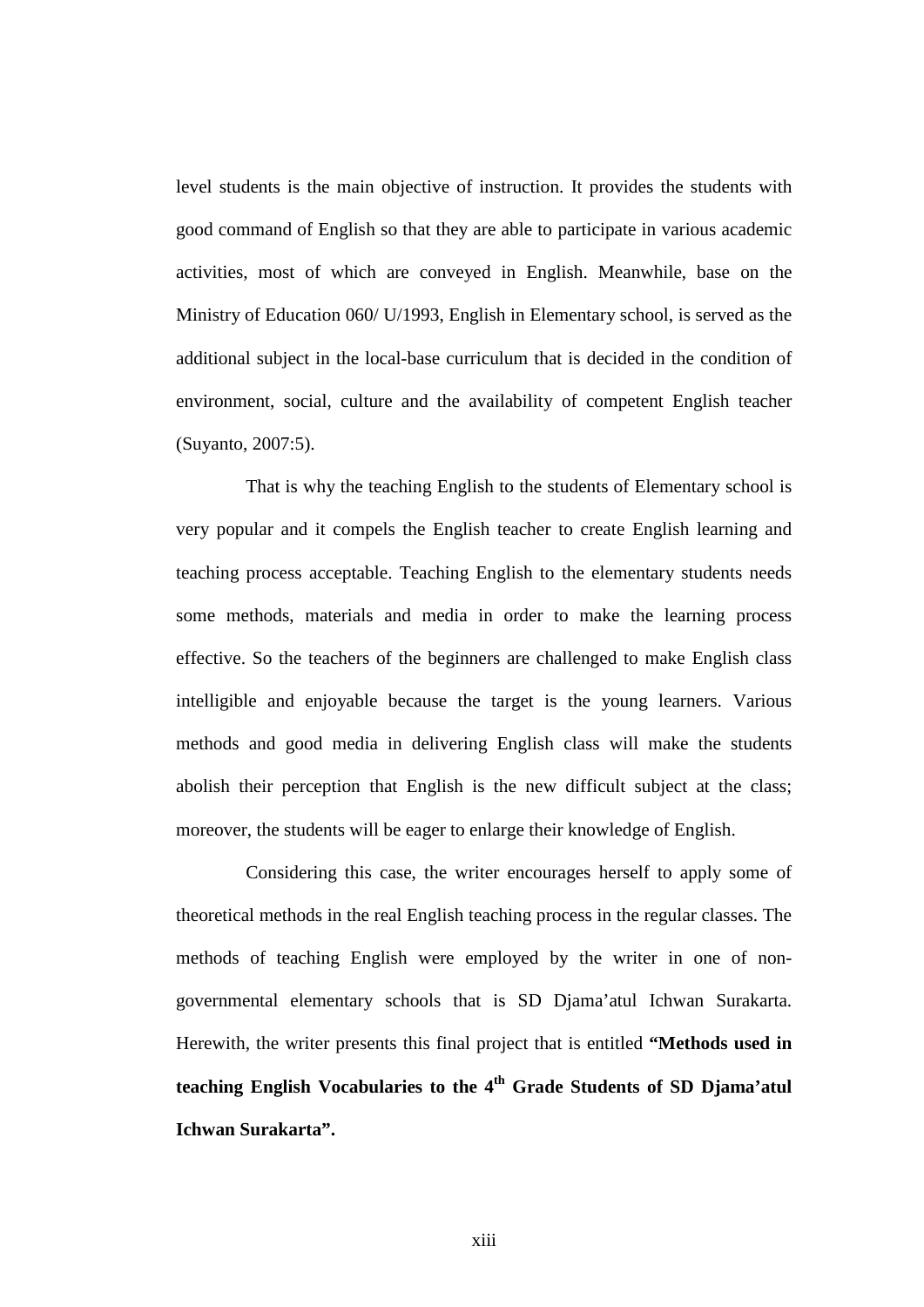level students is the main objective of instruction. It provides the students with good command of English so that they are able to participate in various academic activities, most of which are conveyed in English. Meanwhile, base on the Ministry of Education 060/ U/1993, English in Elementary school, is served as the additional subject in the local-base curriculum that is decided in the condition of environment, social, culture and the availability of competent English teacher (Suyanto, 2007:5).

That is why the teaching English to the students of Elementary school is very popular and it compels the English teacher to create English learning and teaching process acceptable. Teaching English to the elementary students needs some methods, materials and media in order to make the learning process effective. So the teachers of the beginners are challenged to make English class intelligible and enjoyable because the target is the young learners. Various methods and good media in delivering English class will make the students abolish their perception that English is the new difficult subject at the class; moreover, the students will be eager to enlarge their knowledge of English.

Considering this case, the writer encourages herself to apply some of theoretical methods in the real English teaching process in the regular classes. The methods of teaching English were employed by the writer in one of nongovernmental elementary schools that is SD Djama'atul Ichwan Surakarta. Herewith, the writer presents this final project that is entitled **"Methods used in teaching English Vocabularies to the 4th Grade Students of SD Djama'atul Ichwan Surakarta".**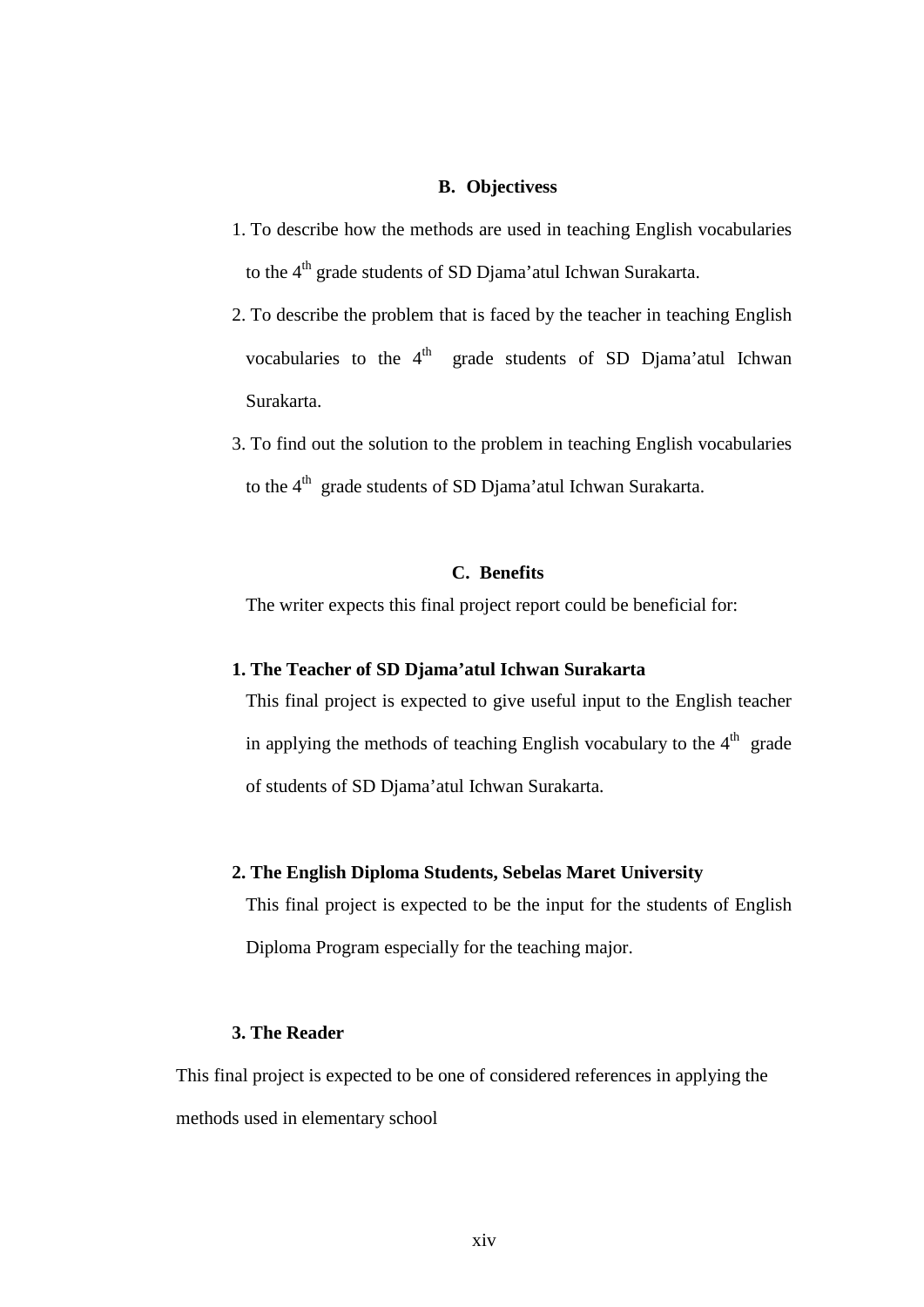### **B. Objectivess**

- 1. To describe how the methods are used in teaching English vocabularies to the 4<sup>th</sup> grade students of SD Djama'atul Ichwan Surakarta.
- 2. To describe the problem that is faced by the teacher in teaching English vocabularies to the 4<sup>th</sup> grade students of SD Djama'atul Ichwan Surakarta.
- 3. To find out the solution to the problem in teaching English vocabularies to the  $4<sup>th</sup>$  grade students of SD Djama'atul Ichwan Surakarta.

## **C. Benefits**

The writer expects this final project report could be beneficial for:

## **1. The Teacher of SD Djama'atul Ichwan Surakarta**

This final project is expected to give useful input to the English teacher in applying the methods of teaching English vocabulary to the  $4<sup>th</sup>$  grade of students of SD Djama'atul Ichwan Surakarta.

## **2. The English Diploma Students, Sebelas Maret University**

This final project is expected to be the input for the students of English Diploma Program especially for the teaching major.

## **3. The Reader**

This final project is expected to be one of considered references in applying the methods used in elementary school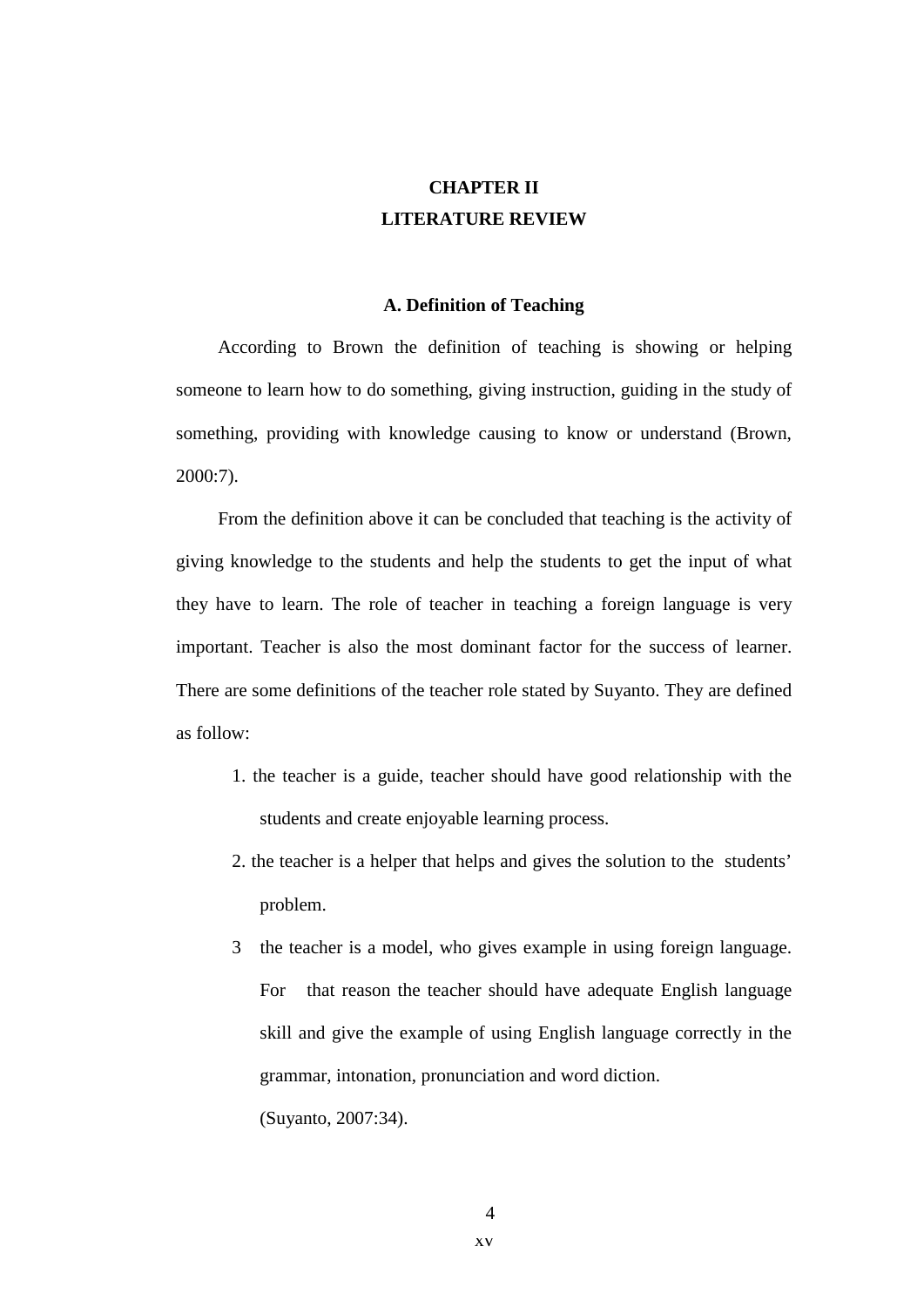## **CHAPTER II LITERATURE REVIEW**

## **A. Definition of Teaching**

According to Brown the definition of teaching is showing or helping someone to learn how to do something, giving instruction, guiding in the study of something, providing with knowledge causing to know or understand (Brown, 2000:7).

From the definition above it can be concluded that teaching is the activity of giving knowledge to the students and help the students to get the input of what they have to learn. The role of teacher in teaching a foreign language is very important. Teacher is also the most dominant factor for the success of learner. There are some definitions of the teacher role stated by Suyanto. They are defined as follow:

- 1. the teacher is a guide, teacher should have good relationship with the students and create enjoyable learning process.
- 2. the teacher is a helper that helps and gives the solution to the students' problem.
- 3 the teacher is a model, who gives example in using foreign language. For that reason the teacher should have adequate English language skill and give the example of using English language correctly in the grammar, intonation, pronunciation and word diction. (Suyanto, 2007:34).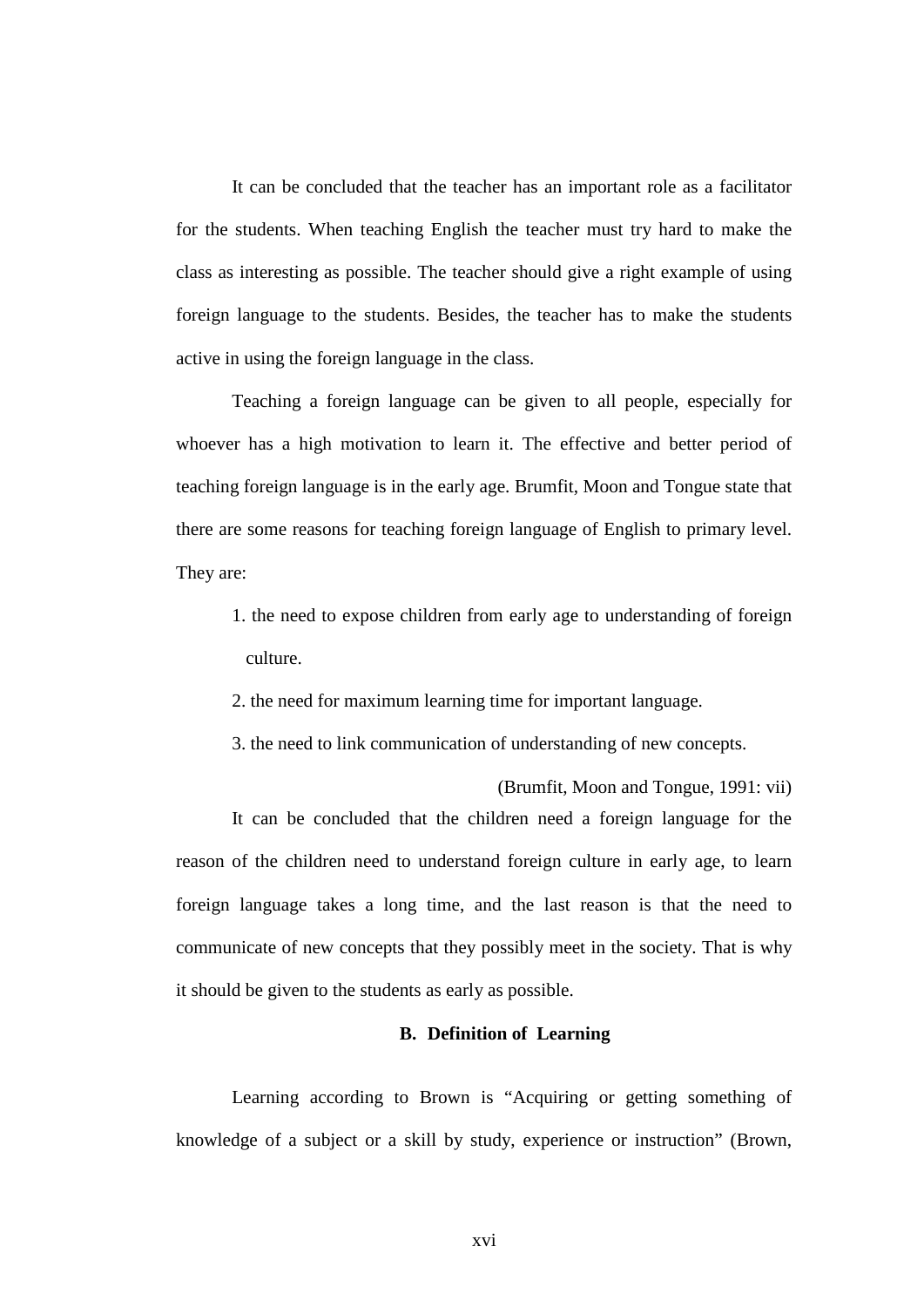It can be concluded that the teacher has an important role as a facilitator for the students. When teaching English the teacher must try hard to make the class as interesting as possible. The teacher should give a right example of using foreign language to the students. Besides, the teacher has to make the students active in using the foreign language in the class.

Teaching a foreign language can be given to all people, especially for whoever has a high motivation to learn it. The effective and better period of teaching foreign language is in the early age. Brumfit, Moon and Tongue state that there are some reasons for teaching foreign language of English to primary level. They are:

- 1. the need to expose children from early age to understanding of foreign culture.
- 2. the need for maximum learning time for important language.
- 3. the need to link communication of understanding of new concepts.

(Brumfit, Moon and Tongue, 1991: vii) It can be concluded that the children need a foreign language for the reason of the children need to understand foreign culture in early age, to learn foreign language takes a long time, and the last reason is that the need to communicate of new concepts that they possibly meet in the society. That is why it should be given to the students as early as possible.

## **B. Definition of Learning**

Learning according to Brown is "Acquiring or getting something of knowledge of a subject or a skill by study, experience or instruction" (Brown,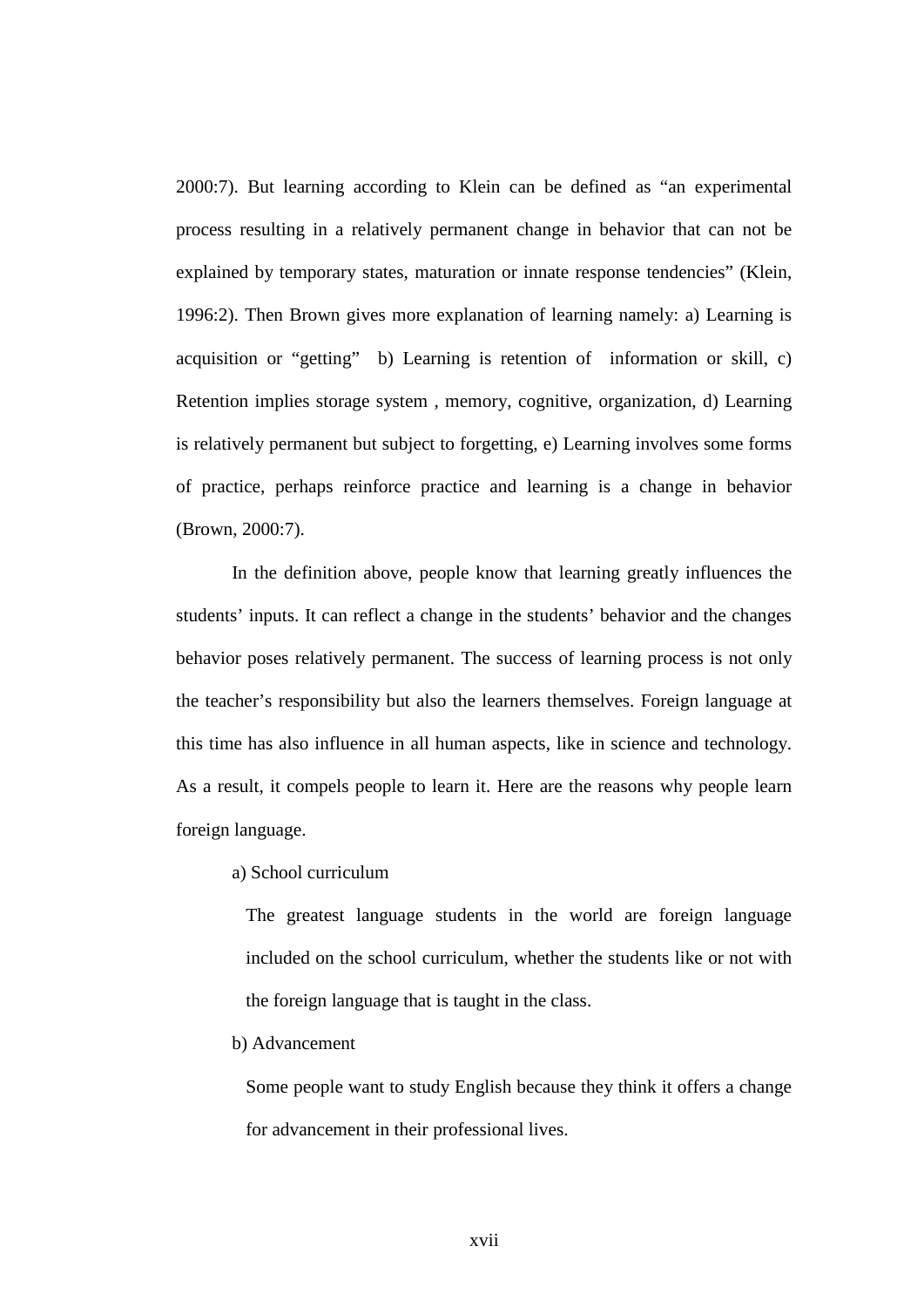2000:7). But learning according to Klein can be defined as "an experimental process resulting in a relatively permanent change in behavior that can not be explained by temporary states, maturation or innate response tendencies" (Klein, 1996:2). Then Brown gives more explanation of learning namely: a) Learning is acquisition or "getting" b) Learning is retention of information or skill, c) Retention implies storage system , memory, cognitive, organization, d) Learning is relatively permanent but subject to forgetting, e) Learning involves some forms of practice, perhaps reinforce practice and learning is a change in behavior (Brown, 2000:7).

In the definition above, people know that learning greatly influences the students' inputs. It can reflect a change in the students' behavior and the changes behavior poses relatively permanent. The success of learning process is not only the teacher's responsibility but also the learners themselves. Foreign language at this time has also influence in all human aspects, like in science and technology. As a result, it compels people to learn it. Here are the reasons why people learn foreign language.

a) School curriculum

The greatest language students in the world are foreign language included on the school curriculum, whether the students like or not with the foreign language that is taught in the class.

b) Advancement

Some people want to study English because they think it offers a change for advancement in their professional lives.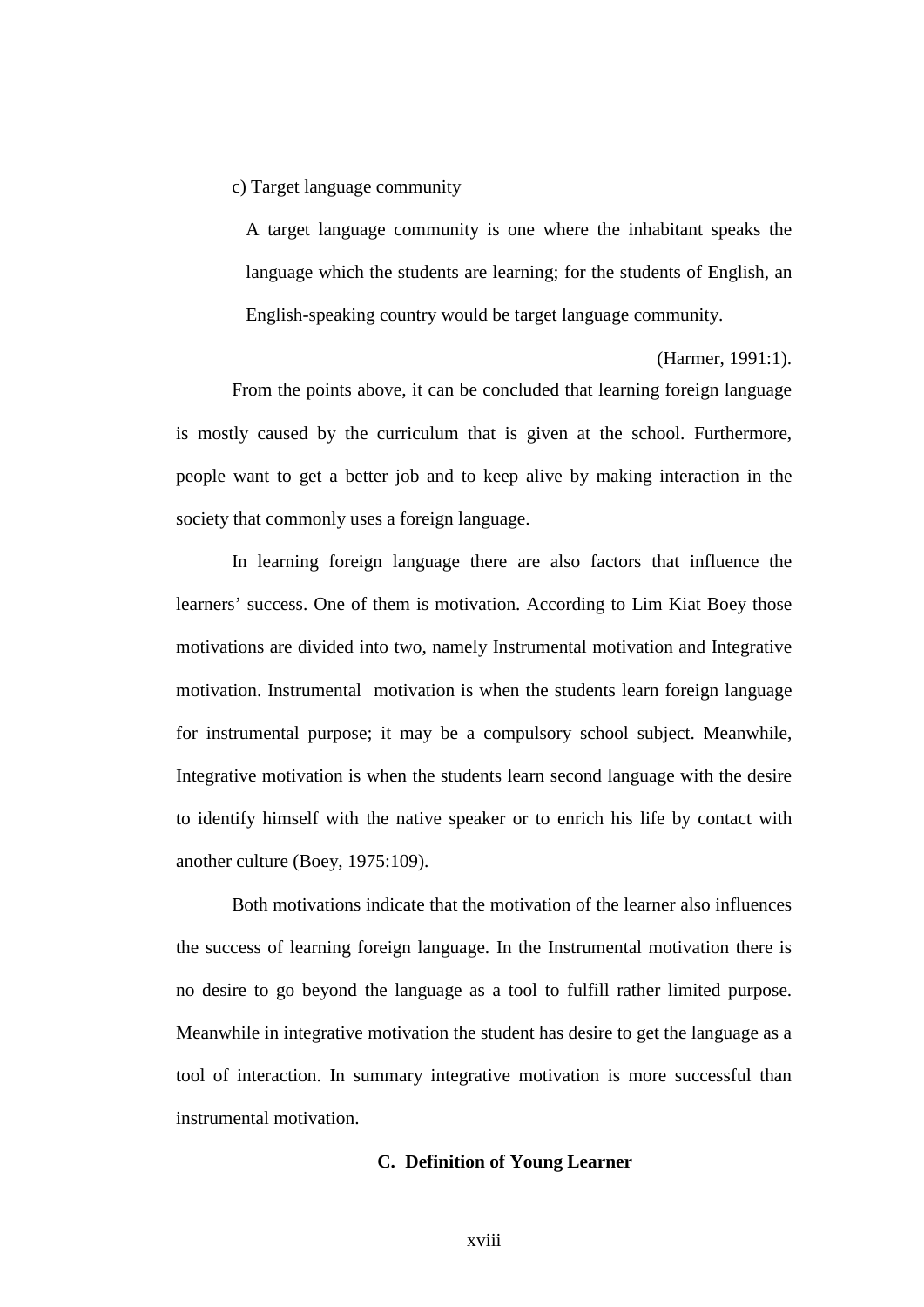c) Target language community

A target language community is one where the inhabitant speaks the language which the students are learning; for the students of English, an English-speaking country would be target language community.

(Harmer, 1991:1).

From the points above, it can be concluded that learning foreign language is mostly caused by the curriculum that is given at the school. Furthermore, people want to get a better job and to keep alive by making interaction in the society that commonly uses a foreign language.

In learning foreign language there are also factors that influence the learners' success. One of them is motivation. According to Lim Kiat Boey those motivations are divided into two, namely Instrumental motivation and Integrative motivation. Instrumental motivation is when the students learn foreign language for instrumental purpose; it may be a compulsory school subject. Meanwhile, Integrative motivation is when the students learn second language with the desire to identify himself with the native speaker or to enrich his life by contact with another culture (Boey, 1975:109).

Both motivations indicate that the motivation of the learner also influences the success of learning foreign language. In the Instrumental motivation there is no desire to go beyond the language as a tool to fulfill rather limited purpose. Meanwhile in integrative motivation the student has desire to get the language as a tool of interaction. In summary integrative motivation is more successful than instrumental motivation.

## **C. Definition of Young Learner**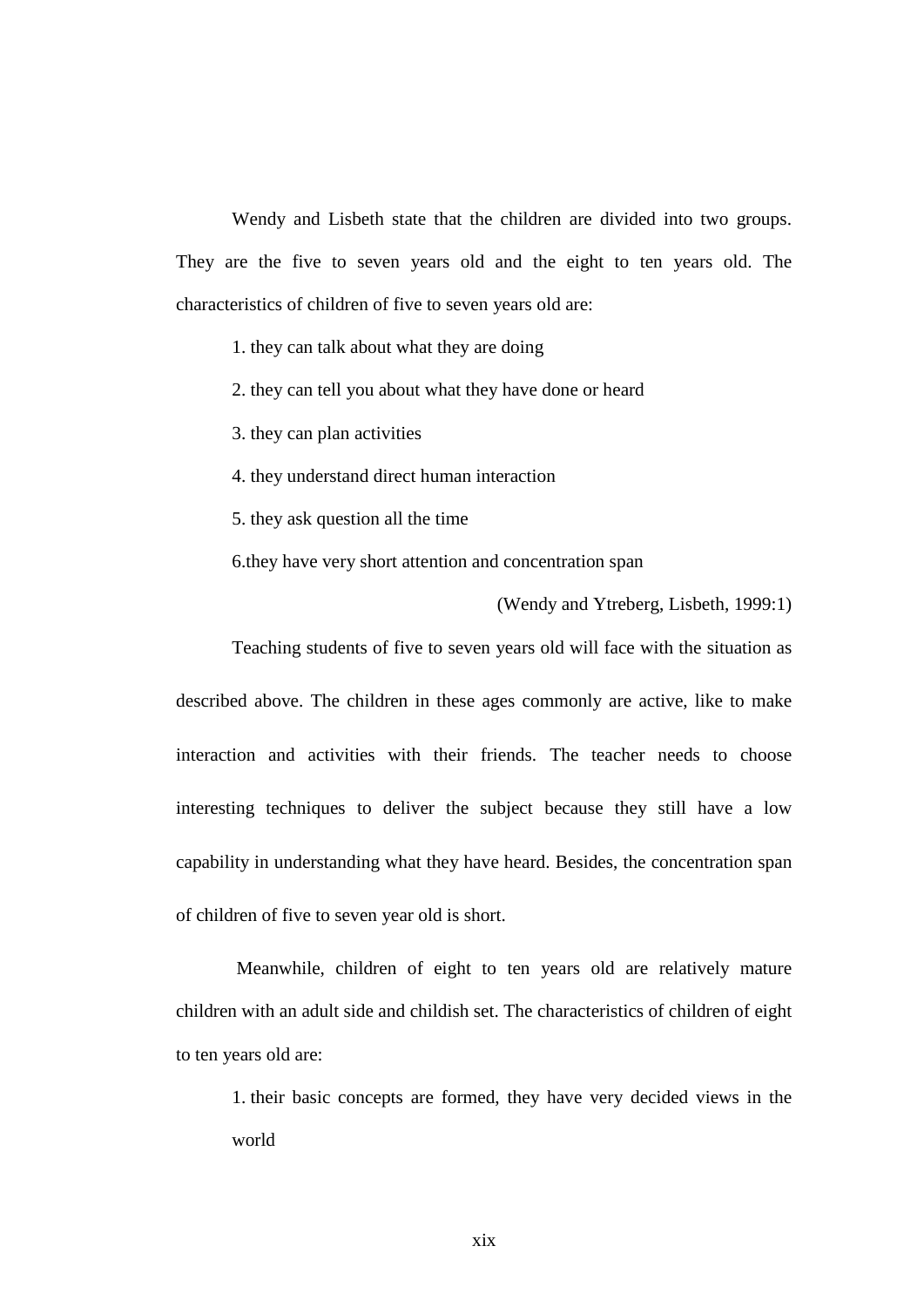Wendy and Lisbeth state that the children are divided into two groups. They are the five to seven years old and the eight to ten years old. The characteristics of children of five to seven years old are:

1. they can talk about what they are doing

2. they can tell you about what they have done or heard

3. they can plan activities

4. they understand direct human interaction

5. they ask question all the time

6.they have very short attention and concentration span

(Wendy and Ytreberg, Lisbeth, 1999:1)

Teaching students of five to seven years old will face with the situation as described above. The children in these ages commonly are active, like to make interaction and activities with their friends. The teacher needs to choose interesting techniques to deliver the subject because they still have a low capability in understanding what they have heard. Besides, the concentration span of children of five to seven year old is short.

 Meanwhile, children of eight to ten years old are relatively mature children with an adult side and childish set. The characteristics of children of eight to ten years old are:

1. their basic concepts are formed, they have very decided views in the world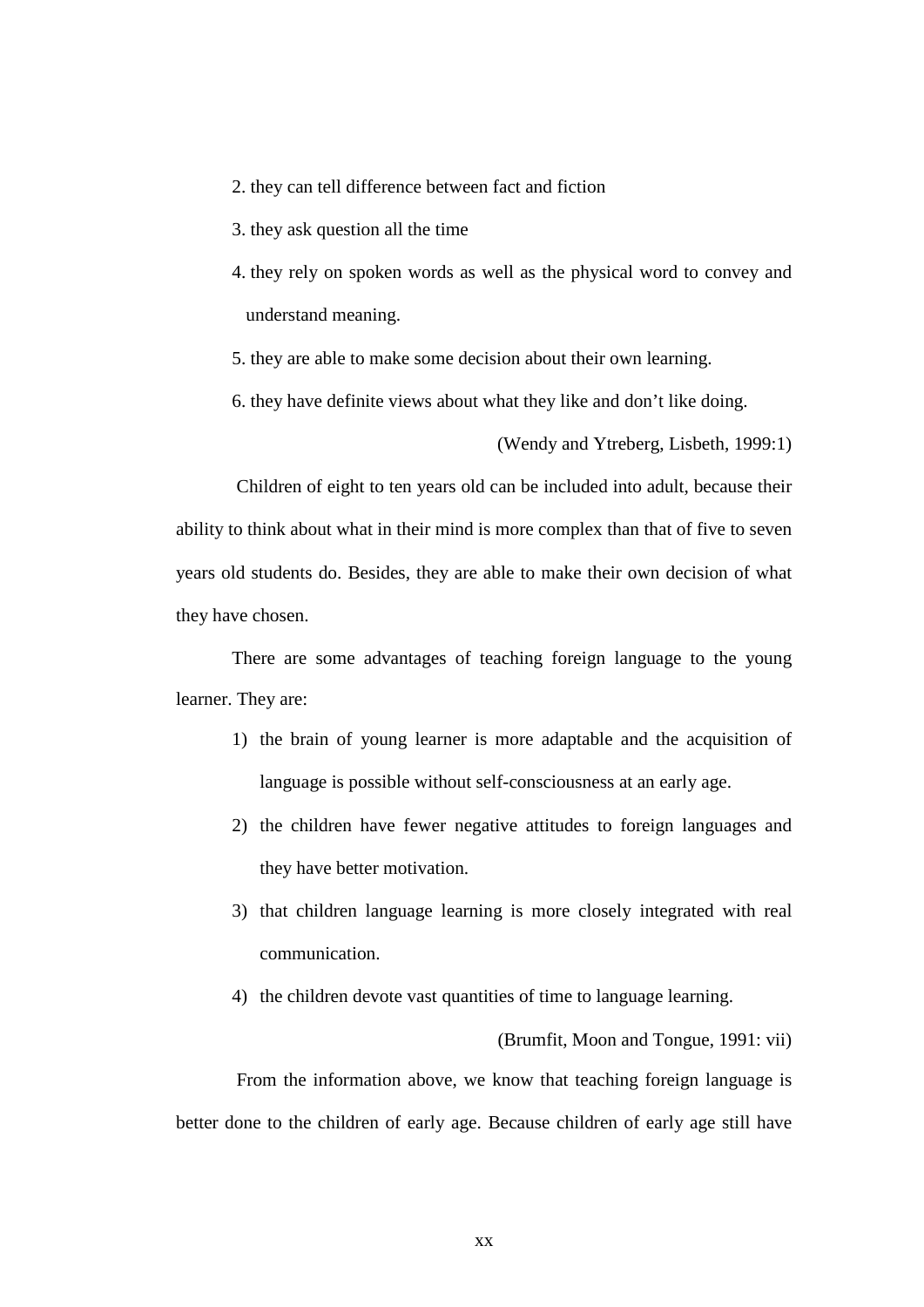- 2. they can tell difference between fact and fiction
- 3. they ask question all the time
- 4. they rely on spoken words as well as the physical word to convey and understand meaning.
- 5. they are able to make some decision about their own learning.
- 6. they have definite views about what they like and don't like doing.

(Wendy and Ytreberg, Lisbeth, 1999:1)

 Children of eight to ten years old can be included into adult, because their ability to think about what in their mind is more complex than that of five to seven years old students do. Besides, they are able to make their own decision of what they have chosen.

There are some advantages of teaching foreign language to the young learner. They are:

- 1) the brain of young learner is more adaptable and the acquisition of language is possible without self-consciousness at an early age.
- 2) the children have fewer negative attitudes to foreign languages and they have better motivation.
- 3) that children language learning is more closely integrated with real communication.
- 4) the children devote vast quantities of time to language learning.

(Brumfit, Moon and Tongue, 1991: vii)

 From the information above, we know that teaching foreign language is better done to the children of early age. Because children of early age still have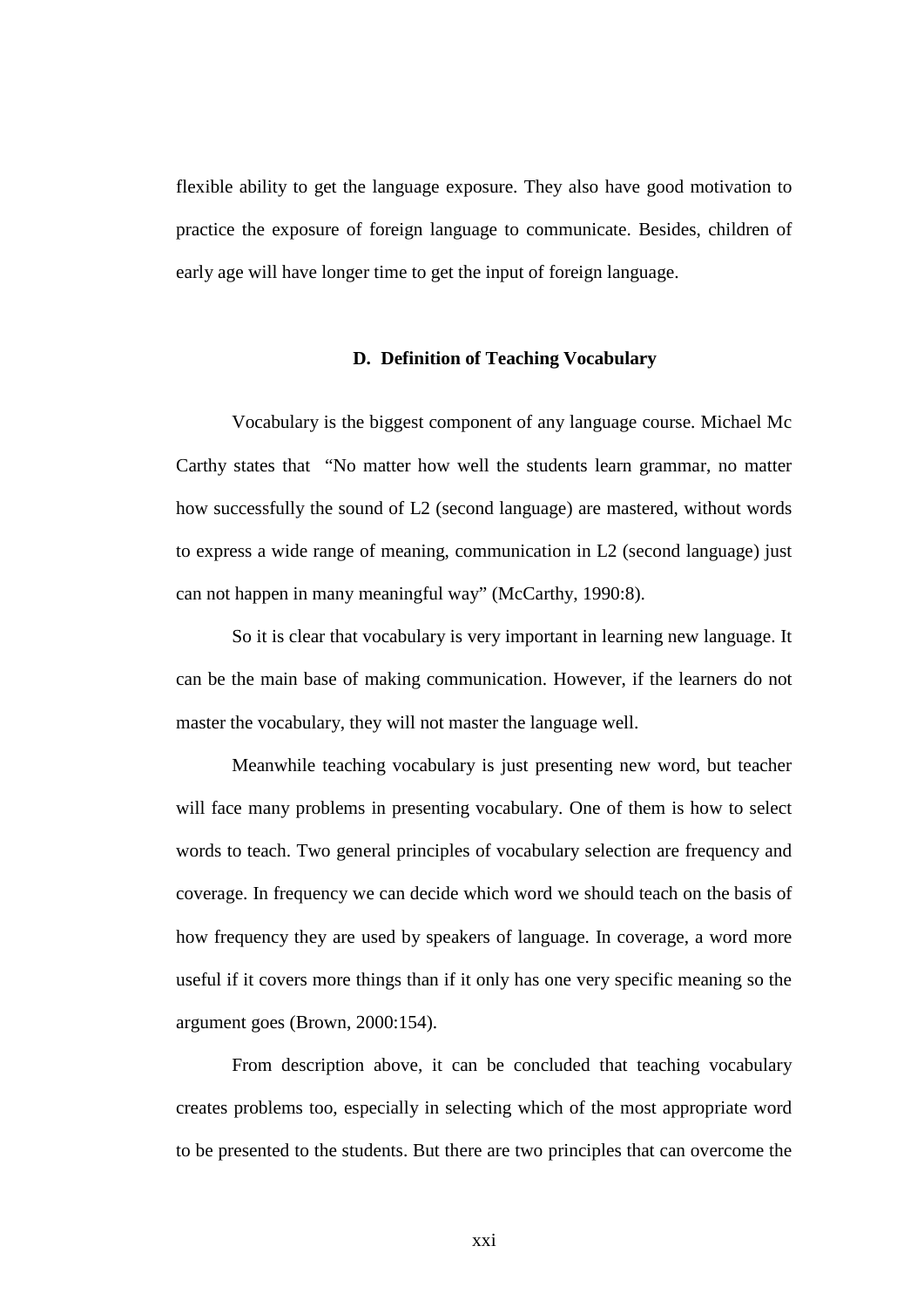flexible ability to get the language exposure. They also have good motivation to practice the exposure of foreign language to communicate. Besides, children of early age will have longer time to get the input of foreign language.

## **D. Definition of Teaching Vocabulary**

Vocabulary is the biggest component of any language course. Michael Mc Carthy states that "No matter how well the students learn grammar, no matter how successfully the sound of L2 (second language) are mastered, without words to express a wide range of meaning, communication in L2 (second language) just can not happen in many meaningful way" (McCarthy, 1990:8).

So it is clear that vocabulary is very important in learning new language. It can be the main base of making communication. However, if the learners do not master the vocabulary, they will not master the language well.

Meanwhile teaching vocabulary is just presenting new word, but teacher will face many problems in presenting vocabulary. One of them is how to select words to teach. Two general principles of vocabulary selection are frequency and coverage. In frequency we can decide which word we should teach on the basis of how frequency they are used by speakers of language. In coverage, a word more useful if it covers more things than if it only has one very specific meaning so the argument goes (Brown, 2000:154).

From description above, it can be concluded that teaching vocabulary creates problems too, especially in selecting which of the most appropriate word to be presented to the students. But there are two principles that can overcome the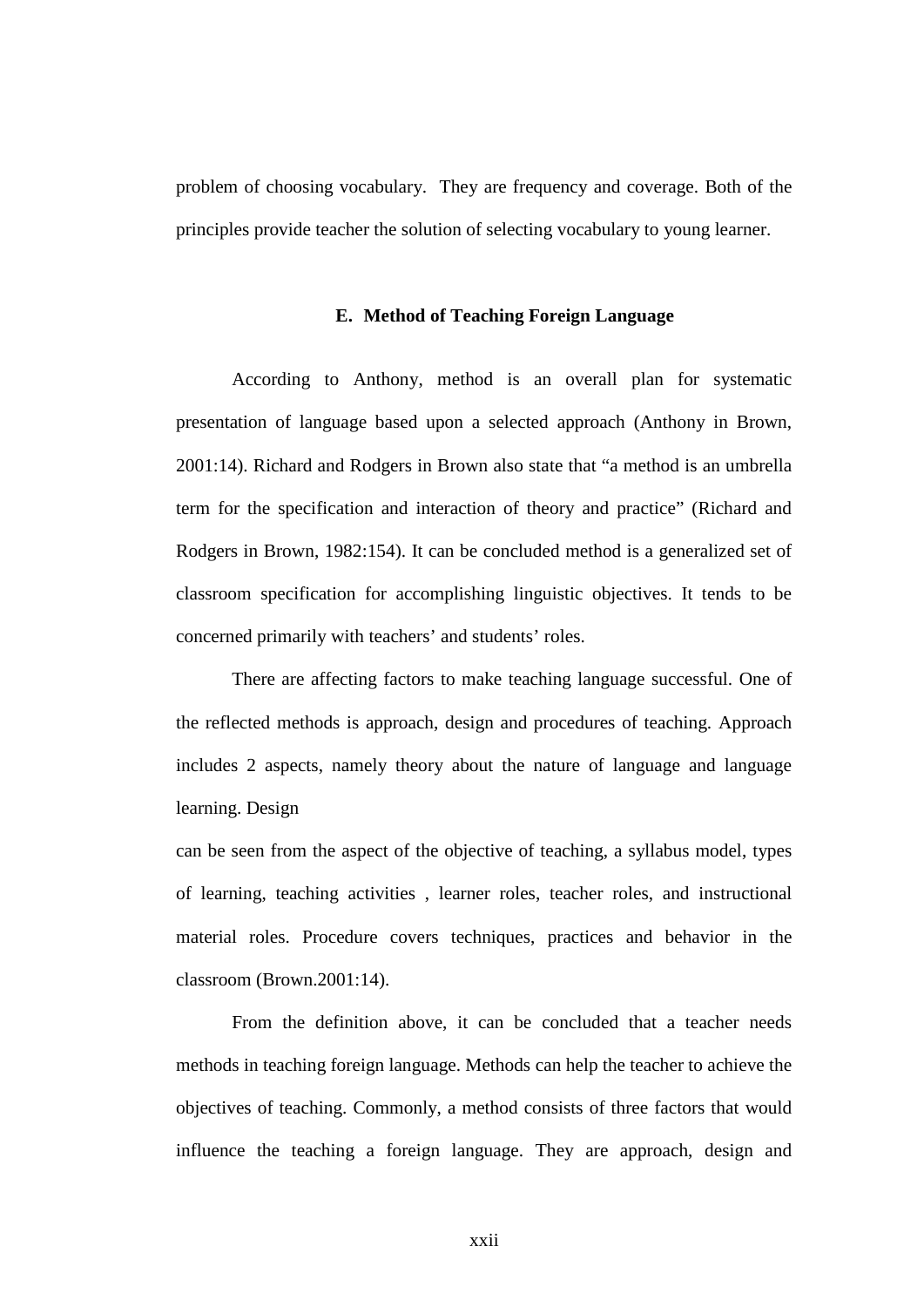problem of choosing vocabulary. They are frequency and coverage. Both of the principles provide teacher the solution of selecting vocabulary to young learner.

## **E. Method of Teaching Foreign Language**

According to Anthony, method is an overall plan for systematic presentation of language based upon a selected approach (Anthony in Brown, 2001:14). Richard and Rodgers in Brown also state that "a method is an umbrella term for the specification and interaction of theory and practice" (Richard and Rodgers in Brown, 1982:154). It can be concluded method is a generalized set of classroom specification for accomplishing linguistic objectives. It tends to be concerned primarily with teachers' and students' roles.

There are affecting factors to make teaching language successful. One of the reflected methods is approach, design and procedures of teaching. Approach includes 2 aspects, namely theory about the nature of language and language learning. Design

can be seen from the aspect of the objective of teaching, a syllabus model, types of learning, teaching activities , learner roles, teacher roles, and instructional material roles. Procedure covers techniques, practices and behavior in the classroom (Brown.2001:14).

From the definition above, it can be concluded that a teacher needs methods in teaching foreign language. Methods can help the teacher to achieve the objectives of teaching. Commonly, a method consists of three factors that would influence the teaching a foreign language. They are approach, design and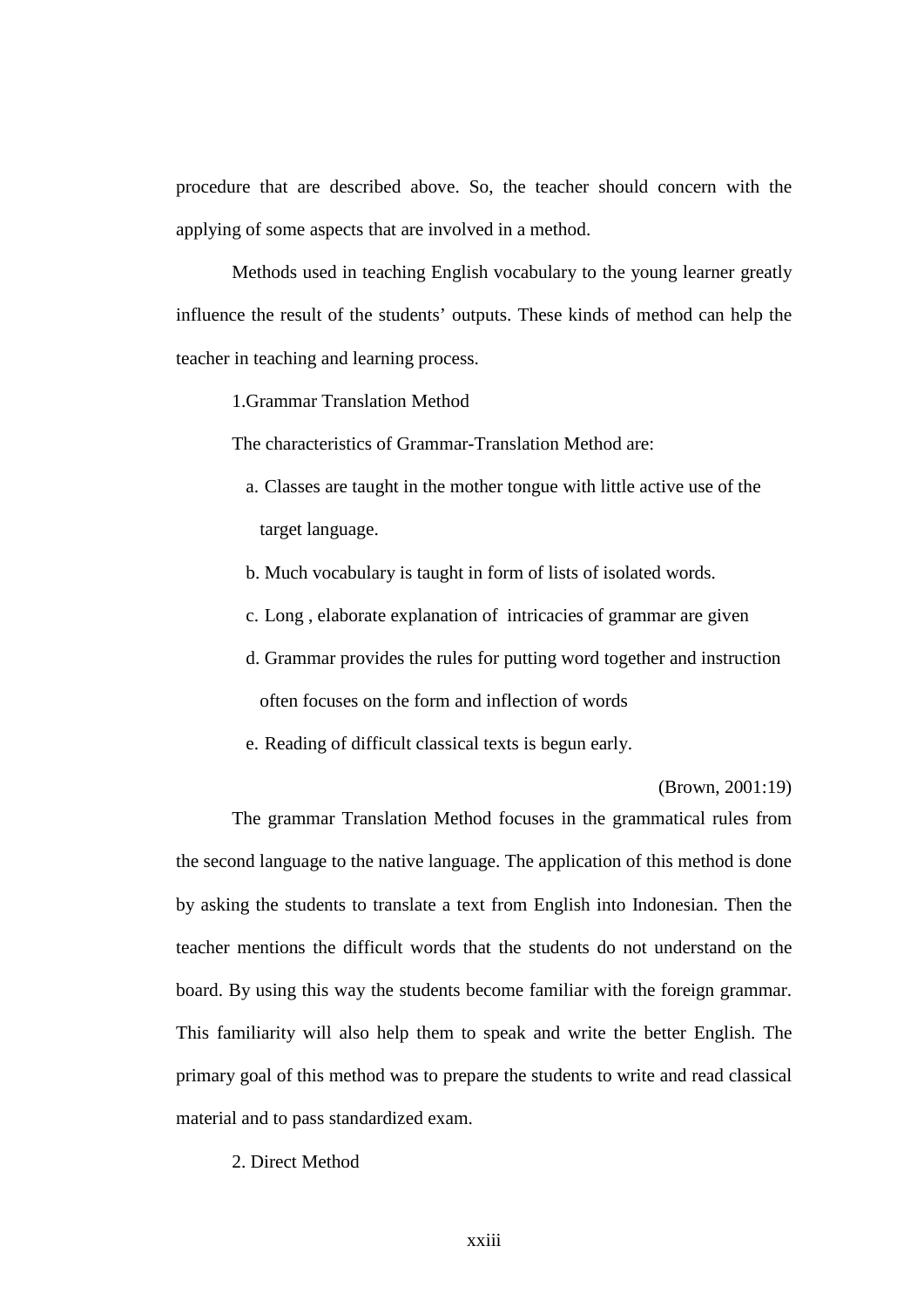procedure that are described above. So, the teacher should concern with the applying of some aspects that are involved in a method.

Methods used in teaching English vocabulary to the young learner greatly influence the result of the students' outputs. These kinds of method can help the teacher in teaching and learning process.

1.Grammar Translation Method

The characteristics of Grammar-Translation Method are:

- a. Classes are taught in the mother tongue with little active use of the target language.
- b. Much vocabulary is taught in form of lists of isolated words.
- c. Long , elaborate explanation of intricacies of grammar are given
- d. Grammar provides the rules for putting word together and instruction often focuses on the form and inflection of words
- e. Reading of difficult classical texts is begun early.

(Brown, 2001:19)

The grammar Translation Method focuses in the grammatical rules from the second language to the native language. The application of this method is done by asking the students to translate a text from English into Indonesian. Then the teacher mentions the difficult words that the students do not understand on the board. By using this way the students become familiar with the foreign grammar. This familiarity will also help them to speak and write the better English. The primary goal of this method was to prepare the students to write and read classical material and to pass standardized exam.

2. Direct Method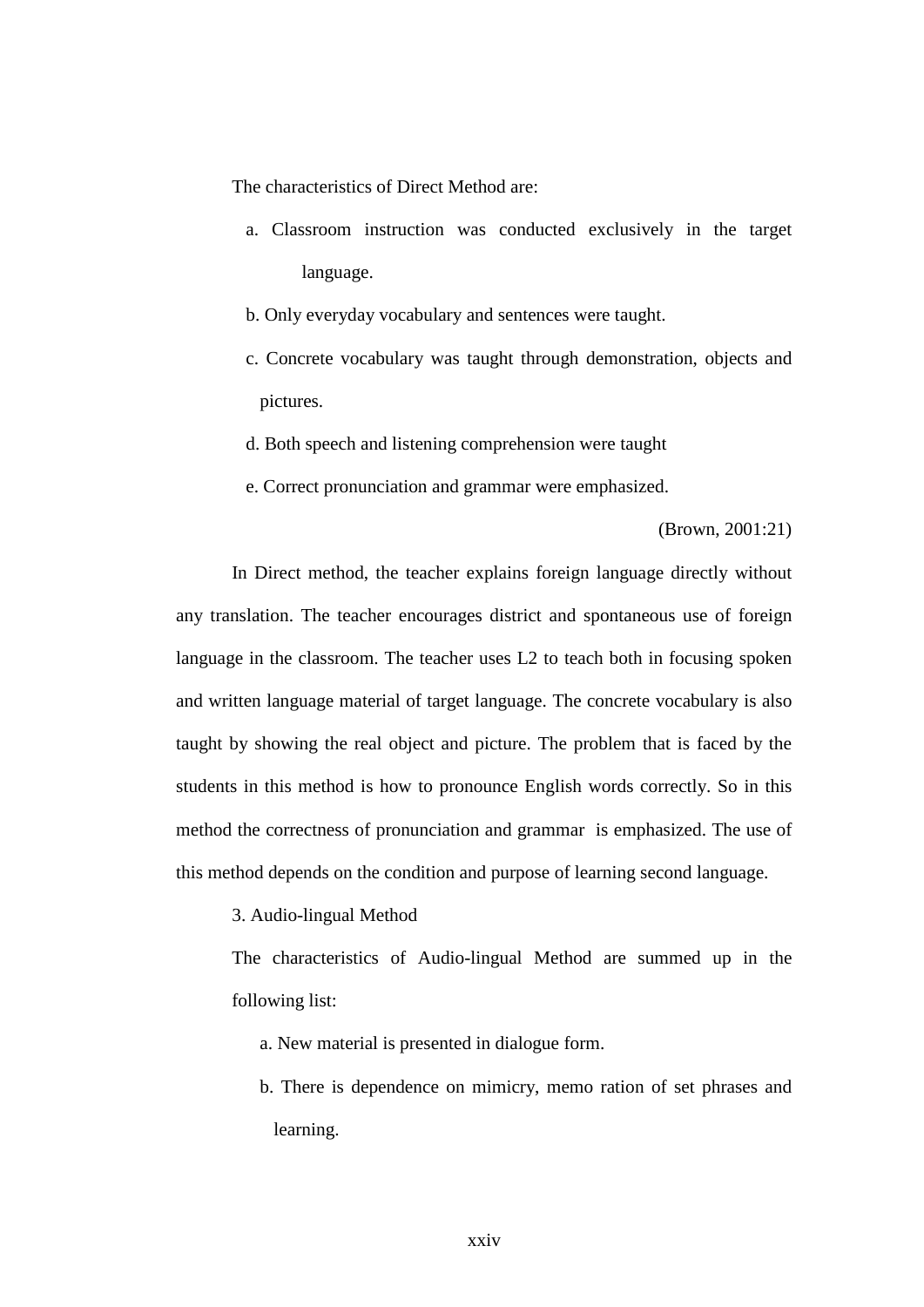The characteristics of Direct Method are:

- a. Classroom instruction was conducted exclusively in the target language.
- b. Only everyday vocabulary and sentences were taught.
- c. Concrete vocabulary was taught through demonstration, objects and pictures.
- d. Both speech and listening comprehension were taught
- e. Correct pronunciation and grammar were emphasized.

## (Brown, 2001:21)

In Direct method, the teacher explains foreign language directly without any translation. The teacher encourages district and spontaneous use of foreign language in the classroom. The teacher uses L2 to teach both in focusing spoken and written language material of target language. The concrete vocabulary is also taught by showing the real object and picture. The problem that is faced by the students in this method is how to pronounce English words correctly. So in this method the correctness of pronunciation and grammar is emphasized. The use of this method depends on the condition and purpose of learning second language.

3. Audio-lingual Method

The characteristics of Audio-lingual Method are summed up in the following list:

- a. New material is presented in dialogue form.
- b. There is dependence on mimicry, memo ration of set phrases and learning.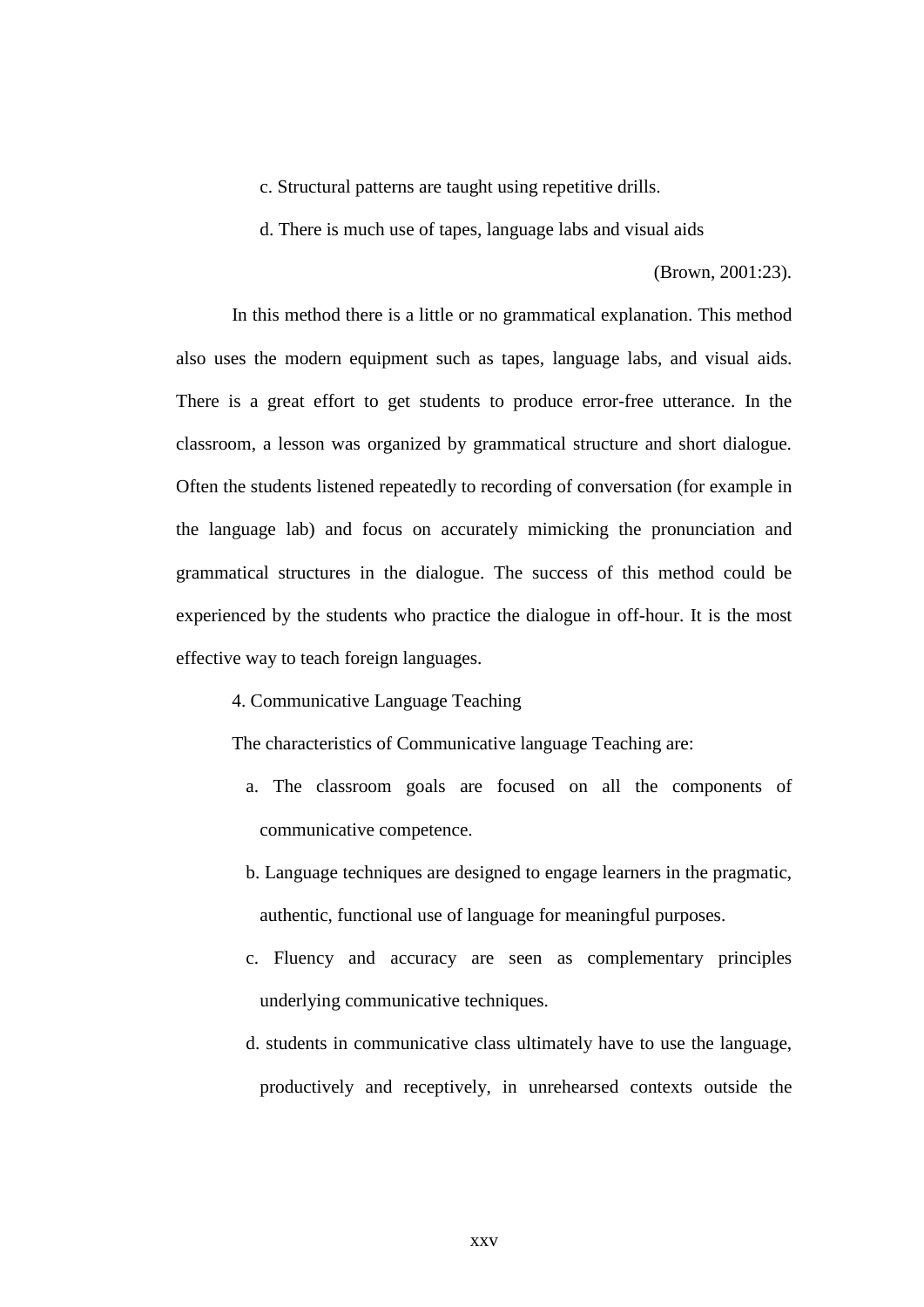- c. Structural patterns are taught using repetitive drills.
- d. There is much use of tapes, language labs and visual aids

(Brown, 2001:23).

In this method there is a little or no grammatical explanation. This method also uses the modern equipment such as tapes, language labs, and visual aids. There is a great effort to get students to produce error-free utterance. In the classroom, a lesson was organized by grammatical structure and short dialogue. Often the students listened repeatedly to recording of conversation (for example in the language lab) and focus on accurately mimicking the pronunciation and grammatical structures in the dialogue. The success of this method could be experienced by the students who practice the dialogue in off-hour. It is the most effective way to teach foreign languages.

4. Communicative Language Teaching

The characteristics of Communicative language Teaching are:

- a. The classroom goals are focused on all the components of communicative competence.
- b. Language techniques are designed to engage learners in the pragmatic, authentic, functional use of language for meaningful purposes.
- c. Fluency and accuracy are seen as complementary principles underlying communicative techniques.
- d. students in communicative class ultimately have to use the language, productively and receptively, in unrehearsed contexts outside the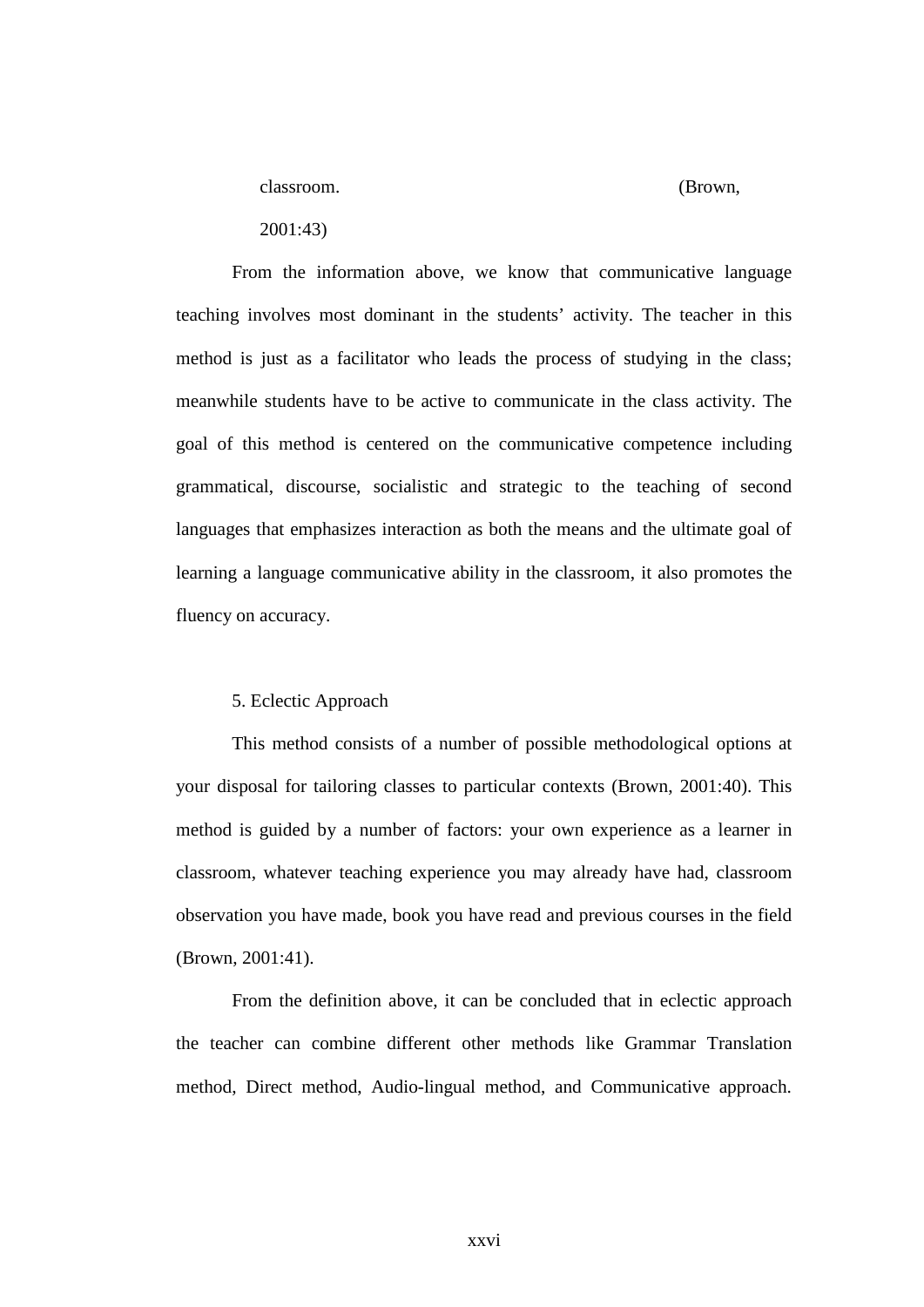classroom. (Brown,

2001:43)

From the information above, we know that communicative language teaching involves most dominant in the students' activity. The teacher in this method is just as a facilitator who leads the process of studying in the class; meanwhile students have to be active to communicate in the class activity. The goal of this method is centered on the communicative competence including grammatical, discourse, socialistic and strategic to the teaching of second languages that emphasizes interaction as both the means and the ultimate goal of learning a language communicative ability in the classroom, it also promotes the fluency on accuracy.

#### 5. Eclectic Approach

This method consists of a number of possible methodological options at your disposal for tailoring classes to particular contexts (Brown, 2001:40). This method is guided by a number of factors: your own experience as a learner in classroom, whatever teaching experience you may already have had, classroom observation you have made, book you have read and previous courses in the field (Brown, 2001:41).

From the definition above, it can be concluded that in eclectic approach the teacher can combine different other methods like Grammar Translation method, Direct method, Audio-lingual method, and Communicative approach.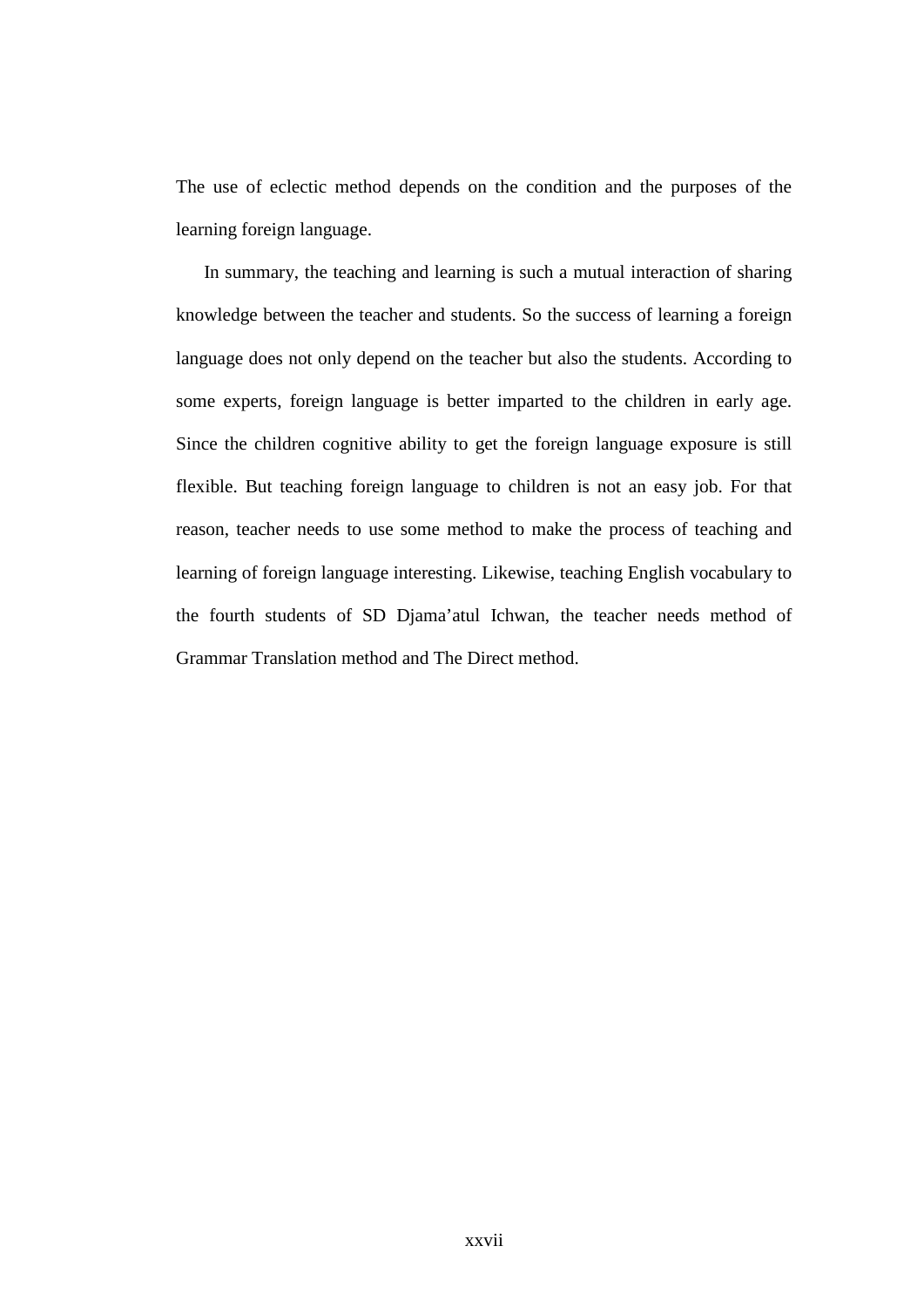The use of eclectic method depends on the condition and the purposes of the learning foreign language.

In summary, the teaching and learning is such a mutual interaction of sharing knowledge between the teacher and students. So the success of learning a foreign language does not only depend on the teacher but also the students. According to some experts, foreign language is better imparted to the children in early age. Since the children cognitive ability to get the foreign language exposure is still flexible. But teaching foreign language to children is not an easy job. For that reason, teacher needs to use some method to make the process of teaching and learning of foreign language interesting. Likewise, teaching English vocabulary to the fourth students of SD Djama'atul Ichwan, the teacher needs method of Grammar Translation method and The Direct method.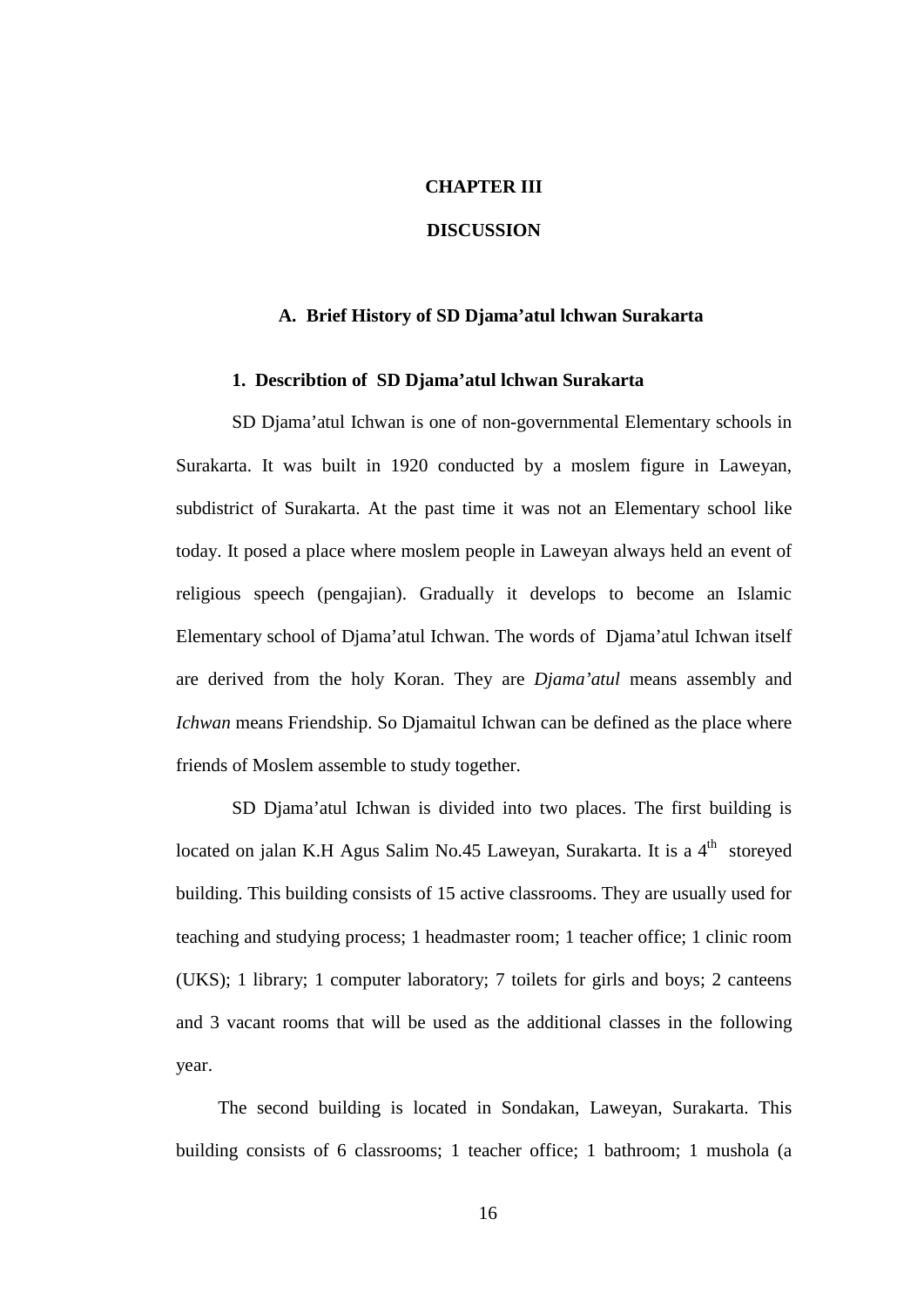## **CHAPTER III**

## **DISCUSSION**

## **A. Brief History of SD Djama'atul lchwan Surakarta**

### **1. Describtion of SD Djama'atul lchwan Surakarta**

SD Djama'atul Ichwan is one of non-governmental Elementary schools in Surakarta. It was built in 1920 conducted by a moslem figure in Laweyan, subdistrict of Surakarta. At the past time it was not an Elementary school like today. It posed a place where moslem people in Laweyan always held an event of religious speech (pengajian). Gradually it develops to become an Islamic Elementary school of Djama'atul Ichwan. The words of Djama'atul Ichwan itself are derived from the holy Koran. They are *Djama'atul* means assembly and *Ichwan* means Friendship. So Djamaitul Ichwan can be defined as the place where friends of Moslem assemble to study together.

SD Djama'atul Ichwan is divided into two places. The first building is located on jalan K.H Agus Salim No.45 Laweyan, Surakarta. It is a 4<sup>th</sup> storeyed building. This building consists of 15 active classrooms. They are usually used for teaching and studying process; 1 headmaster room; 1 teacher office; 1 clinic room (UKS); 1 library; 1 computer laboratory; 7 toilets for girls and boys; 2 canteens and 3 vacant rooms that will be used as the additional classes in the following year.

The second building is located in Sondakan, Laweyan, Surakarta. This building consists of 6 classrooms; 1 teacher office; 1 bathroom; 1 mushola (a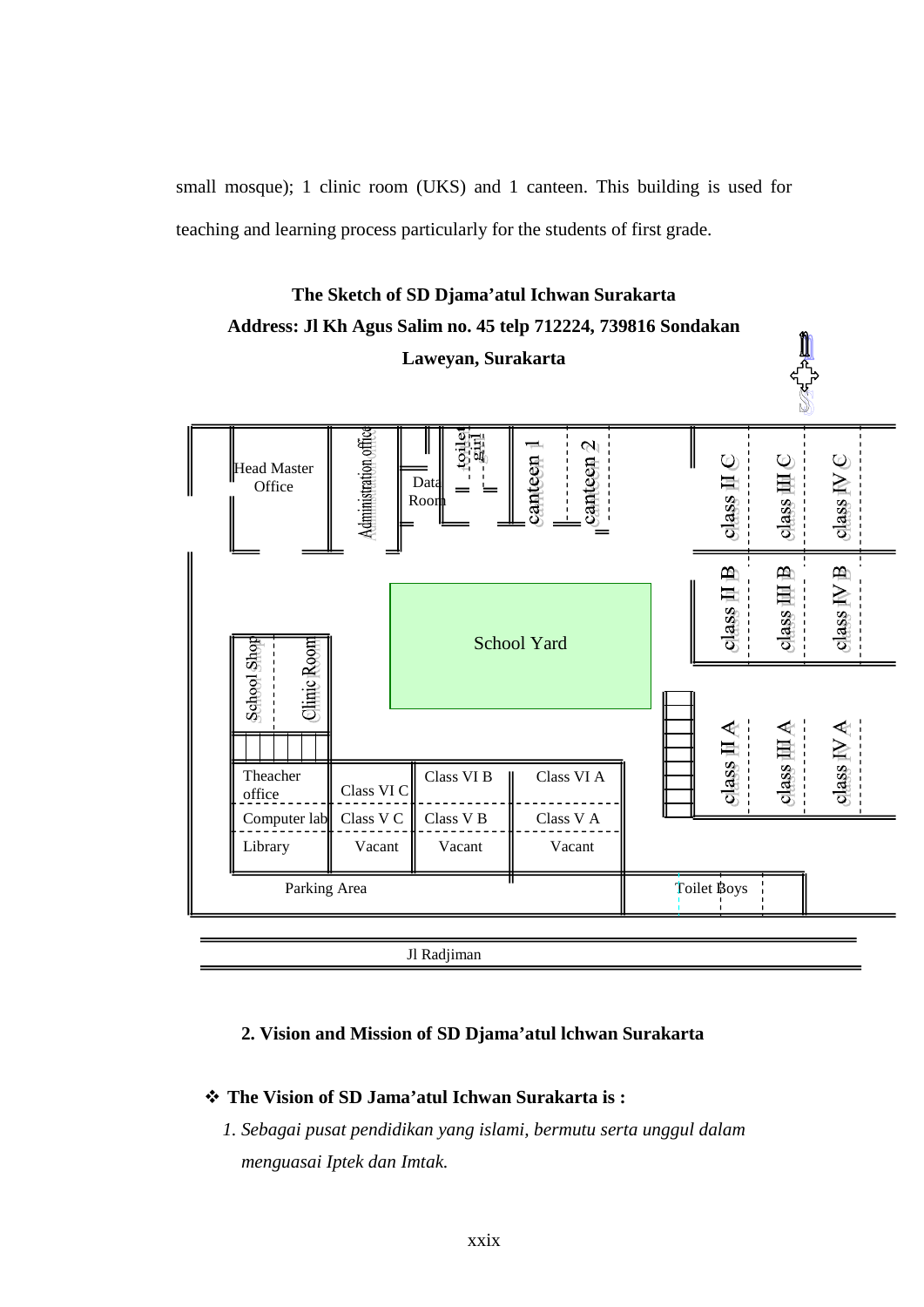small mosque); 1 clinic room (UKS) and 1 canteen. This building is used for teaching and learning process particularly for the students of first grade.



# **The Sketch of SD Djama'atul Ichwan Surakarta Address: Jl Kh Agus Salim no. 45 telp 712224, 739816 Sondakan**

## **2. Vision and Mission of SD Djama'atul lchwan Surakarta**

## v **The Vision of SD Jama'atul Ichwan Surakarta is :**

*1. Sebagai pusat pendidikan yang islami, bermutu serta unggul dalam menguasai Iptek dan Imtak.*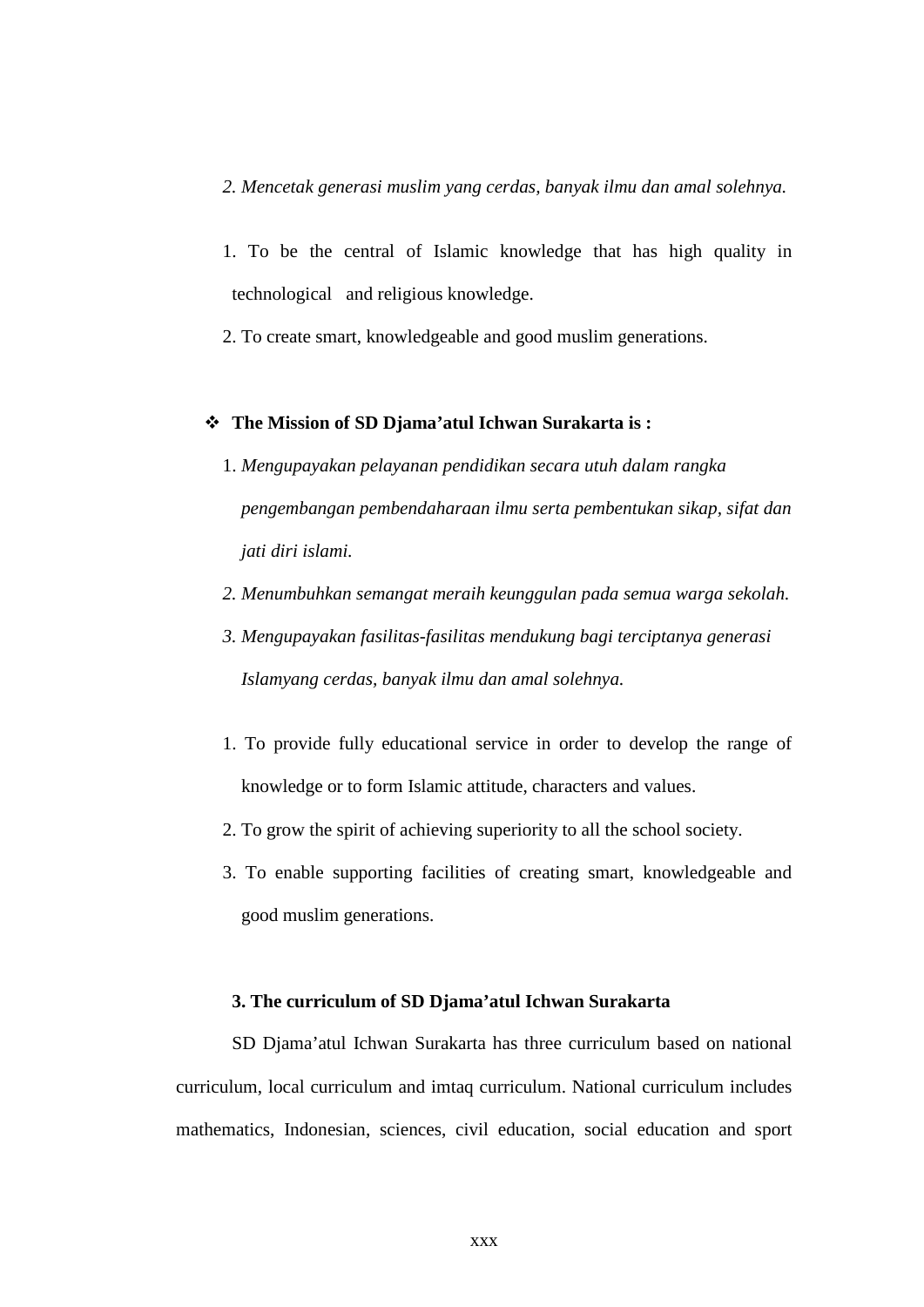- *2. Mencetak generasi muslim yang cerdas, banyak ilmu dan amal solehnya.*
- 1. To be the central of Islamic knowledge that has high quality in technological and religious knowledge.
- 2. To create smart, knowledgeable and good muslim generations.

## v **The Mission of SD Djama'atul Ichwan Surakarta is :**

- 1. *Mengupayakan pelayanan pendidikan secara utuh dalam rangka pengembangan pembendaharaan ilmu serta pembentukan sikap, sifat dan jati diri islami.*
- *2. Menumbuhkan semangat meraih keunggulan pada semua warga sekolah.*
- *3. Mengupayakan fasilitas-fasilitas mendukung bagi terciptanya generasi Islamyang cerdas, banyak ilmu dan amal solehnya.*
- 1. To provide fully educational service in order to develop the range of knowledge or to form Islamic attitude, characters and values.
- 2. To grow the spirit of achieving superiority to all the school society.
- 3. To enable supporting facilities of creating smart, knowledgeable and good muslim generations.

### **3. The curriculum of SD Djama'atul Ichwan Surakarta**

SD Djama'atul Ichwan Surakarta has three curriculum based on national curriculum, local curriculum and imtaq curriculum. National curriculum includes mathematics, Indonesian, sciences, civil education, social education and sport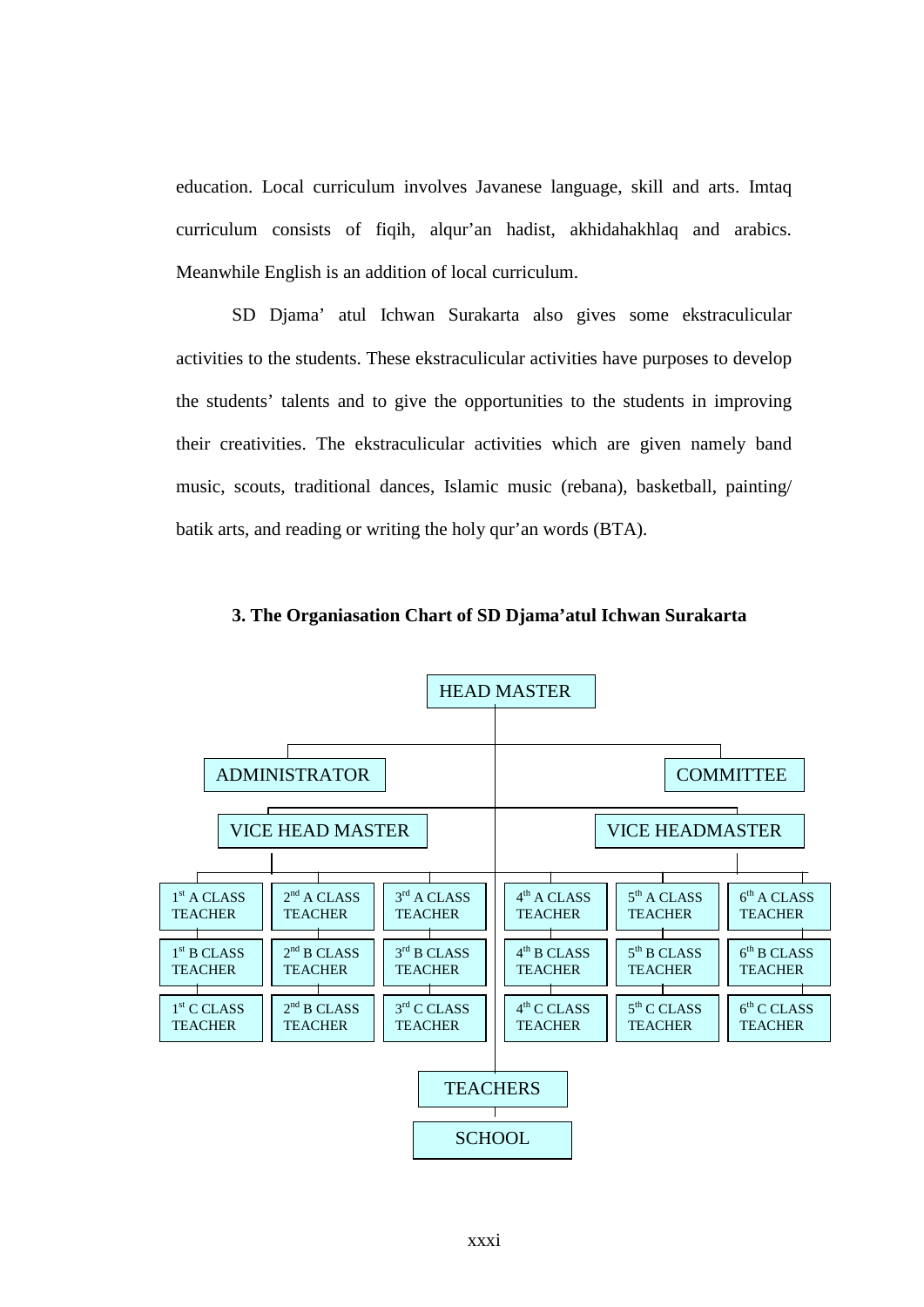education. Local curriculum involves Javanese language, skill and arts. Imtaq curriculum consists of fiqih, alqur'an hadist, akhidahakhlaq and arabics. Meanwhile English is an addition of local curriculum.

SD Djama' atul Ichwan Surakarta also gives some ekstraculicular activities to the students. These ekstraculicular activities have purposes to develop the students' talents and to give the opportunities to the students in improving their creativities. The ekstraculicular activities which are given namely band music, scouts, traditional dances, Islamic music (rebana), basketball, painting/ batik arts, and reading or writing the holy qur'an words (BTA).



**3. The Organiasation Chart of SD Djama'atul Ichwan Surakarta**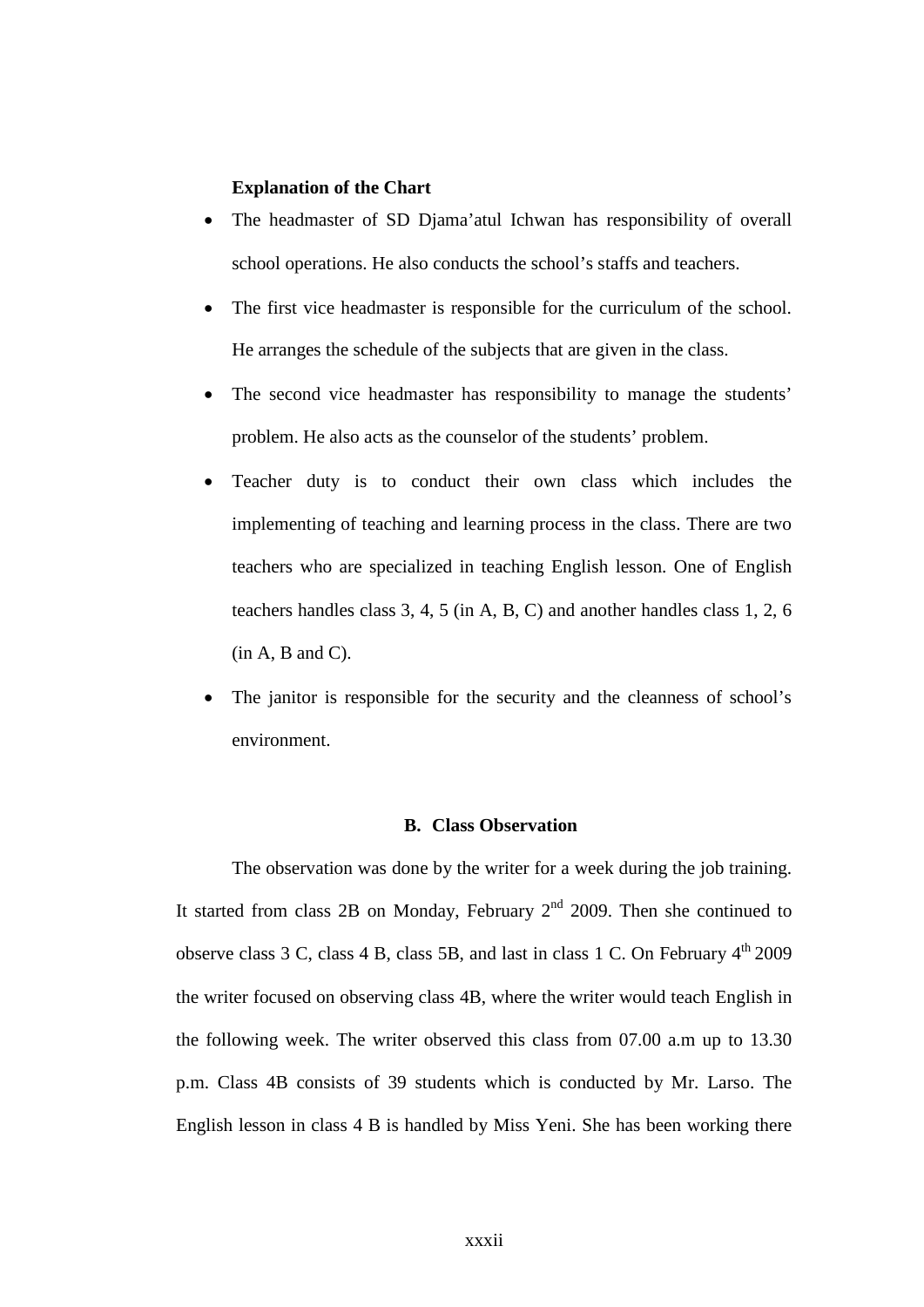## **Explanation of the Chart**

- The headmaster of SD Djama'atul Ichwan has responsibility of overall school operations. He also conducts the school's staffs and teachers.
- The first vice headmaster is responsible for the curriculum of the school. He arranges the schedule of the subjects that are given in the class.
- The second vice headmaster has responsibility to manage the students' problem. He also acts as the counselor of the students' problem.
- Teacher duty is to conduct their own class which includes the implementing of teaching and learning process in the class. There are two teachers who are specialized in teaching English lesson. One of English teachers handles class 3, 4, 5 (in A, B, C) and another handles class 1, 2, 6  $(in A, B, and C).$
- The janitor is responsible for the security and the cleanness of school's environment.

## **B. Class Observation**

The observation was done by the writer for a week during the job training. It started from class 2B on Monday, February  $2<sup>nd</sup>$  2009. Then she continued to observe class 3 C, class 4 B, class 5B, and last in class 1 C. On February  $4<sup>th</sup>$  2009 the writer focused on observing class 4B, where the writer would teach English in the following week. The writer observed this class from 07.00 a.m up to 13.30 p.m. Class 4B consists of 39 students which is conducted by Mr. Larso. The English lesson in class 4 B is handled by Miss Yeni. She has been working there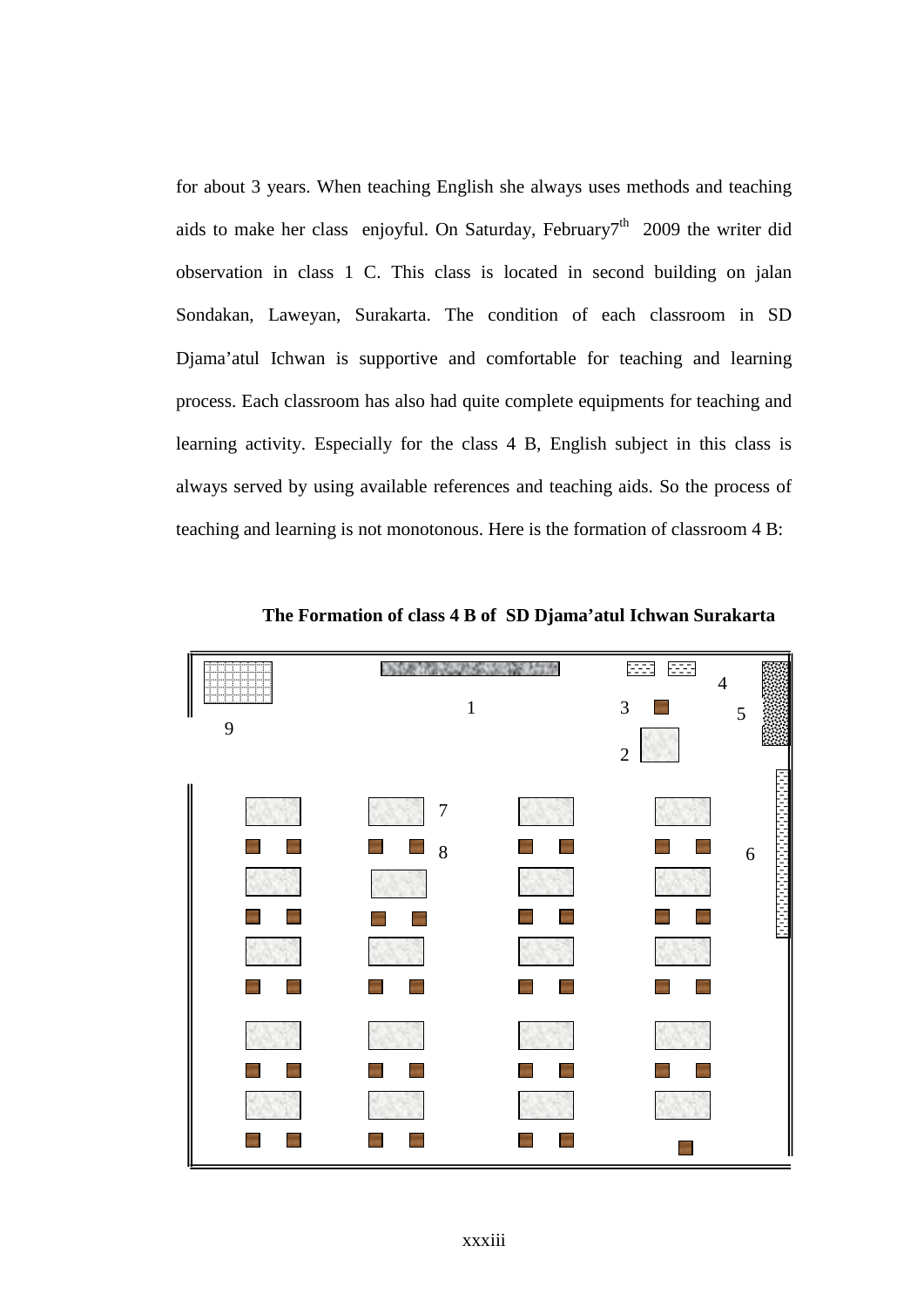for about 3 years. When teaching English she always uses methods and teaching aids to make her class enjoyful. On Saturday, February<sup>7th</sup> 2009 the writer did observation in class 1 C. This class is located in second building on jalan Sondakan, Laweyan, Surakarta. The condition of each classroom in SD Djama'atul Ichwan is supportive and comfortable for teaching and learning process. Each classroom has also had quite complete equipments for teaching and learning activity. Especially for the class 4 B, English subject in this class is always served by using available references and teaching aids. So the process of teaching and learning is not monotonous. Here is the formation of classroom 4 B:



**The Formation of class 4 B of SD Djama'atul Ichwan Surakarta**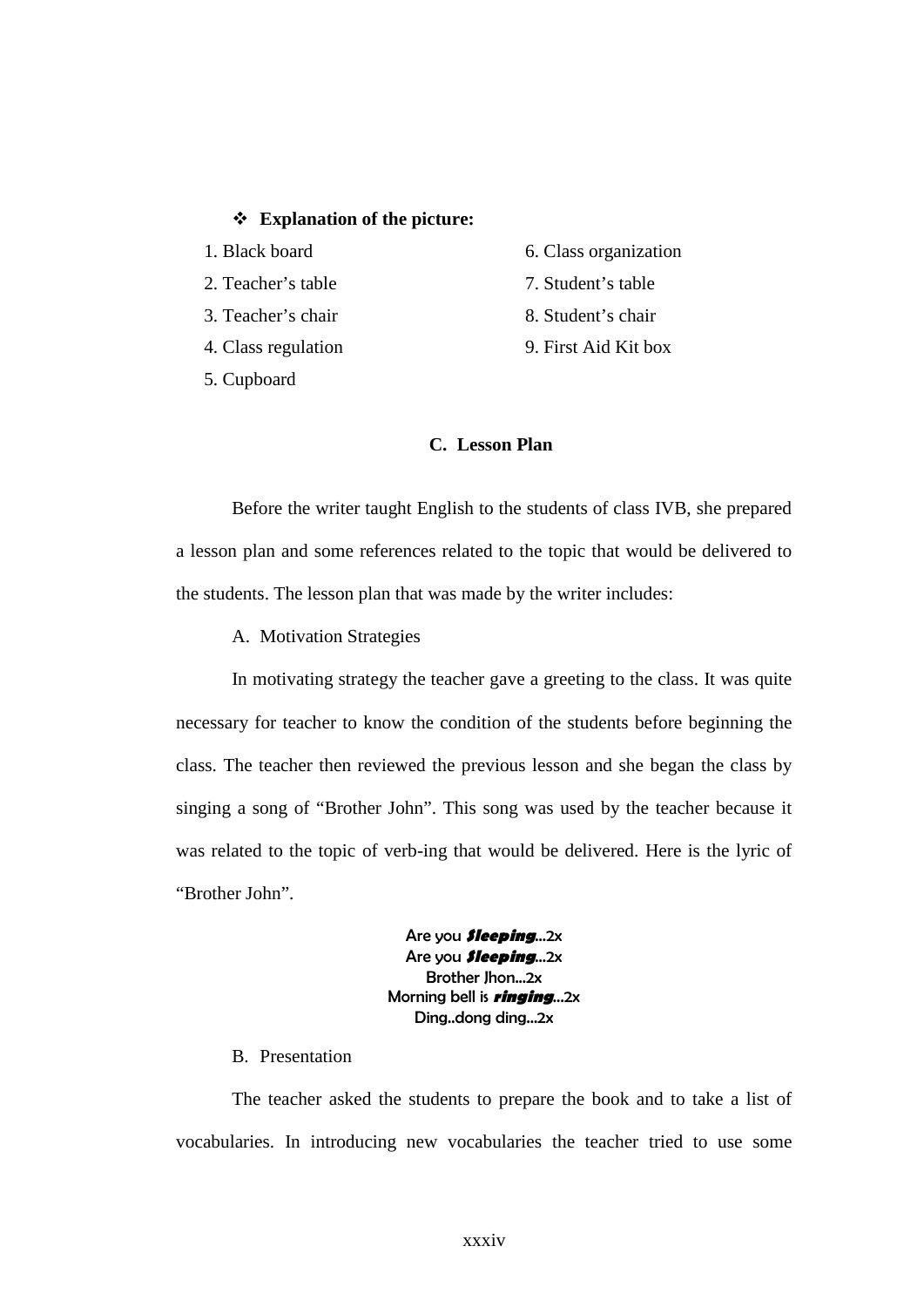## v **Explanation of the picture:**

- 1. Black board
- 2. Teacher's table
- 3. Teacher's chair
- 4. Class regulation
- 5. Cupboard
- 6. Class organization
- 7. Student's table
- 8. Student's chair
- 9. First Aid Kit box

## **C. Lesson Plan**

Before the writer taught English to the students of class IVB, she prepared a lesson plan and some references related to the topic that would be delivered to the students. The lesson plan that was made by the writer includes:

A. Motivation Strategies

In motivating strategy the teacher gave a greeting to the class. It was quite necessary for teacher to know the condition of the students before beginning the class. The teacher then reviewed the previous lesson and she began the class by singing a song of "Brother John". This song was used by the teacher because it was related to the topic of verb-ing that would be delivered. Here is the lyric of "Brother John".

> Are you **Sleeping**...2x Are you **Sleeping**...2x Brother Jhon...2x Morning bell is **ringing**...2x Ding..dong ding...2x

B. Presentation

The teacher asked the students to prepare the book and to take a list of vocabularies. In introducing new vocabularies the teacher tried to use some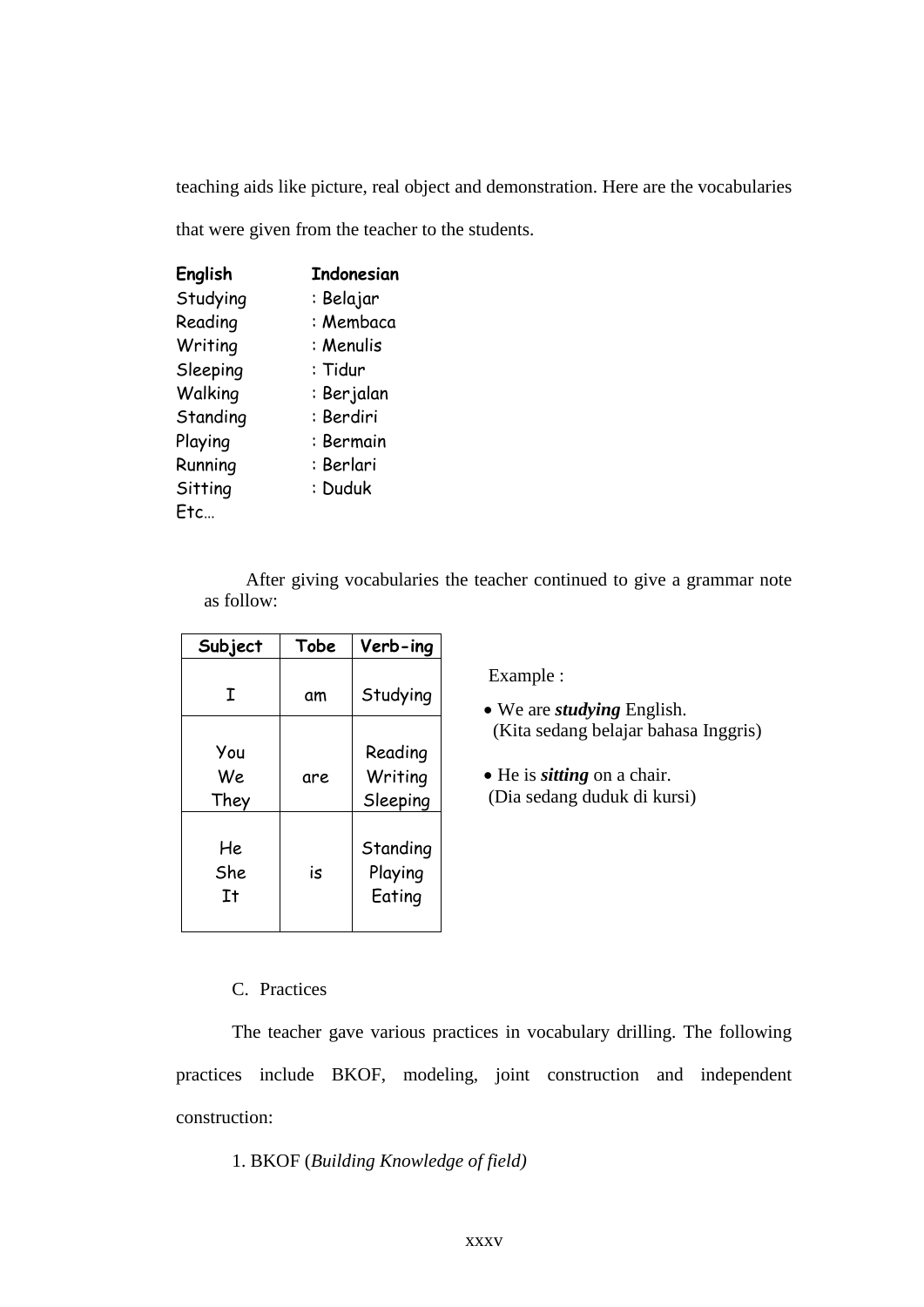teaching aids like picture, real object and demonstration. Here are the vocabularies

that were given from the teacher to the students.

| English  | Indonesian |
|----------|------------|
| Studying | : Belajar  |
| Reading  | : Membaca  |
| Writing  | : Menulis  |
| Sleeping | : Tidur    |
| Walking  | : Berjalan |
| Standing | : Berdiri  |
| Playing  | : Bermain  |
| Running  | : Berlari  |
| Sitting  | : Duduk    |
| Ftc      |            |

After giving vocabularies the teacher continued to give a grammar note as follow:

| Subject           | Tobe | Verb-ing                       |
|-------------------|------|--------------------------------|
| I                 | αm   | Studying                       |
| You<br>We<br>They | are  | Reading<br>Writing<br>Sleeping |
| He<br>She<br>It   | is   | Standing<br>Playing<br>Eating  |

Example :

- · We are *studying* English. (Kita sedang belajar bahasa Inggris)
- He is *sitting* on a chair. (Dia sedang duduk di kursi)

## C. Practices

The teacher gave various practices in vocabulary drilling. The following practices include BKOF, modeling, joint construction and independent construction:

## 1. BKOF (*Building Knowledge of field)*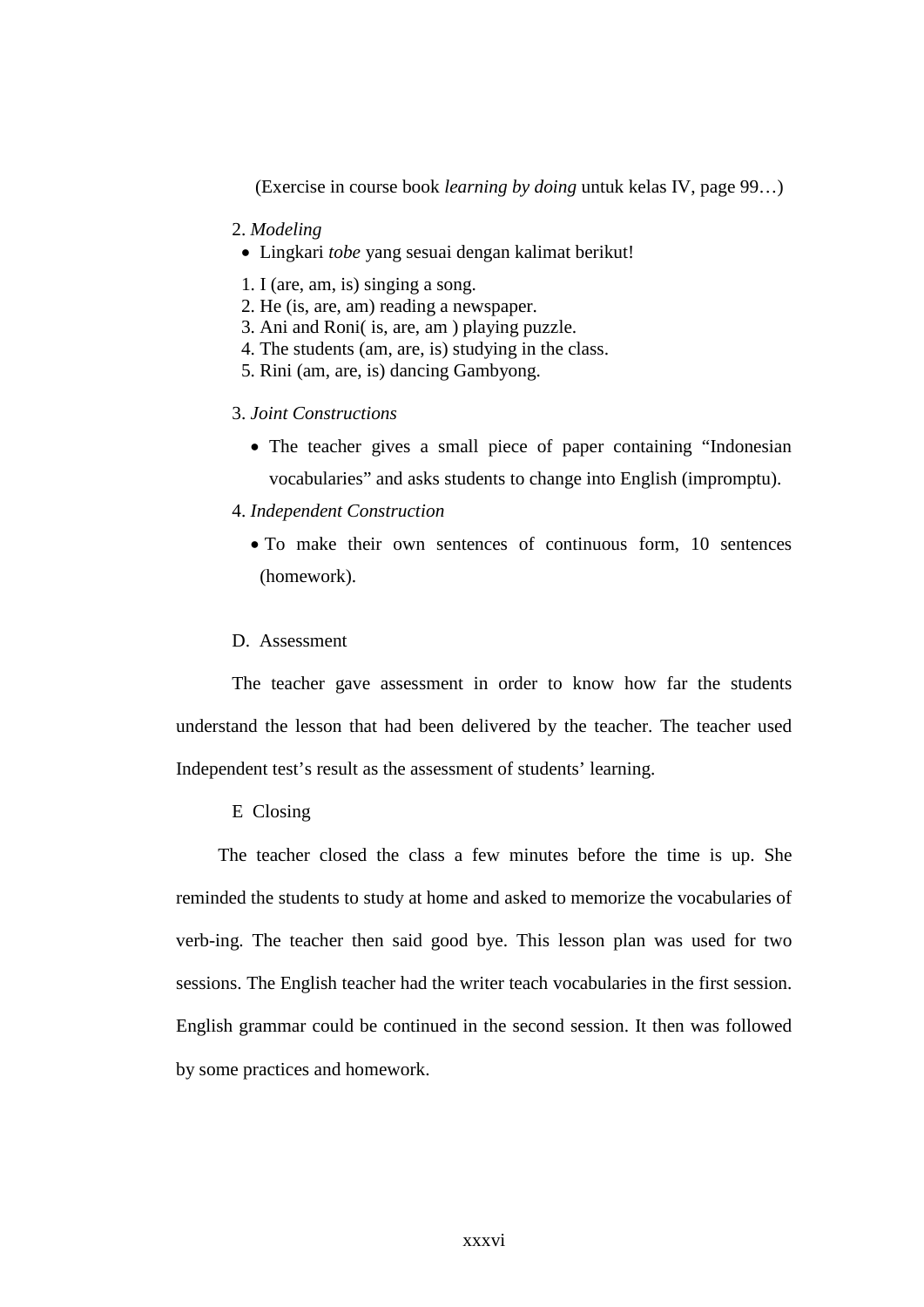(Exercise in course book *learning by doing* untuk kelas IV, page 99…)

- 2. *Modeling*
- · Lingkari *tobe* yang sesuai dengan kalimat berikut!
- 1. I (are, am, is) singing a song.
- 2. He (is, are, am) reading a newspaper.
- 3. Ani and Roni( is, are, am ) playing puzzle.
- 4. The students (am, are, is) studying in the class.
- 5. Rini (am, are, is) dancing Gambyong.
- 3. *Joint Constructions*
	- The teacher gives a small piece of paper containing "Indonesian vocabularies" and asks students to change into English (impromptu).
- 4. *Independent Construction*
	- To make their own sentences of continuous form, 10 sentences (homework).
- D. Assessment

The teacher gave assessment in order to know how far the students understand the lesson that had been delivered by the teacher. The teacher used Independent test's result as the assessment of students' learning.

E Closing

The teacher closed the class a few minutes before the time is up. She reminded the students to study at home and asked to memorize the vocabularies of verb-ing. The teacher then said good bye. This lesson plan was used for two sessions. The English teacher had the writer teach vocabularies in the first session. English grammar could be continued in the second session. It then was followed by some practices and homework.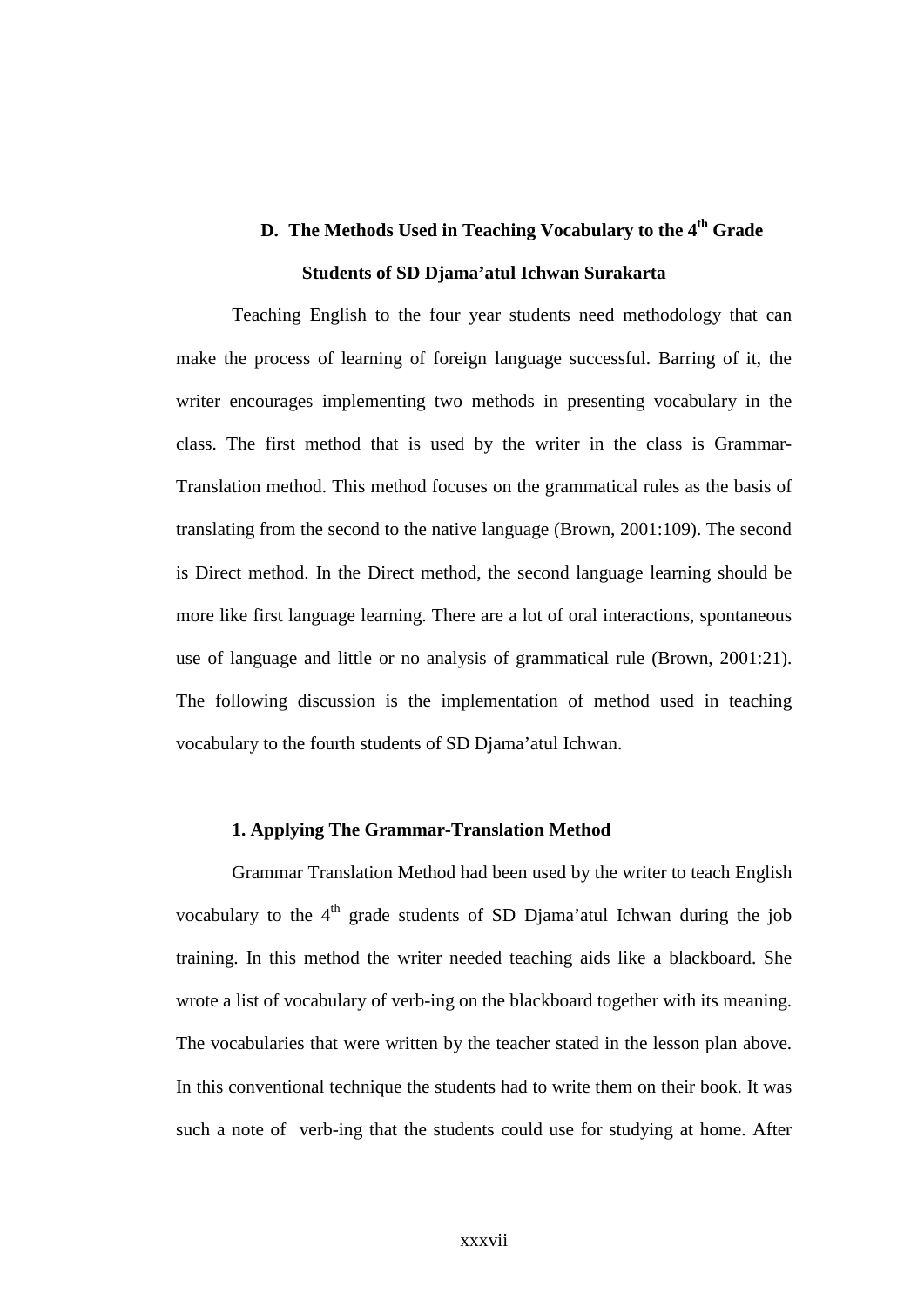## **D.** The Methods Used in Teaching Vocabulary to the 4<sup>th</sup> Grade **Students of SD Djama'atul Ichwan Surakarta**

Teaching English to the four year students need methodology that can make the process of learning of foreign language successful. Barring of it, the writer encourages implementing two methods in presenting vocabulary in the class. The first method that is used by the writer in the class is Grammar-Translation method. This method focuses on the grammatical rules as the basis of translating from the second to the native language (Brown, 2001:109). The second is Direct method. In the Direct method, the second language learning should be more like first language learning. There are a lot of oral interactions, spontaneous use of language and little or no analysis of grammatical rule (Brown, 2001:21). The following discussion is the implementation of method used in teaching vocabulary to the fourth students of SD Djama'atul Ichwan.

## **1. Applying The Grammar-Translation Method**

Grammar Translation Method had been used by the writer to teach English vocabulary to the  $4<sup>th</sup>$  grade students of SD Djama'atul Ichwan during the job training. In this method the writer needed teaching aids like a blackboard. She wrote a list of vocabulary of verb-ing on the blackboard together with its meaning. The vocabularies that were written by the teacher stated in the lesson plan above. In this conventional technique the students had to write them on their book. It was such a note of verb-ing that the students could use for studying at home. After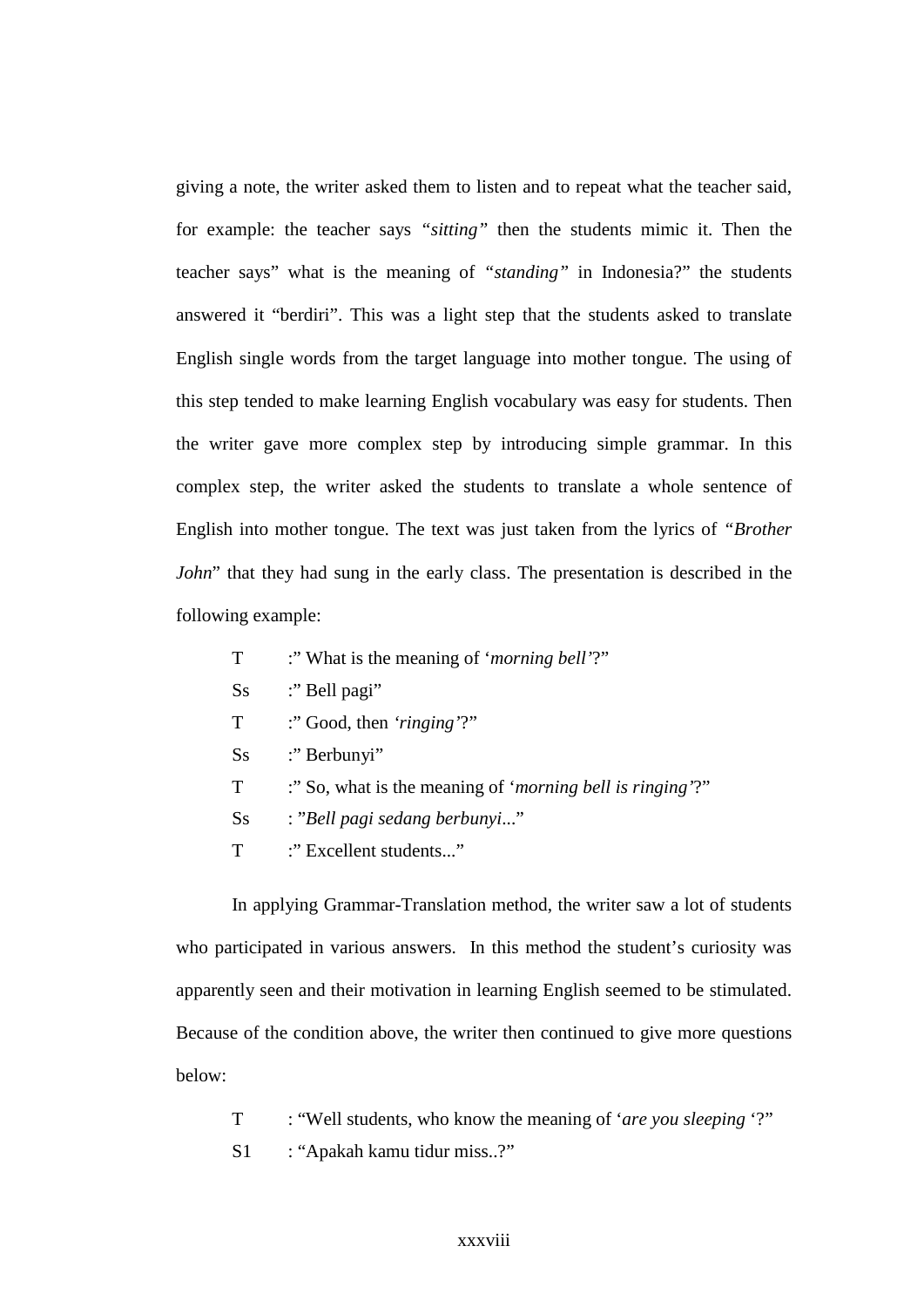giving a note, the writer asked them to listen and to repeat what the teacher said, for example: the teacher says *"sitting"* then the students mimic it. Then the teacher says" what is the meaning of *"standing"* in Indonesia?" the students answered it "berdiri". This was a light step that the students asked to translate English single words from the target language into mother tongue. The using of this step tended to make learning English vocabulary was easy for students. Then the writer gave more complex step by introducing simple grammar. In this complex step, the writer asked the students to translate a whole sentence of English into mother tongue. The text was just taken from the lyrics of *"Brother John*" that they had sung in the early class. The presentation is described in the following example:

- T :" What is the meaning of '*morning bell'*?"
- Ss :" Bell pagi"
- T :" Good, then *'ringing'*?"
- Ss :" Berbunyi"
- T :" So, what is the meaning of '*morning bell is ringing'*?"
- Ss : "*Bell pagi sedang berbunyi*..."
- T :" Excellent students..."

In applying Grammar-Translation method, the writer saw a lot of students who participated in various answers. In this method the student's curiosity was apparently seen and their motivation in learning English seemed to be stimulated. Because of the condition above, the writer then continued to give more questions below:

T : "Well students, who know the meaning of '*are you sleeping* '?" S1 : "Apakah kamu tidur miss..?"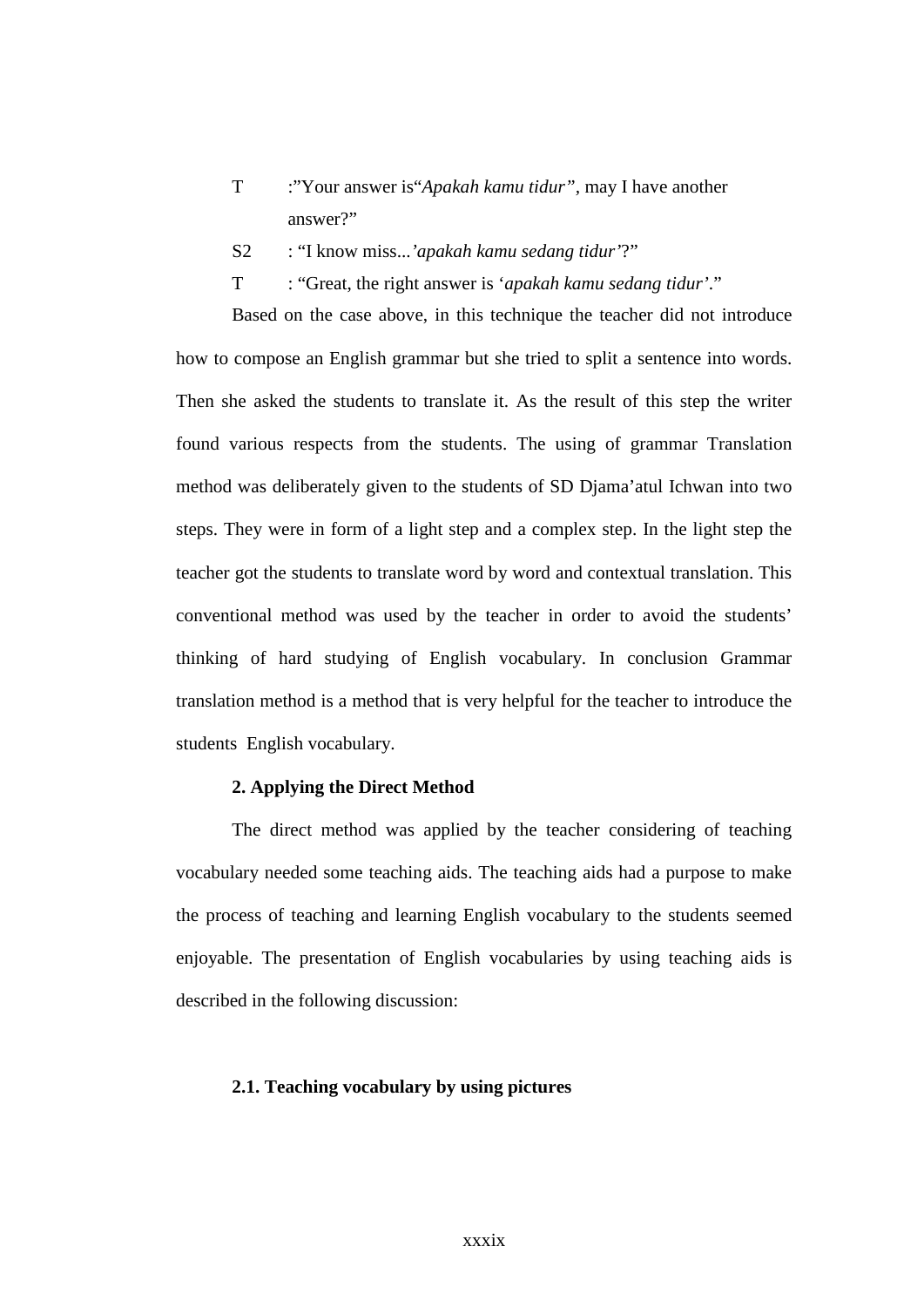- T :"Your answer is"*Apakah kamu tidur",* may I have another answer?"
- S2 : "I know miss...*'apakah kamu sedang tidur'*?"
- T : "Great, the right answer is '*apakah kamu sedang tidur'*."

Based on the case above, in this technique the teacher did not introduce how to compose an English grammar but she tried to split a sentence into words. Then she asked the students to translate it. As the result of this step the writer found various respects from the students. The using of grammar Translation method was deliberately given to the students of SD Djama'atul Ichwan into two steps. They were in form of a light step and a complex step. In the light step the teacher got the students to translate word by word and contextual translation. This conventional method was used by the teacher in order to avoid the students' thinking of hard studying of English vocabulary. In conclusion Grammar translation method is a method that is very helpful for the teacher to introduce the students English vocabulary.

## **2. Applying the Direct Method**

The direct method was applied by the teacher considering of teaching vocabulary needed some teaching aids. The teaching aids had a purpose to make the process of teaching and learning English vocabulary to the students seemed enjoyable. The presentation of English vocabularies by using teaching aids is described in the following discussion:

### **2.1. Teaching vocabulary by using pictures**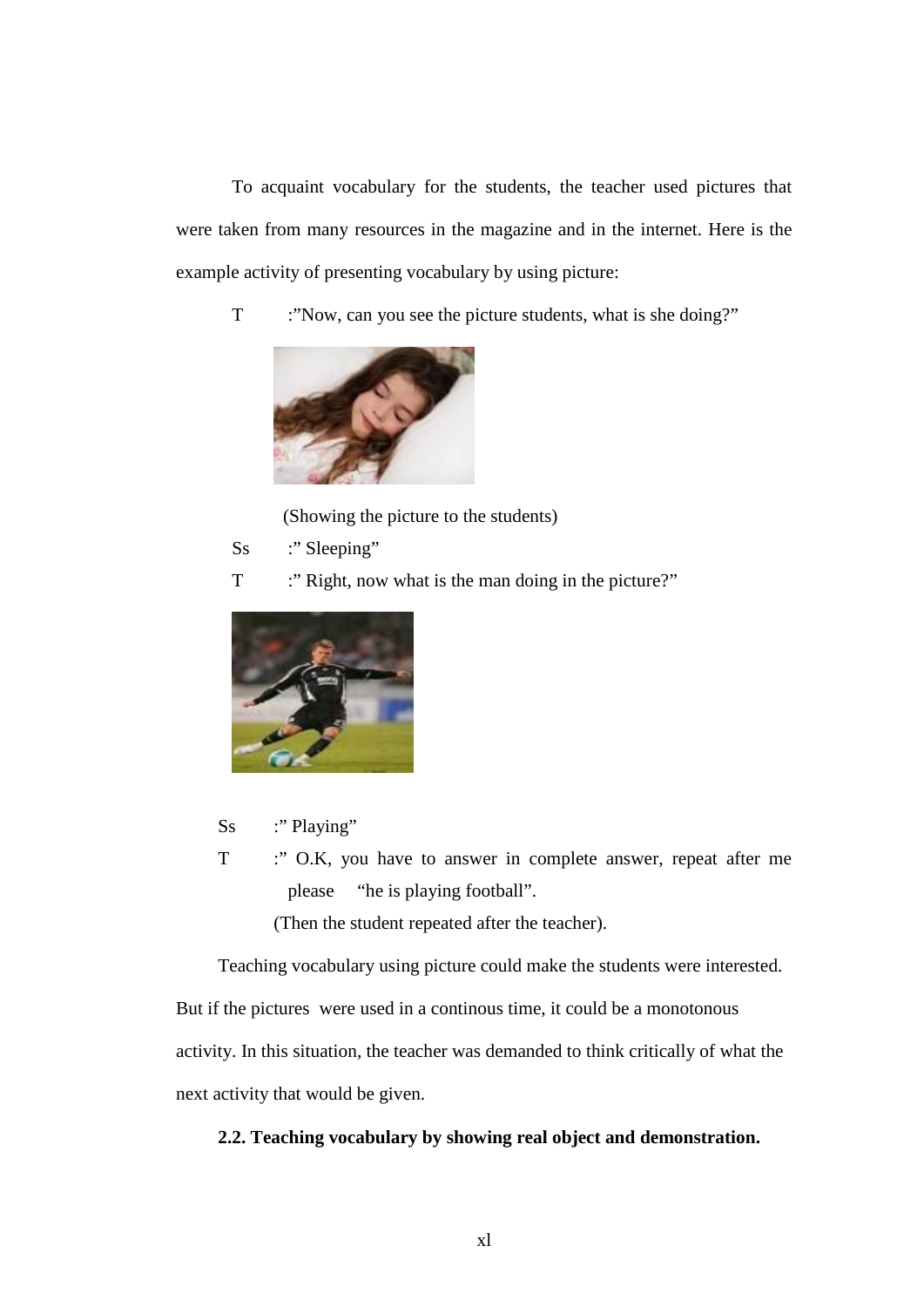To acquaint vocabulary for the students, the teacher used pictures that were taken from many resources in the magazine and in the internet. Here is the example activity of presenting vocabulary by using picture:

T :"Now, can you see the picture students, what is she doing?"



(Showing the picture to the students)

- Ss :" Sleeping"
- T :" Right, now what is the man doing in the picture?"



- Ss :" Playing"
- T : " O.K, you have to answer in complete answer, repeat after me please "he is playing football".

(Then the student repeated after the teacher).

Teaching vocabulary using picture could make the students were interested.

But if the pictures were used in a continous time, it could be a monotonous activity. In this situation, the teacher was demanded to think critically of what the next activity that would be given.

## **2.2. Teaching vocabulary by showing real object and demonstration.**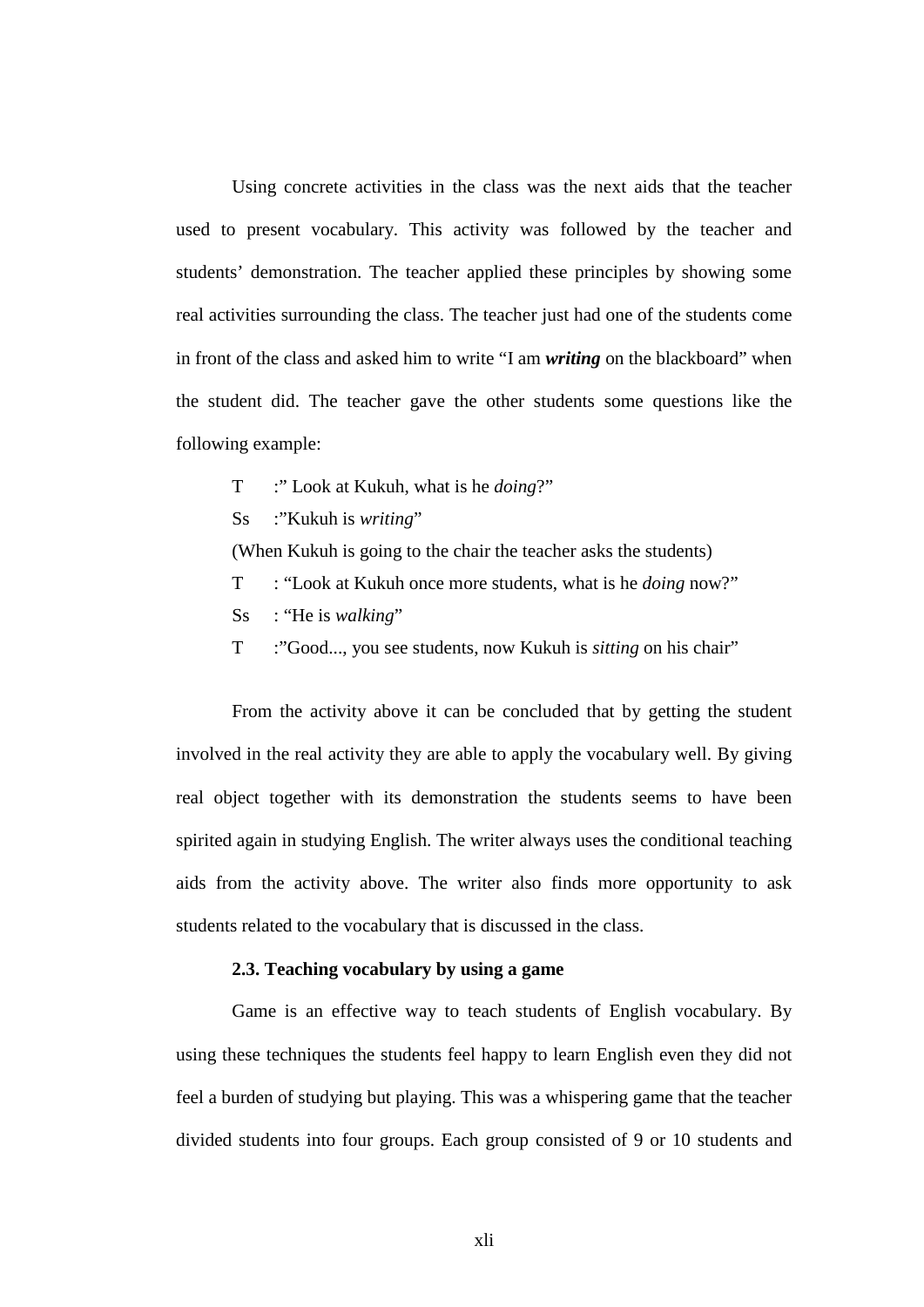Using concrete activities in the class was the next aids that the teacher used to present vocabulary. This activity was followed by the teacher and students' demonstration. The teacher applied these principles by showing some real activities surrounding the class. The teacher just had one of the students come in front of the class and asked him to write "I am *writing* on the blackboard" when the student did. The teacher gave the other students some questions like the following example:

- T :" Look at Kukuh, what is he *doing*?"
- Ss :"Kukuh is *writing*"

(When Kukuh is going to the chair the teacher asks the students)

- T : "Look at Kukuh once more students, what is he *doing* now?"
- Ss : "He is *walking*"
- T :"Good..., you see students, now Kukuh is *sitting* on his chair"

From the activity above it can be concluded that by getting the student involved in the real activity they are able to apply the vocabulary well. By giving real object together with its demonstration the students seems to have been spirited again in studying English. The writer always uses the conditional teaching aids from the activity above. The writer also finds more opportunity to ask students related to the vocabulary that is discussed in the class.

## **2.3. Teaching vocabulary by using a game**

Game is an effective way to teach students of English vocabulary. By using these techniques the students feel happy to learn English even they did not feel a burden of studying but playing. This was a whispering game that the teacher divided students into four groups. Each group consisted of 9 or 10 students and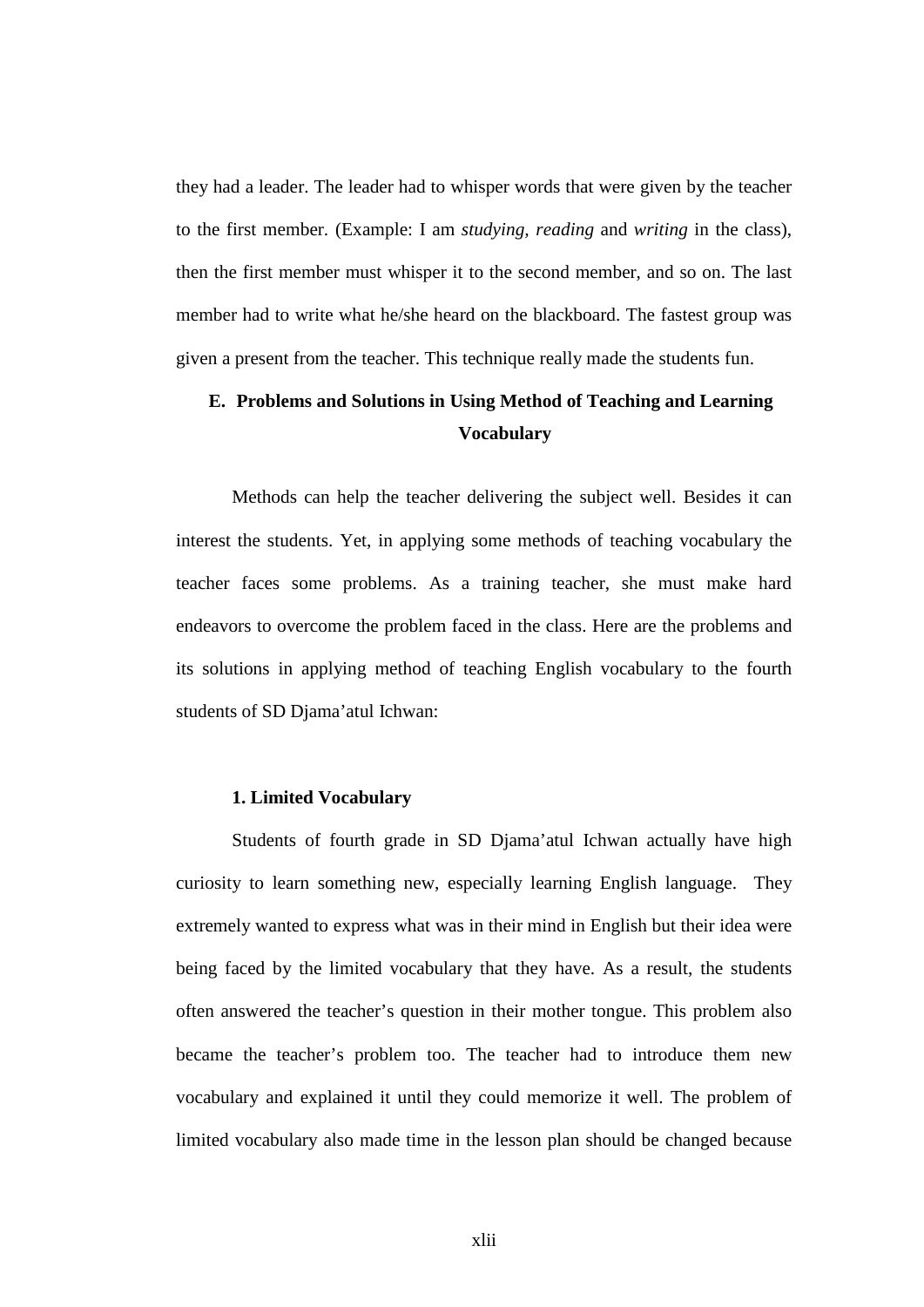they had a leader. The leader had to whisper words that were given by the teacher to the first member. (Example: I am *studying, reading* and *writing* in the class), then the first member must whisper it to the second member, and so on. The last member had to write what he/she heard on the blackboard. The fastest group was given a present from the teacher. This technique really made the students fun.

## **E. Problems and Solutions in Using Method of Teaching and Learning Vocabulary**

Methods can help the teacher delivering the subject well. Besides it can interest the students. Yet, in applying some methods of teaching vocabulary the teacher faces some problems. As a training teacher, she must make hard endeavors to overcome the problem faced in the class. Here are the problems and its solutions in applying method of teaching English vocabulary to the fourth students of SD Djama'atul Ichwan:

## **1. Limited Vocabulary**

Students of fourth grade in SD Djama'atul Ichwan actually have high curiosity to learn something new, especially learning English language. They extremely wanted to express what was in their mind in English but their idea were being faced by the limited vocabulary that they have. As a result, the students often answered the teacher's question in their mother tongue. This problem also became the teacher's problem too. The teacher had to introduce them new vocabulary and explained it until they could memorize it well. The problem of limited vocabulary also made time in the lesson plan should be changed because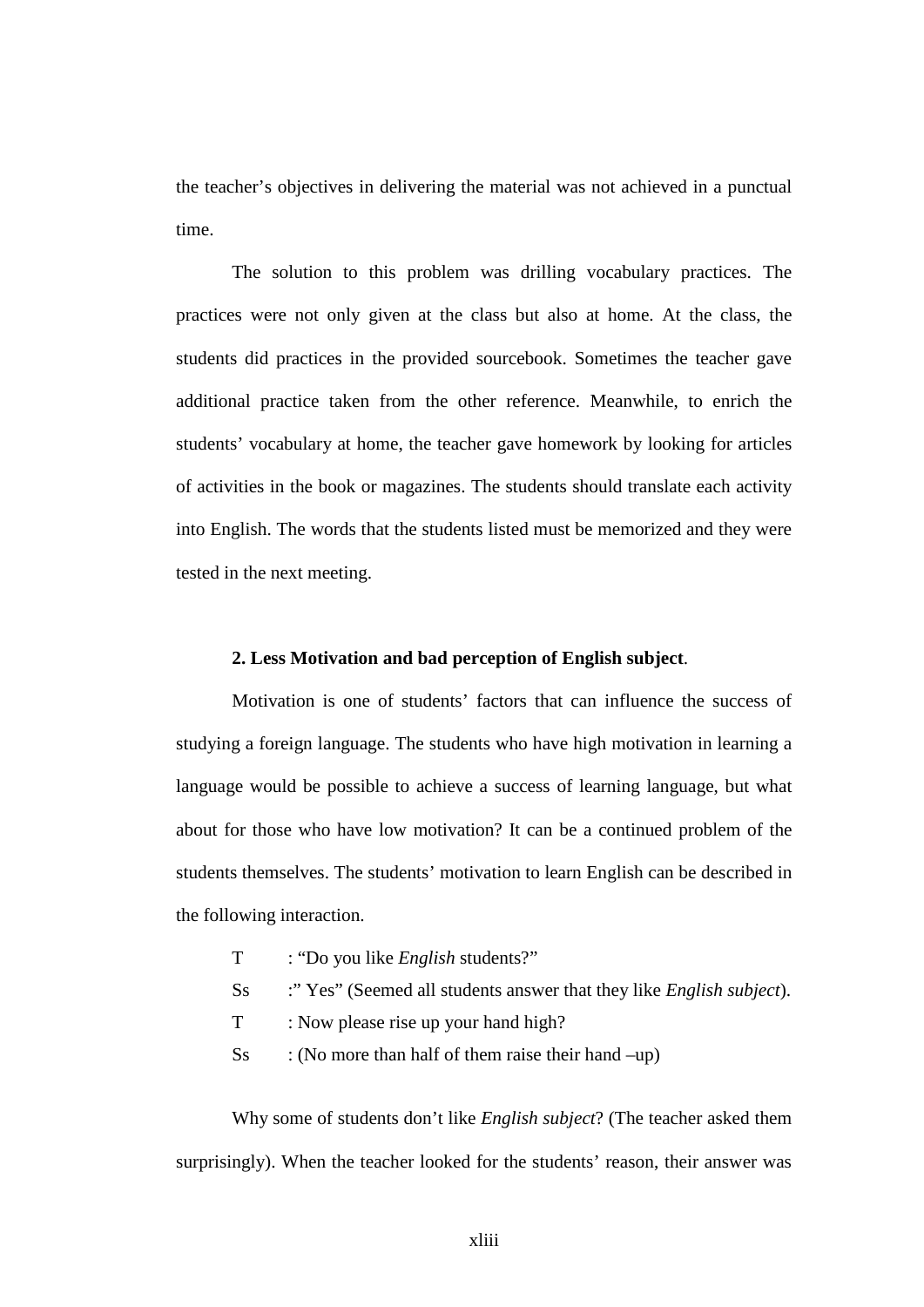the teacher's objectives in delivering the material was not achieved in a punctual time.

The solution to this problem was drilling vocabulary practices. The practices were not only given at the class but also at home. At the class, the students did practices in the provided sourcebook. Sometimes the teacher gave additional practice taken from the other reference. Meanwhile, to enrich the students' vocabulary at home, the teacher gave homework by looking for articles of activities in the book or magazines. The students should translate each activity into English. The words that the students listed must be memorized and they were tested in the next meeting.

### **2. Less Motivation and bad perception of English subject**.

Motivation is one of students' factors that can influence the success of studying a foreign language. The students who have high motivation in learning a language would be possible to achieve a success of learning language, but what about for those who have low motivation? It can be a continued problem of the students themselves. The students' motivation to learn English can be described in the following interaction.

- T : "Do you like *English* students?"
- Ss :" Yes" (Seemed all students answer that they like *English subject*).
- T : Now please rise up your hand high?
- $\text{S}_\text{S}$  : (No more than half of them raise their hand –up)

Why some of students don't like *English subject*? (The teacher asked them surprisingly). When the teacher looked for the students' reason, their answer was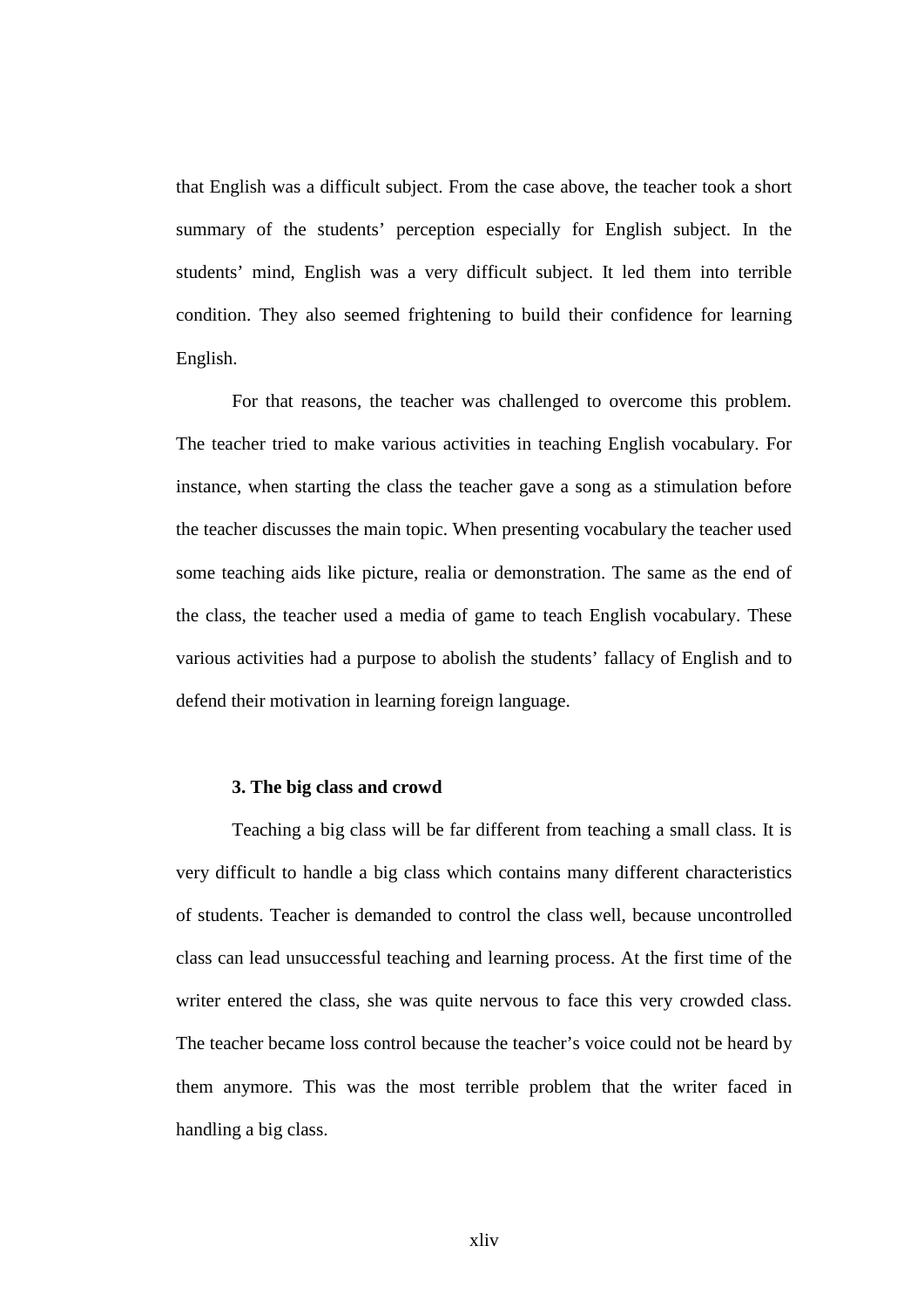that English was a difficult subject. From the case above, the teacher took a short summary of the students' perception especially for English subject. In the students' mind, English was a very difficult subject. It led them into terrible condition. They also seemed frightening to build their confidence for learning English.

For that reasons, the teacher was challenged to overcome this problem. The teacher tried to make various activities in teaching English vocabulary. For instance, when starting the class the teacher gave a song as a stimulation before the teacher discusses the main topic. When presenting vocabulary the teacher used some teaching aids like picture, realia or demonstration. The same as the end of the class, the teacher used a media of game to teach English vocabulary. These various activities had a purpose to abolish the students' fallacy of English and to defend their motivation in learning foreign language.

#### **3. The big class and crowd**

Teaching a big class will be far different from teaching a small class. It is very difficult to handle a big class which contains many different characteristics of students. Teacher is demanded to control the class well, because uncontrolled class can lead unsuccessful teaching and learning process. At the first time of the writer entered the class, she was quite nervous to face this very crowded class. The teacher became loss control because the teacher's voice could not be heard by them anymore. This was the most terrible problem that the writer faced in handling a big class.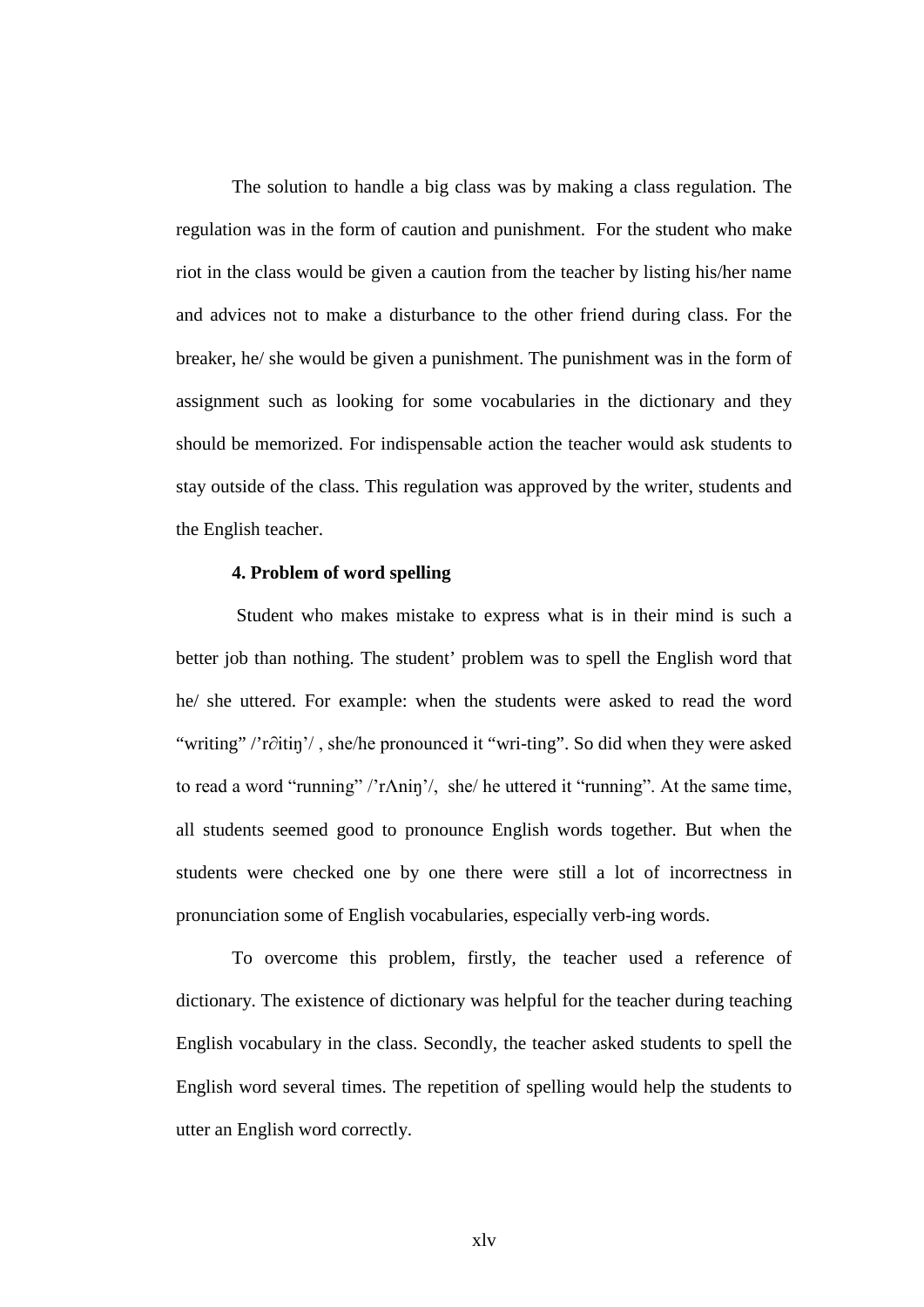The solution to handle a big class was by making a class regulation. The regulation was in the form of caution and punishment. For the student who make riot in the class would be given a caution from the teacher by listing his/her name and advices not to make a disturbance to the other friend during class. For the breaker, he/ she would be given a punishment. The punishment was in the form of assignment such as looking for some vocabularies in the dictionary and they should be memorized. For indispensable action the teacher would ask students to stay outside of the class. This regulation was approved by the writer, students and the English teacher.

## **4. Problem of word spelling**

 Student who makes mistake to express what is in their mind is such a better job than nothing. The student' problem was to spell the English word that he/ she uttered. For example: when the students were asked to read the word "writing" /'r∂itiŋ'/ , she/he pronounced it "wri-ting". So did when they were asked to read a word "running" /'rΛniŋ'/, she/ he uttered it "running". At the same time, all students seemed good to pronounce English words together. But when the students were checked one by one there were still a lot of incorrectness in pronunciation some of English vocabularies, especially verb-ing words.

To overcome this problem, firstly, the teacher used a reference of dictionary. The existence of dictionary was helpful for the teacher during teaching English vocabulary in the class. Secondly, the teacher asked students to spell the English word several times. The repetition of spelling would help the students to utter an English word correctly.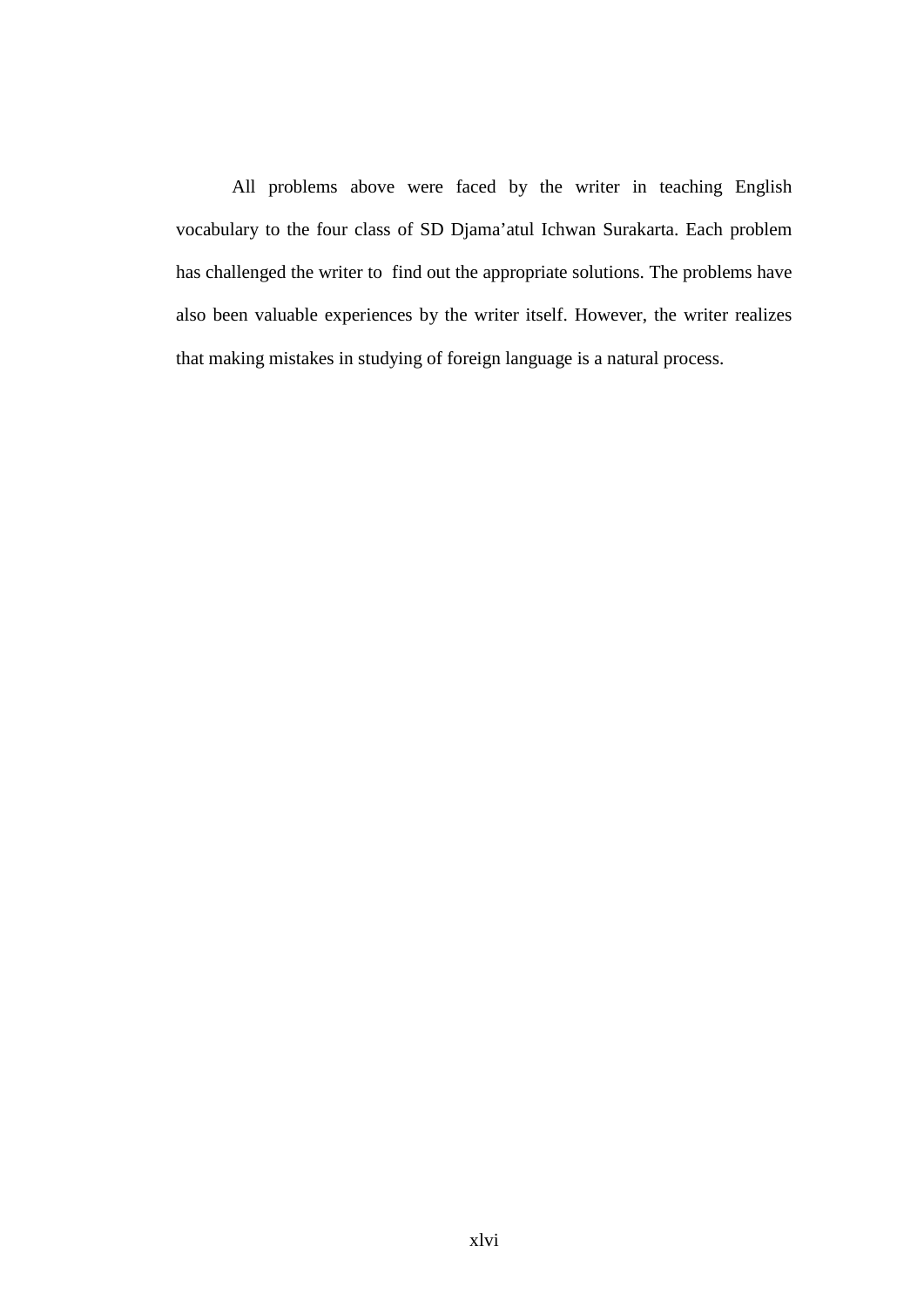All problems above were faced by the writer in teaching English vocabulary to the four class of SD Djama'atul Ichwan Surakarta. Each problem has challenged the writer to find out the appropriate solutions. The problems have also been valuable experiences by the writer itself. However, the writer realizes that making mistakes in studying of foreign language is a natural process.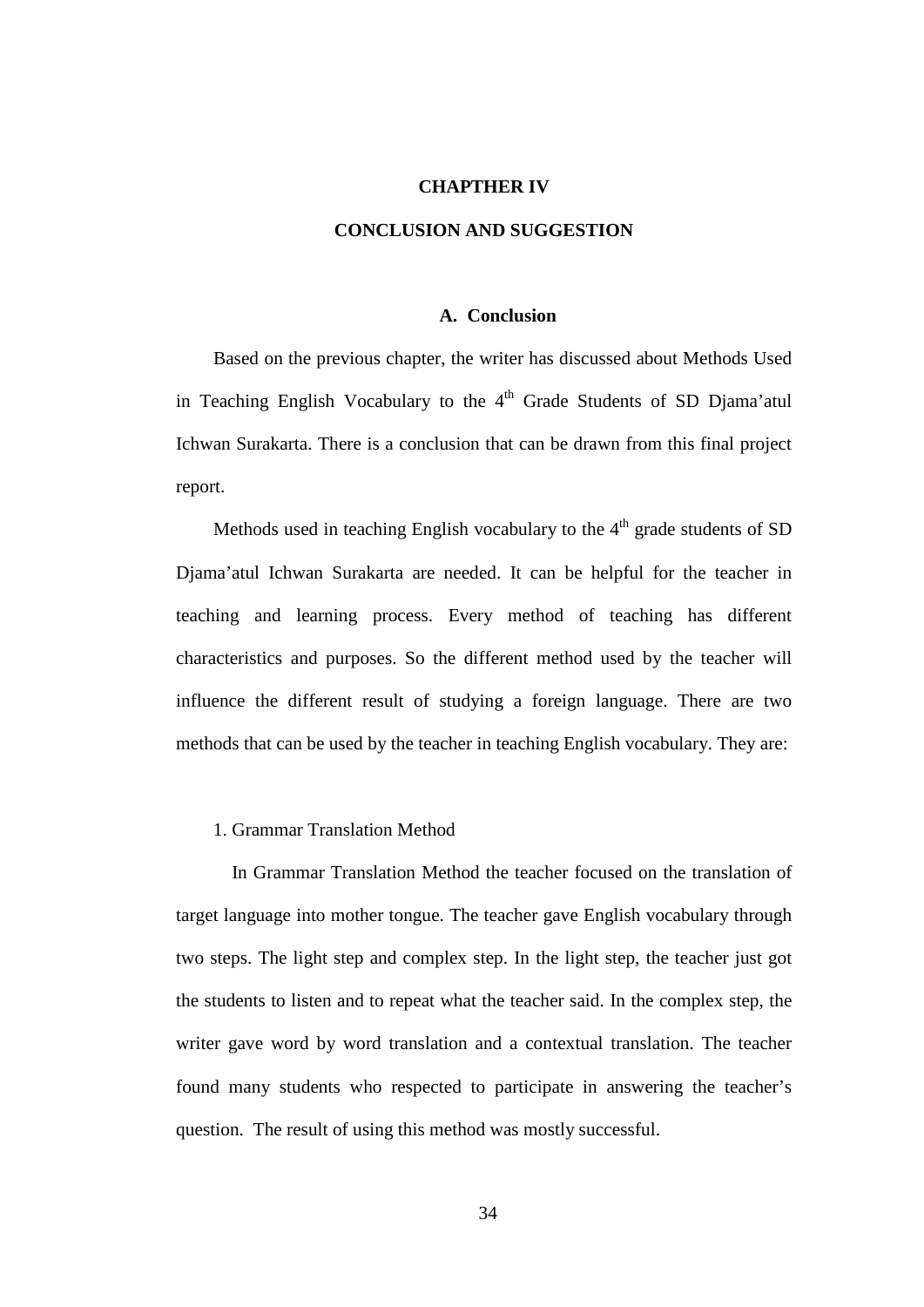### **CHAPTHER IV**

## **CONCLUSION AND SUGGESTION**

## **A. Conclusion**

Based on the previous chapter, the writer has discussed about Methods Used in Teaching English Vocabulary to the  $4<sup>th</sup>$  Grade Students of SD Djama'atul Ichwan Surakarta. There is a conclusion that can be drawn from this final project report.

Methods used in teaching English vocabulary to the  $4<sup>th</sup>$  grade students of SD Djama'atul Ichwan Surakarta are needed. It can be helpful for the teacher in teaching and learning process. Every method of teaching has different characteristics and purposes. So the different method used by the teacher will influence the different result of studying a foreign language. There are two methods that can be used by the teacher in teaching English vocabulary. They are:

## 1. Grammar Translation Method

In Grammar Translation Method the teacher focused on the translation of target language into mother tongue. The teacher gave English vocabulary through two steps. The light step and complex step. In the light step, the teacher just got the students to listen and to repeat what the teacher said. In the complex step, the writer gave word by word translation and a contextual translation. The teacher found many students who respected to participate in answering the teacher's question. The result of using this method was mostly successful.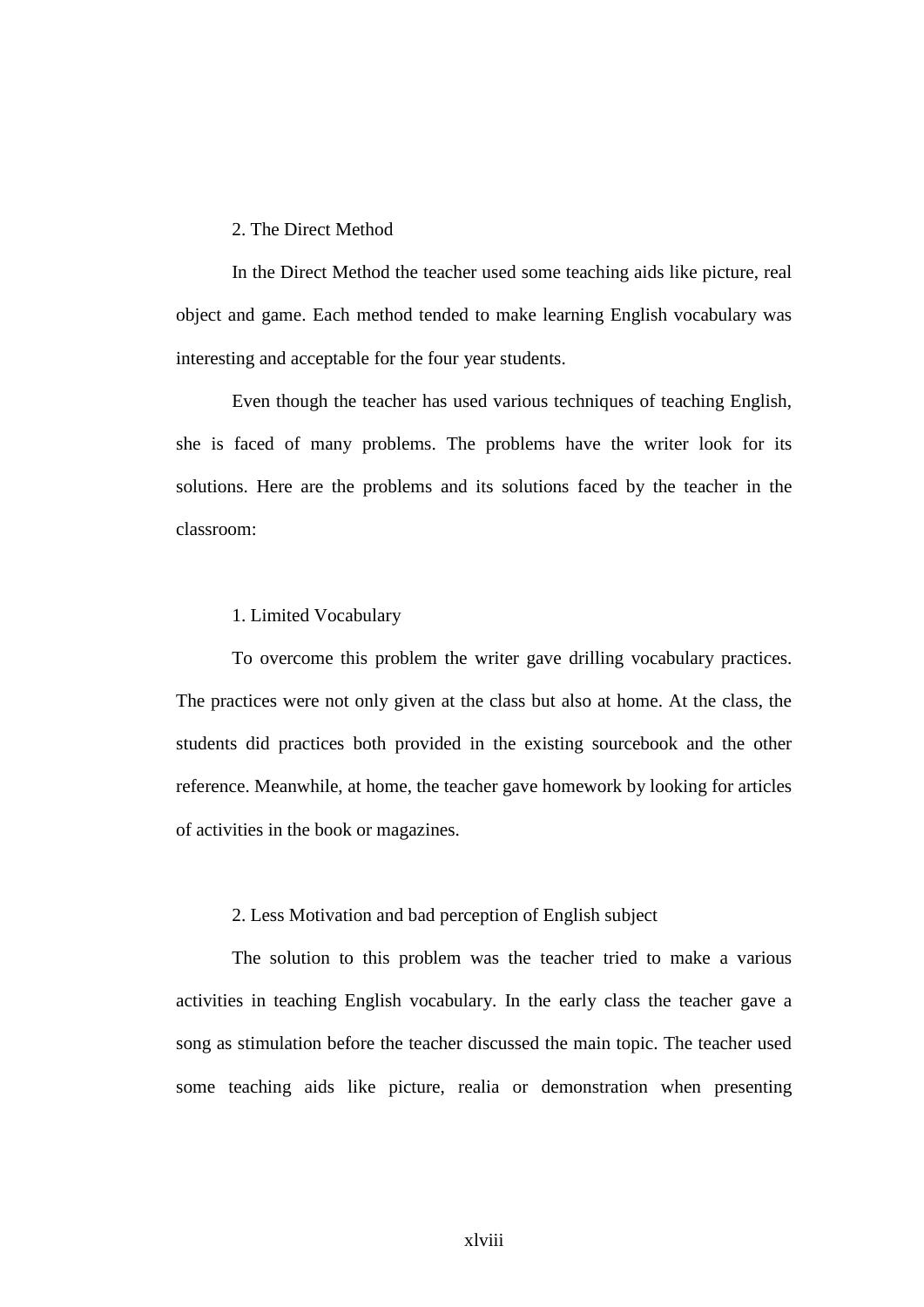## 2. The Direct Method

In the Direct Method the teacher used some teaching aids like picture, real object and game. Each method tended to make learning English vocabulary was interesting and acceptable for the four year students.

Even though the teacher has used various techniques of teaching English, she is faced of many problems. The problems have the writer look for its solutions. Here are the problems and its solutions faced by the teacher in the classroom:

## 1. Limited Vocabulary

To overcome this problem the writer gave drilling vocabulary practices. The practices were not only given at the class but also at home. At the class, the students did practices both provided in the existing sourcebook and the other reference. Meanwhile, at home, the teacher gave homework by looking for articles of activities in the book or magazines.

## 2. Less Motivation and bad perception of English subject

The solution to this problem was the teacher tried to make a various activities in teaching English vocabulary. In the early class the teacher gave a song as stimulation before the teacher discussed the main topic. The teacher used some teaching aids like picture, realia or demonstration when presenting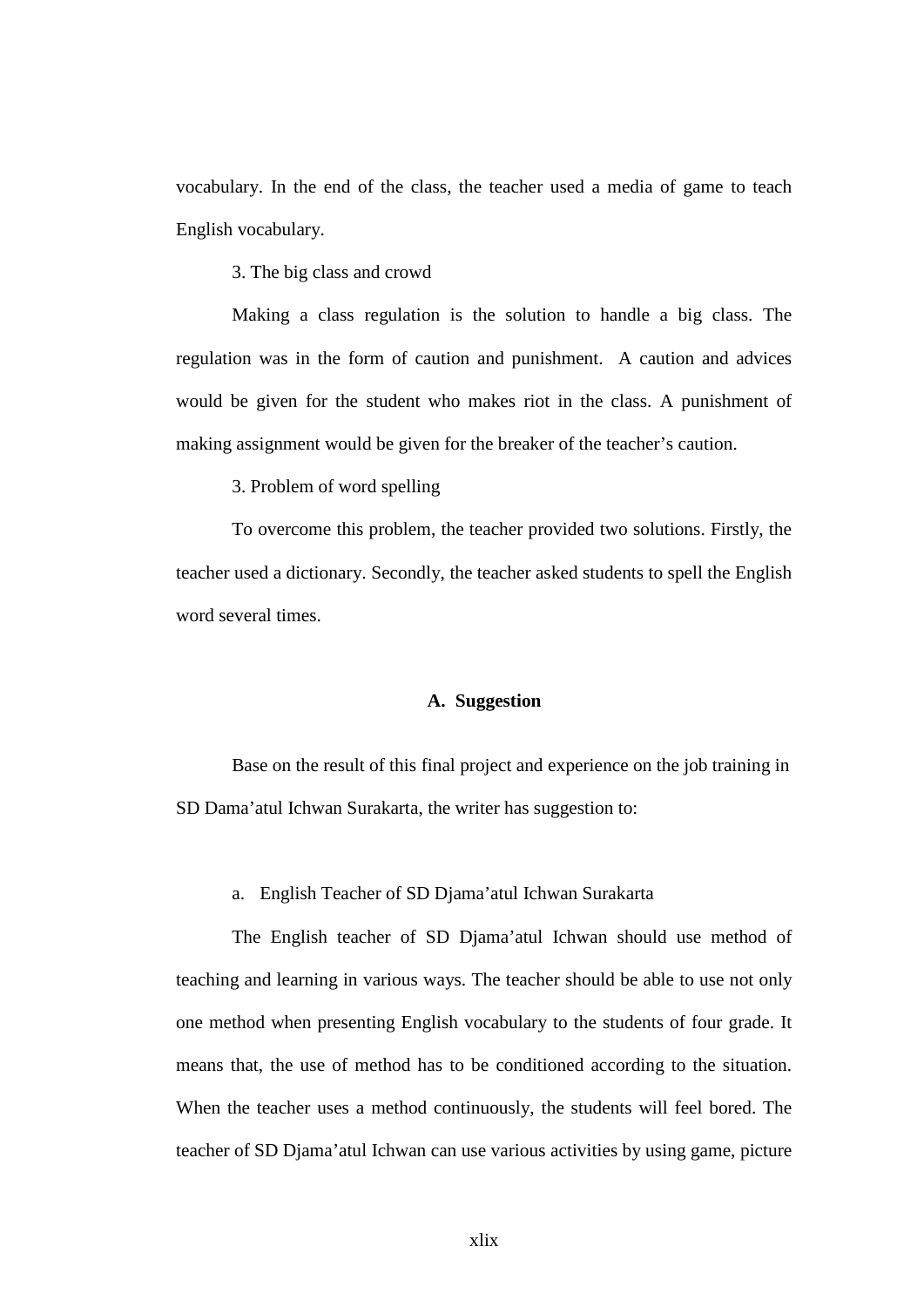vocabulary. In the end of the class, the teacher used a media of game to teach English vocabulary.

3. The big class and crowd

Making a class regulation is the solution to handle a big class. The regulation was in the form of caution and punishment. A caution and advices would be given for the student who makes riot in the class. A punishment of making assignment would be given for the breaker of the teacher's caution.

3. Problem of word spelling

To overcome this problem, the teacher provided two solutions. Firstly, the teacher used a dictionary. Secondly, the teacher asked students to spell the English word several times.

## **A. Suggestion**

Base on the result of this final project and experience on the job training in SD Dama'atul Ichwan Surakarta, the writer has suggestion to:

a. English Teacher of SD Djama'atul Ichwan Surakarta

The English teacher of SD Djama'atul Ichwan should use method of teaching and learning in various ways. The teacher should be able to use not only one method when presenting English vocabulary to the students of four grade. It means that, the use of method has to be conditioned according to the situation. When the teacher uses a method continuously, the students will feel bored. The teacher of SD Djama'atul Ichwan can use various activities by using game, picture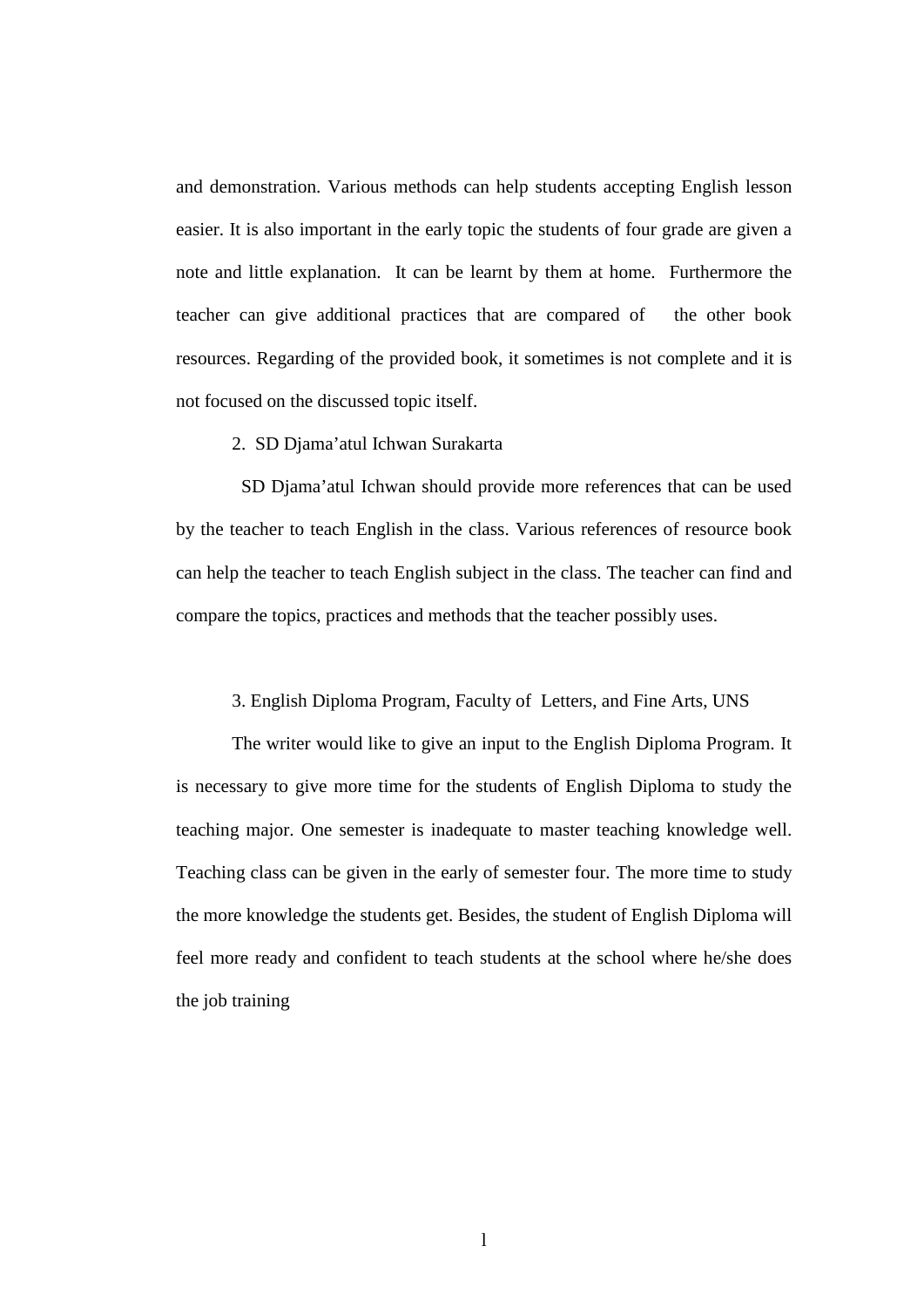and demonstration. Various methods can help students accepting English lesson easier. It is also important in the early topic the students of four grade are given a note and little explanation. It can be learnt by them at home. Furthermore the teacher can give additional practices that are compared of the other book resources. Regarding of the provided book, it sometimes is not complete and it is not focused on the discussed topic itself.

## 2. SD Djama'atul Ichwan Surakarta

SD Djama'atul Ichwan should provide more references that can be used by the teacher to teach English in the class. Various references of resource book can help the teacher to teach English subject in the class. The teacher can find and compare the topics, practices and methods that the teacher possibly uses.

## 3. English Diploma Program, Faculty of Letters, and Fine Arts, UNS

The writer would like to give an input to the English Diploma Program. It is necessary to give more time for the students of English Diploma to study the teaching major. One semester is inadequate to master teaching knowledge well. Teaching class can be given in the early of semester four. The more time to study the more knowledge the students get. Besides, the student of English Diploma will feel more ready and confident to teach students at the school where he/she does the job training